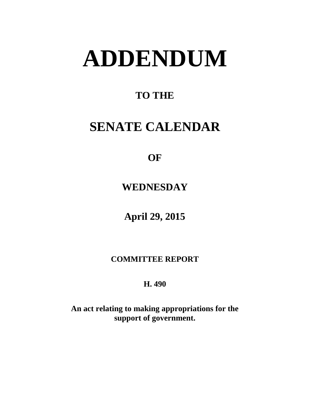# **ADDENDUM**

### **TO THE**

## **SENATE CALENDAR**

**OF** 

**WEDNESDAY**

**April 29, 2015**

**COMMITTEE REPORT**

**H. 490**

**An act relating to making appropriations for the support of government.**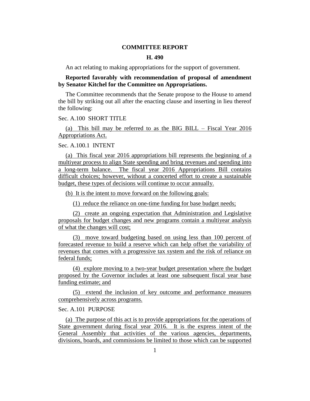#### **COMMITTEE REPORT**

#### **H. 490**

An act relating to making appropriations for the support of government.

**Reported favorably with recommendation of proposal of amendment by Senator Kitchel for the Committee on Appropriations.**

The Committee recommends that the Senate propose to the House to amend the bill by striking out all after the enacting clause and inserting in lieu thereof the following:

#### Sec. A.100 SHORT TITLE

(a) This bill may be referred to as the BIG BILL – Fiscal Year 2016 Appropriations Act.

Sec. A.100.1 INTENT

(a) This fiscal year 2016 appropriations bill represents the beginning of a multiyear process to align State spending and bring revenues and spending into a long-term balance. The fiscal year 2016 Appropriations Bill contains difficult choices; however, without a concerted effort to create a sustainable budget, these types of decisions will continue to occur annually.

(b) It is the intent to move forward on the following goals:

(1) reduce the reliance on one-time funding for base budget needs;

(2) create an ongoing expectation that Administration and Legislative proposals for budget changes and new programs contain a multiyear analysis of what the changes will cost;

(3) move toward budgeting based on using less than 100 percent of forecasted revenue to build a reserve which can help offset the variability of revenues that comes with a progressive tax system and the risk of reliance on federal funds;

(4) explore moving to a two-year budget presentation where the budget proposed by the Governor includes at least one subsequent fiscal year base funding estimate; and

(5) extend the inclusion of key outcome and performance measures comprehensively across programs.

#### Sec. A.101 PURPOSE

(a) The purpose of this act is to provide appropriations for the operations of State government during fiscal year 2016. It is the express intent of the General Assembly that activities of the various agencies, departments, divisions, boards, and commissions be limited to those which can be supported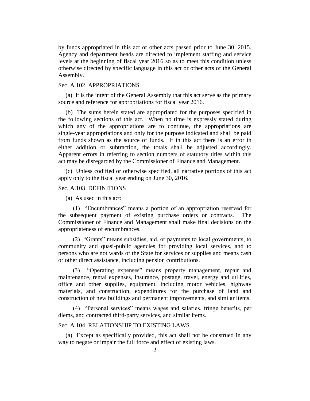by funds appropriated in this act or other acts passed prior to June 30, 2015. Agency and department heads are directed to implement staffing and service levels at the beginning of fiscal year 2016 so as to meet this condition unless otherwise directed by specific language in this act or other acts of the General Assembly.

#### Sec. A.102 APPROPRIATIONS

(a) It is the intent of the General Assembly that this act serve as the primary source and reference for appropriations for fiscal year 2016.

(b) The sums herein stated are appropriated for the purposes specified in the following sections of this act. When no time is expressly stated during which any of the appropriations are to continue, the appropriations are single-year appropriations and only for the purpose indicated and shall be paid from funds shown as the source of funds. If in this act there is an error in either addition or subtraction, the totals shall be adjusted accordingly. Apparent errors in referring to section numbers of statutory titles within this act may be disregarded by the Commissioner of Finance and Management.

(c) Unless codified or otherwise specified, all narrative portions of this act apply only to the fiscal year ending on June 30, 2016.

#### Sec. A.103 DEFINITIONS

(a) As used in this act:

(1) "Encumbrances" means a portion of an appropriation reserved for the subsequent payment of existing purchase orders or contracts. The Commissioner of Finance and Management shall make final decisions on the appropriateness of encumbrances.

(2) "Grants" means subsidies, aid, or payments to local governments, to community and quasi-public agencies for providing local services, and to persons who are not wards of the State for services or supplies and means cash or other direct assistance, including pension contributions.

(3) "Operating expenses" means property management, repair and maintenance, rental expenses, insurance, postage, travel, energy and utilities, office and other supplies, equipment, including motor vehicles, highway materials, and construction, expenditures for the purchase of land and construction of new buildings and permanent improvements, and similar items.

(4) "Personal services" means wages and salaries, fringe benefits, per diems, and contracted third-party services, and similar items.

#### Sec. A.104 RELATIONSHIP TO EXISTING LAWS

(a) Except as specifically provided, this act shall not be construed in any way to negate or impair the full force and effect of existing laws.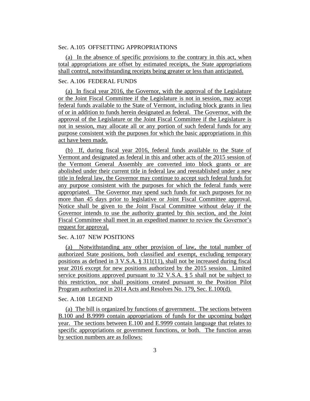#### Sec. A.105 OFFSETTING APPROPRIATIONS

(a) In the absence of specific provisions to the contrary in this act, when total appropriations are offset by estimated receipts, the State appropriations shall control, notwithstanding receipts being greater or less than anticipated.

#### Sec. A.106 FEDERAL FUNDS

(a) In fiscal year 2016, the Governor, with the approval of the Legislature or the Joint Fiscal Committee if the Legislature is not in session, may accept federal funds available to the State of Vermont, including block grants in lieu of or in addition to funds herein designated as federal. The Governor, with the approval of the Legislature or the Joint Fiscal Committee if the Legislature is not in session, may allocate all or any portion of such federal funds for any purpose consistent with the purposes for which the basic appropriations in this act have been made.

(b) If, during fiscal year 2016, federal funds available to the State of Vermont and designated as federal in this and other acts of the 2015 session of the Vermont General Assembly are converted into block grants or are abolished under their current title in federal law and reestablished under a new title in federal law, the Governor may continue to accept such federal funds for any purpose consistent with the purposes for which the federal funds were appropriated. The Governor may spend such funds for such purposes for no more than 45 days prior to legislative or Joint Fiscal Committee approval. Notice shall be given to the Joint Fiscal Committee without delay if the Governor intends to use the authority granted by this section, and the Joint Fiscal Committee shall meet in an expedited manner to review the Governor's request for approval.

#### Sec. A.107 NEW POSITIONS

(a) Notwithstanding any other provision of law, the total number of authorized State positions, both classified and exempt, excluding temporary positions as defined in  $3 \text{ V.S.A. }$  §  $311(11)$ , shall not be increased during fiscal year 2016 except for new positions authorized by the 2015 session. Limited service positions approved pursuant to 32 V.S.A. § 5 shall not be subject to this restriction, nor shall positions created pursuant to the Position Pilot Program authorized in 2014 Acts and Resolves No. 179, Sec. E.100(d).

#### Sec. A.108 LEGEND

(a) The bill is organized by functions of government. The sections between B.100 and B.9999 contain appropriations of funds for the upcoming budget year. The sections between E.100 and E.9999 contain language that relates to specific appropriations or government functions, or both. The function areas by section numbers are as follows: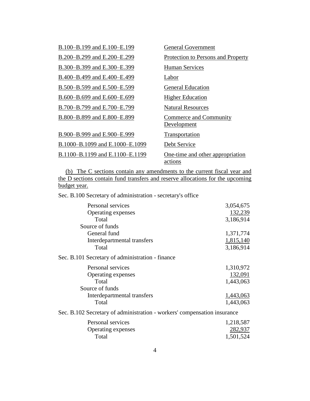| B.100-B.199 and E.100-E.199     | <b>General Government</b>                   |
|---------------------------------|---------------------------------------------|
| B.200–B.299 and E.200–E.299     | Protection to Persons and Property          |
| B.300-B.399 and E.300-E.399     | <b>Human Services</b>                       |
| B.400-B.499 and E.400-E.499     | Labor                                       |
| B.500–B.599 and E.500–E.599     | <b>General Education</b>                    |
| B.600-B.699 and E.600-E.699     | <b>Higher Education</b>                     |
| B.700–B.799 and E.700–E.799     | <b>Natural Resources</b>                    |
| B.800-B.899 and E.800-E.899     | Commerce and Community<br>Development       |
| B.900-B.999 and E.900-E.999     | Transportation                              |
| B.1000-B.1099 and E.1000-E.1099 | Debt Service                                |
| B.1100-B.1199 and E.1100-E.1199 | One-time and other appropriation<br>actions |

(b) The C sections contain any amendments to the current fiscal year and the D sections contain fund transfers and reserve allocations for the upcoming budget year.

Sec. B.100 Secretary of administration - secretary's office

| Personal services                                                        | 3,054,675 |
|--------------------------------------------------------------------------|-----------|
| Operating expenses                                                       | 132,239   |
| Total                                                                    | 3,186,914 |
| Source of funds                                                          |           |
| General fund                                                             | 1,371,774 |
| Interdepartmental transfers                                              | 1,815,140 |
| Total                                                                    | 3,186,914 |
| Sec. B.101 Secretary of administration - finance                         |           |
| Personal services                                                        | 1,310,972 |
| Operating expenses                                                       | 132,091   |
| Total                                                                    | 1,443,063 |
| Source of funds                                                          |           |
| Interdepartmental transfers                                              | 1,443,063 |
| Total                                                                    | 1,443,063 |
| Sec. B.102 Secretary of administration - workers' compensation insurance |           |
| Personal services                                                        | 1,218,587 |
|                                                                          |           |

| i visunai svivivus        | 1, 210, 001 |
|---------------------------|-------------|
| <b>Operating expenses</b> | 282,937     |
| Total                     | 1,501,524   |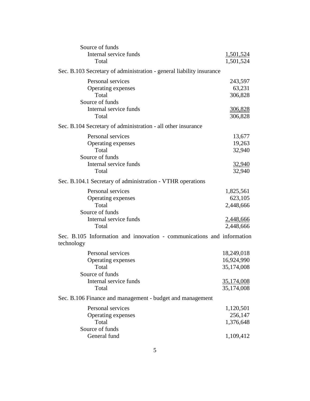| Source of funds                                                                      |                          |
|--------------------------------------------------------------------------------------|--------------------------|
| Internal service funds                                                               | 1,501,524                |
| Total                                                                                | 1,501,524                |
| Sec. B.103 Secretary of administration - general liability insurance                 |                          |
| Personal services                                                                    | 243,597                  |
| Operating expenses                                                                   | 63,231                   |
| Total                                                                                | 306,828                  |
| Source of funds                                                                      |                          |
| Internal service funds                                                               | <u>306,828</u>           |
| Total                                                                                | 306,828                  |
| Sec. B.104 Secretary of administration - all other insurance                         |                          |
| Personal services                                                                    | 13,677                   |
| Operating expenses                                                                   | 19,263                   |
| Total                                                                                | 32,940                   |
| Source of funds                                                                      |                          |
| Internal service funds                                                               | 32,940                   |
| Total                                                                                | 32,940                   |
| Sec. B.104.1 Secretary of administration - VTHR operations                           |                          |
| Personal services                                                                    | 1,825,561                |
| Operating expenses                                                                   | 623,105                  |
| Total                                                                                | 2,448,666                |
| Source of funds                                                                      |                          |
| Internal service funds                                                               | 2,448,666                |
| Total                                                                                | 2,448,666                |
| Sec. B.105 Information and innovation - communications and information<br>technology |                          |
| Personal services                                                                    |                          |
| Operating expenses                                                                   | 18,249,018<br>16,924,990 |
| Total                                                                                | 35,174,008               |
| Source of funds                                                                      |                          |
| Internal service funds                                                               | <u>35,174,008</u>        |
| Total                                                                                | 35,174,008               |
| Sec. B.106 Finance and management - budget and management                            |                          |
| Personal services                                                                    | 1,120,501                |
| Operating expenses                                                                   | 256,147                  |
| Total                                                                                | 1,376,648                |
| Source of funds                                                                      |                          |
| General fund                                                                         | 1,109,412                |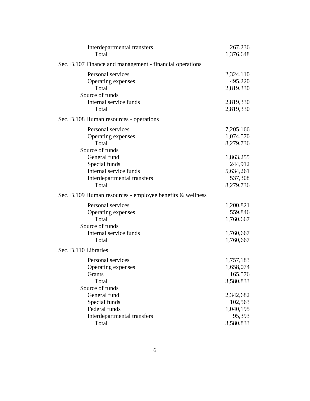| Interdepartmental transfers<br>Total                      | 267,236<br>1,376,648 |
|-----------------------------------------------------------|----------------------|
| Sec. B.107 Finance and management - financial operations  |                      |
| Personal services                                         | 2,324,110            |
| Operating expenses                                        | 495,220              |
| Total                                                     | 2,819,330            |
| Source of funds                                           |                      |
| Internal service funds                                    | <u>2,819,330</u>     |
| Total                                                     | 2,819,330            |
| Sec. B.108 Human resources - operations                   |                      |
| Personal services                                         | 7,205,166            |
| Operating expenses                                        | 1,074,570            |
| Total                                                     | 8,279,736            |
| Source of funds                                           |                      |
| General fund                                              | 1,863,255            |
| Special funds                                             | 244,912              |
| Internal service funds                                    | 5,634,261            |
| Interdepartmental transfers                               | 537,308              |
| Total                                                     | 8,279,736            |
| Sec. B.109 Human resources - employee benefits & wellness |                      |
| Personal services                                         | 1,200,821            |
| Operating expenses                                        | 559,846              |
| Total                                                     | 1,760,667            |
| Source of funds                                           |                      |
| Internal service funds                                    | <u>1,760,667</u>     |
| Total                                                     | 1,760,667            |
| Sec. B.110 Libraries                                      |                      |
| Personal services                                         | 1,757,183            |
| Operating expenses                                        | 1,658,074            |
| Grants                                                    | 165,576              |
| Total                                                     | 3,580,833            |
| Source of funds                                           |                      |
| General fund                                              | 2,342,682            |
| Special funds                                             | 102,563              |
| Federal funds                                             | 1,040,195            |
| Interdepartmental transfers                               | 95,393               |
| Total                                                     | 3,580,833            |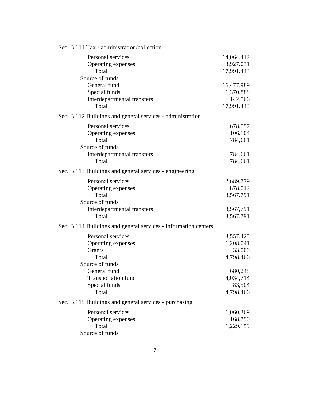| Sec. B.111 Tax - administration/collection                                                                  |                                                                    |
|-------------------------------------------------------------------------------------------------------------|--------------------------------------------------------------------|
| Personal services<br>Operating expenses<br>Total                                                            | 14,064,412<br>3,927,031<br>17,991,443                              |
| Source of funds<br>General fund<br>Special funds<br>Interdepartmental transfers<br>Total                    | 16,477,989<br>1,370,888<br>142,566<br>17,991,443                   |
| Sec. B.112 Buildings and general services - administration                                                  |                                                                    |
| Personal services<br>Operating expenses<br>Total<br>Source of funds<br>Interdepartmental transfers<br>Total | 678,557<br>106,104<br>784,661<br><u>784,661</u><br>784,661         |
| Sec. B.113 Buildings and general services - engineering                                                     |                                                                    |
| Personal services<br>Operating expenses<br>Total<br>Source of funds<br>Interdepartmental transfers<br>Total | 2,689,779<br>878,012<br>3,567,791<br><u>3,567,791</u><br>3,567,791 |
| Sec. B.114 Buildings and general services - information centers                                             |                                                                    |
| Personal services<br>Operating expenses<br>Grants<br>Total                                                  | 3,557,425<br>1,208,041<br>33,000<br>4,798,466                      |
| Source of funds<br>General fund<br><b>Transportation fund</b><br>Special funds<br>Total                     | 680,248<br>4,034,714<br>83,504<br>4,798,466                        |
| Sec. B.115 Buildings and general services - purchasing                                                      |                                                                    |
| Personal services<br>Operating expenses<br>Total<br>Source of funds                                         | 1,060,369<br>168,790<br>1,229,159                                  |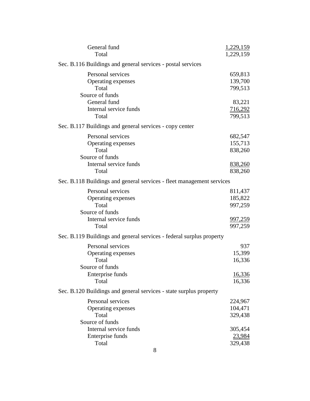| General fund<br>Total                                                                                  | 1,229,159<br>1,229,159                                     |
|--------------------------------------------------------------------------------------------------------|------------------------------------------------------------|
| Sec. B.116 Buildings and general services - postal services                                            |                                                            |
| Personal services<br>Operating expenses<br>Total                                                       | 659,813<br>139,700<br>799,513                              |
| Source of funds<br>General fund<br>Internal service funds<br>Total                                     | 83,221<br>716,292<br>799,513                               |
| Sec. B.117 Buildings and general services - copy center                                                |                                                            |
| Personal services<br>Operating expenses<br>Total<br>Source of funds<br>Internal service funds<br>Total | 682,547<br>155,713<br>838,260<br>838,260<br>838,260        |
| Sec. B.118 Buildings and general services - fleet management services                                  |                                                            |
| Personal services<br>Operating expenses<br>Total<br>Source of funds<br>Internal service funds<br>Total | 811,437<br>185,822<br>997,259<br><u>997,259</u><br>997,259 |
| Sec. B.119 Buildings and general services - federal surplus property                                   |                                                            |
| Personal services<br>Operating expenses<br>Total<br>Source of funds<br>Enterprise funds<br>Total       | 937<br>15,399<br>16,336<br>16,336<br>16,336                |
| Sec. B.120 Buildings and general services - state surplus property                                     |                                                            |
| Personal services<br>Operating expenses<br>Total<br>Source of funds                                    | 224,967<br>104,471<br>329,438                              |
| Internal service funds<br>Enterprise funds<br>Total                                                    | 305,454<br>23,984<br>329,438                               |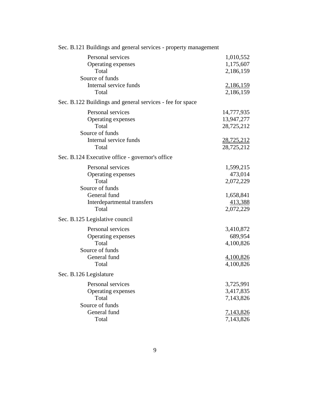| Sec. B.121 Buildings and general services - property management |            |
|-----------------------------------------------------------------|------------|
| Personal services                                               | 1,010,552  |
| Operating expenses                                              | 1,175,607  |
| Total                                                           | 2,186,159  |
| Source of funds                                                 |            |
| Internal service funds                                          | 2,186,159  |
| Total                                                           | 2,186,159  |
|                                                                 |            |
| Sec. B.122 Buildings and general services - fee for space       |            |
| Personal services                                               | 14,777,935 |
| Operating expenses                                              | 13,947,277 |
| Total                                                           | 28,725,212 |
| Source of funds                                                 |            |
| Internal service funds                                          | 28,725,212 |
| Total                                                           | 28,725,212 |
| Sec. B.124 Executive office - governor's office                 |            |
|                                                                 |            |
| Personal services                                               | 1,599,215  |
| Operating expenses                                              | 473,014    |
| Total                                                           | 2,072,229  |
| Source of funds                                                 |            |
| General fund                                                    | 1,658,841  |
| Interdepartmental transfers                                     | 413,388    |
| Total                                                           | 2,072,229  |
| Sec. B.125 Legislative council                                  |            |
| Personal services                                               | 3,410,872  |
| Operating expenses                                              | 689,954    |
| Total                                                           | 4,100,826  |
| Source of funds                                                 |            |
| General fund                                                    | 4,100,826  |
| Total                                                           | 4,100,826  |
|                                                                 |            |
| Sec. B.126 Legislature                                          |            |
| Personal services                                               | 3,725,991  |
| Operating expenses                                              | 3,417,835  |
| Total                                                           | 7,143,826  |
| Source of funds                                                 |            |
| General fund                                                    | 7,143,826  |
| Total                                                           | 7,143,826  |
|                                                                 |            |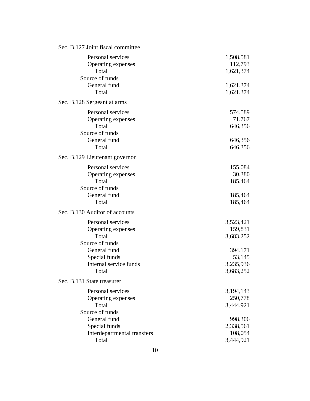| Sec. B.127 Joint fiscal committee |             |
|-----------------------------------|-------------|
| Personal services                 | 1,508,581   |
| Operating expenses                | 112,793     |
| Total                             | 1,621,374   |
| Source of funds                   |             |
| General fund                      | 1,621,374   |
| Total                             | 1,621,374   |
| Sec. B.128 Sergeant at arms       |             |
| Personal services                 | 574,589     |
| Operating expenses                | 71,767      |
| Total                             | 646,356     |
| Source of funds                   |             |
| General fund                      | 646,356     |
| Total                             | 646,356     |
| Sec. B.129 Lieutenant governor    |             |
| Personal services                 | 155,084     |
| Operating expenses                | 30,380      |
| Total                             | 185,464     |
| Source of funds                   |             |
| General fund                      | 185,464     |
| Total                             | 185,464     |
| Sec. B.130 Auditor of accounts    |             |
| Personal services                 | 3,523,421   |
| Operating expenses                | 159,831     |
| Total                             | 3,683,252   |
| Source of funds                   |             |
| General fund                      | 394,171     |
| Special funds                     | 53,145      |
| Internal service funds            | 3,235,936   |
| Total                             | 3,683,252   |
| Sec. B.131 State treasurer        |             |
| Personal services                 | 3, 194, 143 |
| Operating expenses                | 250,778     |
| Total                             | 3,444,921   |
| Source of funds                   |             |
| General fund                      | 998,306     |
| Special funds                     | 2,338,561   |
| Interdepartmental transfers       | 108,054     |
| Total                             | 3,444,921   |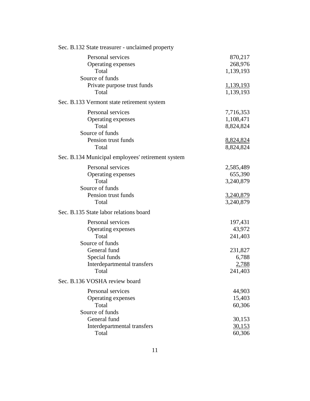| Sec. B.132 State treasurer - unclaimed property                                                                                                                    |                                                                        |
|--------------------------------------------------------------------------------------------------------------------------------------------------------------------|------------------------------------------------------------------------|
| Personal services<br>Operating expenses<br>Total<br>Source of funds                                                                                                | 870,217<br>268,976<br>1,139,193                                        |
| Private purpose trust funds<br>Total                                                                                                                               | 1,139,193<br>1,139,193                                                 |
| Sec. B.133 Vermont state retirement system                                                                                                                         |                                                                        |
| Personal services<br>Operating expenses<br>Total<br>Source of funds                                                                                                | 7,716,353<br>1,108,471<br>8,824,824                                    |
| Pension trust funds<br>Total                                                                                                                                       | 8,824,824<br>8,824,824                                                 |
| Sec. B.134 Municipal employees' retirement system                                                                                                                  |                                                                        |
| Personal services<br>Operating expenses<br>Total<br>Source of funds<br>Pension trust funds<br>Total<br>Sec. B.135 State labor relations board<br>Personal services | 2,585,489<br>655,390<br>3,240,879<br>3,240,879<br>3,240,879<br>197,431 |
| Operating expenses<br>Total<br>Source of funds<br>General fund                                                                                                     | 43,972<br>241,403<br>231,827                                           |
| Special funds<br>Interdepartmental transfers<br>Total                                                                                                              | 6,788<br>2,788<br>241,403                                              |
| Sec. B.136 VOSHA review board                                                                                                                                      |                                                                        |
| Personal services<br>Operating expenses<br>Total<br>Source of funds                                                                                                | 44,903<br>15,403<br>60,306                                             |
| General fund<br>Interdepartmental transfers<br>Total                                                                                                               | 30,153<br><u>30,153</u><br>60,306                                      |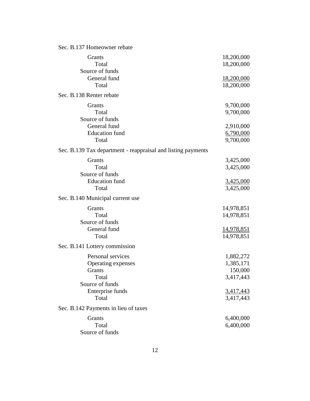| Sec. B.137 Homeowner rebate                                  |                               |
|--------------------------------------------------------------|-------------------------------|
| Grants                                                       | 18,200,000                    |
| Total                                                        | 18,200,000                    |
| Source of funds                                              |                               |
| General fund                                                 | 18,200,000                    |
| Total                                                        | 18,200,000                    |
| Sec. B.138 Renter rebate                                     |                               |
| Grants                                                       | 9,700,000                     |
| Total                                                        | 9,700,000                     |
| Source of funds                                              |                               |
| General fund                                                 | 2,910,000                     |
| <b>Education</b> fund                                        | 6,790,000                     |
| Total                                                        | 9,700,000                     |
| Sec. B.139 Tax department - reappraisal and listing payments |                               |
| Grants                                                       | 3,425,000                     |
| Total                                                        | 3,425,000                     |
| Source of funds                                              |                               |
| <b>Education</b> fund                                        | <u>3,425,000</u>              |
| Total                                                        | 3,425,000                     |
| Sec. B.140 Municipal current use                             |                               |
| Grants                                                       | 14,978,851                    |
| Total                                                        | 14,978,851                    |
| Source of funds                                              |                               |
| General fund                                                 | 14,978,851                    |
| Total                                                        | 14,978,851                    |
| Sec. B.141 Lottery commission                                |                               |
| Personal services                                            | 1,882,272                     |
| Operating expenses                                           | 1,385,171                     |
| Grants                                                       | 150,000                       |
| Total                                                        | 3,417,443                     |
| Source of funds                                              |                               |
| Enterprise funds                                             |                               |
| Total                                                        | $\frac{3,417,443}{3,417,443}$ |
| Sec. B.142 Payments in lieu of taxes                         |                               |
| Grants                                                       | 6,400,000                     |
| Total                                                        | 6,400,000                     |
| Source of funds                                              |                               |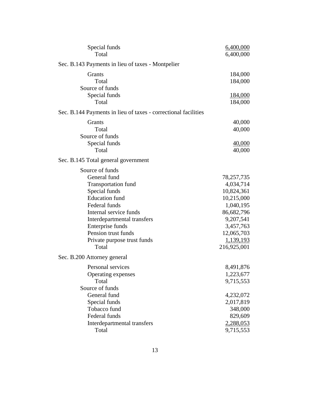| Special funds                                                  | 6,400,000   |
|----------------------------------------------------------------|-------------|
| Total                                                          | 6,400,000   |
| Sec. B.143 Payments in lieu of taxes - Montpelier              |             |
| Grants                                                         | 184,000     |
| Total                                                          | 184,000     |
| Source of funds                                                |             |
| Special funds                                                  | 184,000     |
| Total                                                          | 184,000     |
| Sec. B.144 Payments in lieu of taxes - correctional facilities |             |
| Grants                                                         | 40,000      |
| Total                                                          | 40,000      |
| Source of funds                                                |             |
| Special funds                                                  | 40,000      |
| Total                                                          | 40,000      |
| Sec. B.145 Total general government                            |             |
| Source of funds                                                |             |
| General fund                                                   | 78,257,735  |
| <b>Transportation fund</b>                                     | 4,034,714   |
| Special funds                                                  | 10,824,361  |
| <b>Education</b> fund                                          | 10,215,000  |
| Federal funds                                                  | 1,040,195   |
| Internal service funds                                         | 86,682,796  |
| Interdepartmental transfers                                    | 9,207,541   |
| Enterprise funds                                               | 3,457,763   |
| Pension trust funds                                            | 12,065,703  |
| Private purpose trust funds                                    | 1,139,193   |
| Total                                                          | 216,925,001 |
| Sec. B.200 Attorney general                                    |             |
| Personal services                                              | 8,491,876   |
| Operating expenses                                             | 1,223,677   |
| Total                                                          | 9,715,553   |
| Source of funds                                                |             |
| General fund                                                   | 4,232,072   |
| Special funds                                                  | 2,017,819   |
| Tobacco fund                                                   | 348,000     |
| Federal funds                                                  | 829,609     |
| Interdepartmental transfers                                    | 2,288,053   |
| Total                                                          | 9,715,553   |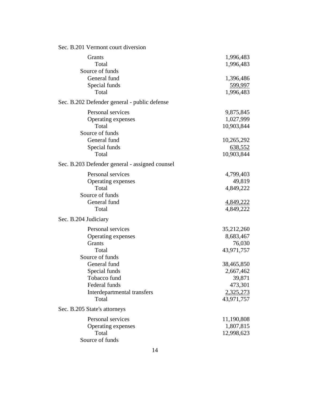| Sec. B.201 Vermont court diversion                                                                     |                                                                         |
|--------------------------------------------------------------------------------------------------------|-------------------------------------------------------------------------|
| Grants<br>Total<br>Source of funds                                                                     | 1,996,483<br>1,996,483                                                  |
| General fund<br>Special funds<br>Total                                                                 | 1,396,486<br>599,997<br>1,996,483                                       |
| Sec. B.202 Defender general - public defense                                                           |                                                                         |
| Personal services<br>Operating expenses<br>Total<br>Source of funds                                    | 9,875,845<br>1,027,999<br>10,903,844                                    |
| General fund<br>Special funds<br>Total                                                                 | 10,265,292<br>638,552<br>10,903,844                                     |
| Sec. B.203 Defender general - assigned counsel                                                         |                                                                         |
| Personal services<br>Operating expenses<br>Total                                                       | 4,799,403<br>49,819<br>4,849,222                                        |
| Source of funds<br>General fund<br>Total                                                               | 4,849,222<br>4,849,222                                                  |
| Sec. B.204 Judiciary                                                                                   |                                                                         |
| Personal services<br>Operating expenses<br>Grants<br>Total<br>Source of funds                          | 35,212,260<br>8,683,467<br>76,030<br>43,971,757                         |
| General fund<br>Special funds<br>Tobacco fund<br>Federal funds<br>Interdepartmental transfers<br>Total | 38,465,850<br>2,667,462<br>39,871<br>473,301<br>2,325,273<br>43,971,757 |
| Sec. B.205 State's attorneys                                                                           |                                                                         |
| Personal services<br>Operating expenses<br>Total<br>Source of funds                                    | 11,190,808<br>1,807,815<br>12,998,623                                   |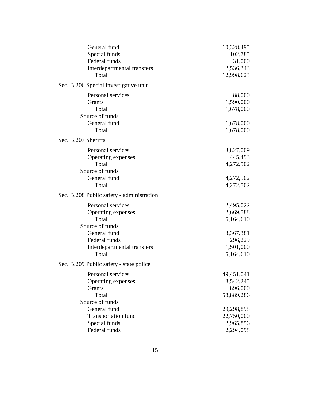| General fund                              | 10,328,495       |
|-------------------------------------------|------------------|
| Special funds                             | 102,785          |
| Federal funds                             | 31,000           |
| Interdepartmental transfers               | 2,536,343        |
| Total                                     | 12,998,623       |
| Sec. B.206 Special investigative unit     |                  |
| Personal services                         | 88,000           |
| Grants                                    | 1,590,000        |
| Total                                     | 1,678,000        |
| Source of funds                           |                  |
| General fund                              | 1,678,000        |
| Total                                     | 1,678,000        |
| Sec. B.207 Sheriffs                       |                  |
| Personal services                         | 3,827,009        |
| Operating expenses                        | 445,493          |
| Total                                     | 4,272,502        |
| Source of funds                           |                  |
| General fund                              | <u>4,272,502</u> |
| Total                                     | 4,272,502        |
| Sec. B.208 Public safety - administration |                  |
| Personal services                         | 2,495,022        |
| Operating expenses                        | 2,669,588        |
| Total                                     | 5,164,610        |
| Source of funds                           |                  |
| General fund                              | 3,367,381        |
| Federal funds                             | 296,229          |
| Interdepartmental transfers               | 1,501,000        |
| Total                                     | 5,164,610        |
| Sec. B.209 Public safety - state police   |                  |
| Personal services                         | 49,451,041       |
| Operating expenses                        | 8,542,245        |
| Grants                                    | 896,000          |
| Total                                     | 58,889,286       |
| Source of funds                           |                  |
| General fund                              | 29,298,898       |
| <b>Transportation fund</b>                | 22,750,000       |
| Special funds                             | 2,965,856        |
| Federal funds                             | 2,294,098        |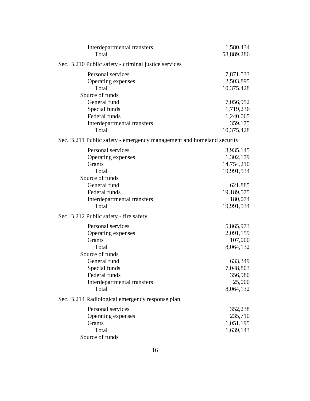| Interdepartmental transfers<br>Total                                                                      | 1,580,434<br>58,889,286                                       |
|-----------------------------------------------------------------------------------------------------------|---------------------------------------------------------------|
| Sec. B.210 Public safety - criminal justice services                                                      |                                                               |
| Personal services<br>Operating expenses<br>Total                                                          | 7,871,533<br>2,503,895<br>10,375,428                          |
| Source of funds<br>General fund<br>Special funds<br>Federal funds<br>Interdepartmental transfers<br>Total | 7,056,952<br>1,719,236<br>1,240,065<br>359,175<br>10,375,428  |
| Sec. B.211 Public safety - emergency management and homeland security                                     |                                                               |
| Personal services<br>Operating expenses<br>Grants<br>Total<br>Source of funds<br>General fund             | 3,935,145<br>1,302,179<br>14,754,210<br>19,991,534<br>621,885 |
| Federal funds<br>Interdepartmental transfers<br>Total                                                     | 19,189,575<br>180,074<br>19,991,534                           |
| Sec. B.212 Public safety - fire safety                                                                    |                                                               |
| Personal services<br>Operating expenses<br>Grants<br>Total<br>Source of funds                             | 5,865,973<br>2,091,159<br>107,000<br>8,064,132                |
| General fund<br>Special funds<br>Federal funds<br>Interdepartmental transfers<br>Total                    | 633,349<br>7,048,803<br>356,980<br>25,000<br>8,064,132        |
| Sec. B.214 Radiological emergency response plan                                                           |                                                               |
| Personal services<br>Operating expenses<br>Grants<br>Total<br>Source of funds                             | 352,238<br>235,710<br>1,051,195<br>1,639,143                  |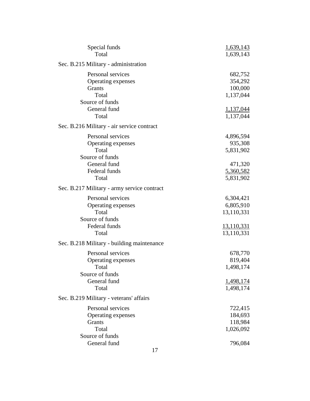| Special funds                               | 1,639,143         |
|---------------------------------------------|-------------------|
| Total                                       | 1,639,143         |
| Sec. B.215 Military - administration        |                   |
| Personal services                           | 682,752           |
| Operating expenses                          | 354,292           |
| Grants                                      | 100,000           |
| Total                                       | 1,137,044         |
| Source of funds                             |                   |
| General fund                                | 1,137,044         |
| Total                                       | 1,137,044         |
| Sec. B.216 Military - air service contract  |                   |
| Personal services                           | 4,896,594         |
| Operating expenses                          | 935,308           |
| Total                                       | 5,831,902         |
| Source of funds                             |                   |
| General fund                                | 471,320           |
| Federal funds                               | 5,360,582         |
| Total                                       | 5,831,902         |
| Sec. B.217 Military - army service contract |                   |
| Personal services                           | 6,304,421         |
| Operating expenses                          | 6,805,910         |
| Total                                       | 13,110,331        |
| Source of funds                             |                   |
| Federal funds                               | <u>13,110,331</u> |
| Total                                       | 13,110,331        |
| Sec. B.218 Military - building maintenance  |                   |
| Personal services                           | 678,770           |
| Operating expenses                          | 819,404           |
| Total                                       | 1,498,174         |
| Source of funds                             |                   |
| General fund                                | <u>1,498,174</u>  |
| Total                                       | 1,498,174         |
| Sec. B.219 Military - veterans' affairs     |                   |
| Personal services                           | 722,415           |
| Operating expenses                          | 184,693           |
| Grants                                      | 118,984           |
| Total                                       | 1,026,092         |
| Source of funds                             |                   |
| General fund                                | 796,084           |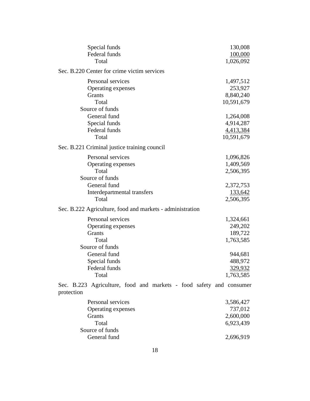| Special funds<br>Federal funds<br>Total                                           | 130,008<br>100,000<br>1,026,092                   |
|-----------------------------------------------------------------------------------|---------------------------------------------------|
| Sec. B.220 Center for crime victim services                                       |                                                   |
| Personal services<br>Operating expenses<br>Grants<br>Total<br>Source of funds     | 1,497,512<br>253,927<br>8,840,240<br>10,591,679   |
| General fund<br>Special funds<br>Federal funds<br>Total                           | 1,264,008<br>4,914,287<br>4,413,384<br>10,591,679 |
| Sec. B.221 Criminal justice training council                                      |                                                   |
| Personal services<br>Operating expenses<br>Total                                  | 1,096,826<br>1,409,569<br>2,506,395               |
| Source of funds<br>General fund<br>Interdepartmental transfers<br>Total           | 2,372,753<br>133,642<br>2,506,395                 |
| Sec. B.222 Agriculture, food and markets - administration                         |                                                   |
| Personal services<br>Operating expenses<br>Grants<br>Total<br>Source of funds     | 1,324,661<br>249,202<br>189,722<br>1,763,585      |
| General fund<br>Special funds<br>Federal funds<br>Total                           | 944,681<br>488,972<br>329,932<br>1,763,585        |
| Sec. B.223 Agriculture, food and markets - food safety and consumer<br>protection |                                                   |
| Personal services<br>Operating expenses<br>Grants<br>Total                        | 3,586,427<br>737,012<br>2,600,000<br>6,923,439    |
| Source of funds<br>General fund                                                   | 2,696,919                                         |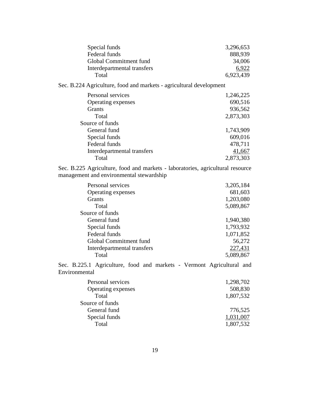| Special funds               | 3,296,653 |
|-----------------------------|-----------|
| Federal funds               | 888,939   |
| Global Commitment fund      | 34,006    |
| Interdepartmental transfers | 6.922     |
| Total                       | 6,923,439 |

Sec. B.224 Agriculture, food and markets - agricultural development

| Personal services           | 1,246,225 |
|-----------------------------|-----------|
| Operating expenses          | 690,516   |
| <b>Grants</b>               | 936,562   |
| Total                       | 2,873,303 |
| Source of funds             |           |
| General fund                | 1,743,909 |
| Special funds               | 609,016   |
| Federal funds               | 478,711   |
| Interdepartmental transfers | 41,667    |
| Total                       | 2,873,303 |
|                             |           |

Sec. B.225 Agriculture, food and markets - laboratories, agricultural resource management and environmental stewardship

| Personal services           | 3,205,184 |
|-----------------------------|-----------|
| Operating expenses          | 681,603   |
| Grants                      | 1,203,080 |
| Total                       | 5,089,867 |
| Source of funds             |           |
| General fund                | 1,940,380 |
| Special funds               | 1,793,932 |
| Federal funds               | 1,071,852 |
| Global Commitment fund      | 56,272    |
| Interdepartmental transfers | 227,431   |
| Total                       | 5,089,867 |

Sec. B.225.1 Agriculture, food and markets - Vermont Agricultural and Environmental

| Personal services  | 1,298,702 |
|--------------------|-----------|
| Operating expenses | 508,830   |
| Total              | 1,807,532 |
| Source of funds    |           |
| General fund       | 776,525   |
| Special funds      | 1,031,007 |
| Total              | 1,807,532 |
|                    |           |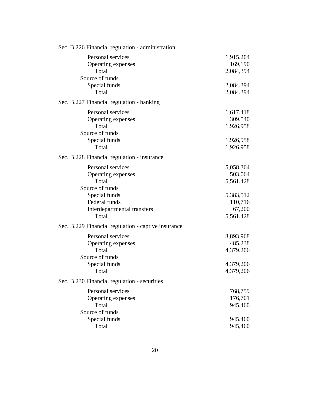| Sec. B.226 Financial regulation - administration                                                                                     |                                                                     |
|--------------------------------------------------------------------------------------------------------------------------------------|---------------------------------------------------------------------|
| Personal services<br>Operating expenses<br>Total                                                                                     | 1,915,204<br>169,190<br>2,084,394                                   |
| Source of funds<br>Special funds<br>Total                                                                                            | 2,084,394<br>2,084,394                                              |
| Sec. B.227 Financial regulation - banking                                                                                            |                                                                     |
| Personal services<br>Operating expenses<br>Total<br>Source of funds<br>Special funds<br>Total                                        | 1,617,418<br>309,540<br>1,926,958<br><u>1,926,958</u><br>1,926,958  |
| Sec. B.228 Financial regulation - insurance                                                                                          |                                                                     |
| Personal services<br>Operating expenses<br>Total<br>Source of funds<br>Special funds<br>Federal funds<br>Interdepartmental transfers | 5,058,364<br>503,064<br>5,561,428<br>5,383,512<br>110,716<br>67,200 |
| Total                                                                                                                                | 5,561,428                                                           |
| Sec. B.229 Financial regulation - captive insurance                                                                                  |                                                                     |
| Personal services<br>Operating expenses<br>Total<br>Source of funds<br>Special funds<br>Total                                        | 3,893,968<br>485,238<br>4,379,206<br><u>4,379,206</u><br>4,379,206  |
| Sec. B.230 Financial regulation - securities                                                                                         |                                                                     |
| Personal services<br>Operating expenses<br>Total<br>Source of funds                                                                  | 768,759<br>176,701<br>945,460                                       |
| Special funds<br>Total                                                                                                               | 945,460<br>945,460                                                  |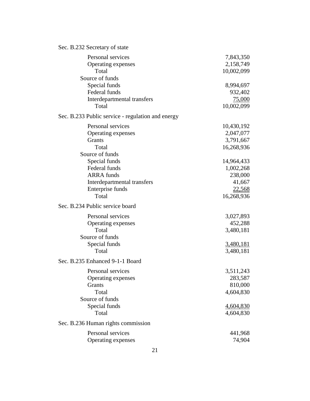|  | Sec. B.232 Secretary of state |  |
|--|-------------------------------|--|
|  |                               |  |

| Personal services                                 | 7,843,350        |
|---------------------------------------------------|------------------|
| Operating expenses                                | 2,158,749        |
| Total                                             | 10,002,099       |
| Source of funds                                   |                  |
| Special funds                                     | 8,994,697        |
| Federal funds                                     | 932,402          |
| Interdepartmental transfers                       | <u>75,000</u>    |
| Total                                             | 10,002,099       |
| Sec. B.233 Public service - regulation and energy |                  |
| Personal services                                 | 10,430,192       |
| Operating expenses                                | 2,047,077        |
| Grants                                            | 3,791,667        |
| Total                                             | 16,268,936       |
| Source of funds                                   |                  |
| Special funds                                     | 14,964,433       |
| Federal funds                                     | 1,002,268        |
| <b>ARRA</b> funds                                 | 238,000          |
| Interdepartmental transfers                       | 41,667           |
| Enterprise funds                                  | 22,568           |
| Total                                             | 16,268,936       |
| Sec. B.234 Public service board                   |                  |
| Personal services                                 | 3,027,893        |
| Operating expenses                                | 452,288          |
| Total                                             | 3,480,181        |
| Source of funds                                   |                  |
| Special funds                                     | <u>3,480,181</u> |
| Total                                             | 3,480,181        |
| Sec. B.235 Enhanced 9-1-1 Board                   |                  |
| Personal services                                 | 3,511,243        |
| Operating expenses                                | 283,587          |
| <b>Grants</b>                                     | 810,000          |
| Total                                             | 4,604,830        |
| Source of funds                                   |                  |
| Special funds                                     | 4,604,830        |
| Total                                             | 4,604,830        |
| Sec. B.236 Human rights commission                |                  |
| Personal services                                 | 441,968          |
| Operating expenses                                | 74,904           |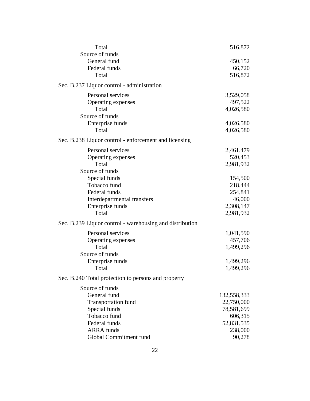| Total                                                    | 516,872     |
|----------------------------------------------------------|-------------|
| Source of funds                                          |             |
| General fund                                             | 450,152     |
| Federal funds                                            | 66,720      |
| Total                                                    | 516,872     |
| Sec. B.237 Liquor control - administration               |             |
| Personal services                                        | 3,529,058   |
| Operating expenses                                       | 497,522     |
| Total                                                    | 4,026,580   |
| Source of funds                                          |             |
| Enterprise funds                                         | 4,026,580   |
| Total                                                    | 4,026,580   |
| Sec. B.238 Liquor control - enforcement and licensing    |             |
| Personal services                                        | 2,461,479   |
| Operating expenses                                       | 520,453     |
| Total                                                    | 2,981,932   |
| Source of funds                                          |             |
| Special funds                                            | 154,500     |
| Tobacco fund                                             | 218,444     |
| Federal funds                                            | 254,841     |
| Interdepartmental transfers                              | 46,000      |
| Enterprise funds                                         | 2,308,147   |
| Total                                                    | 2,981,932   |
| Sec. B.239 Liquor control - warehousing and distribution |             |
| Personal services                                        | 1,041,590   |
| Operating expenses                                       | 457,706     |
| Total                                                    | 1,499,296   |
| Source of funds                                          |             |
| Enterprise funds                                         | 1,499,296   |
| Total                                                    | 1,499,296   |
| Sec. B.240 Total protection to persons and property      |             |
| Source of funds                                          |             |
| General fund                                             | 132,558,333 |
| <b>Transportation fund</b>                               | 22,750,000  |
| Special funds                                            | 78,581,699  |
| Tobacco fund                                             | 606,315     |
| Federal funds                                            | 52,831,535  |
| <b>ARRA</b> funds                                        | 238,000     |
| Global Commitment fund                                   | 90,278      |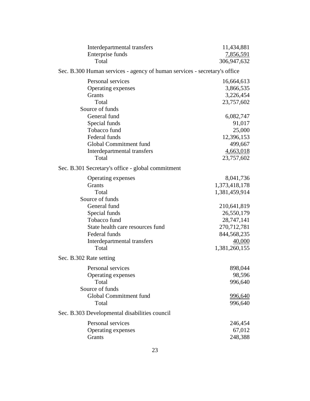| Interdepartmental transfers                                               | 11,434,881     |
|---------------------------------------------------------------------------|----------------|
| Enterprise funds                                                          | 7,856,591      |
| Total                                                                     | 306,947,632    |
| Sec. B.300 Human services - agency of human services - secretary's office |                |
| Personal services                                                         | 16,664,613     |
| Operating expenses                                                        | 3,866,535      |
| Grants                                                                    | 3,226,454      |
| Total                                                                     | 23,757,602     |
| Source of funds                                                           |                |
| General fund                                                              | 6,082,747      |
| Special funds                                                             | 91,017         |
| Tobacco fund                                                              | 25,000         |
| Federal funds                                                             | 12,396,153     |
| Global Commitment fund                                                    | 499,667        |
| Interdepartmental transfers                                               | 4,663,018      |
| Total                                                                     | 23,757,602     |
| Sec. B.301 Secretary's office - global commitment                         |                |
| Operating expenses                                                        | 8,041,736      |
| Grants                                                                    | 1,373,418,178  |
| Total                                                                     | 1,381,459,914  |
| Source of funds                                                           |                |
| General fund                                                              | 210,641,819    |
| Special funds                                                             | 26,550,179     |
| Tobacco fund                                                              | 28,747,141     |
| State health care resources fund                                          | 270,712,781    |
| Federal funds                                                             | 844,568,235    |
| Interdepartmental transfers                                               | 40,000         |
| Total                                                                     | 1,381,260,155  |
| Sec. B.302 Rate setting                                                   |                |
| Personal services                                                         | 898,044        |
| Operating expenses                                                        | 98,596         |
| Total                                                                     | 996,640        |
| Source of funds                                                           |                |
| Global Commitment fund                                                    | <u>996,640</u> |
| Total                                                                     | 996,640        |
| Sec. B.303 Developmental disabilities council                             |                |
| Personal services                                                         | 246,454        |
| Operating expenses                                                        | 67,012         |
| Grants                                                                    | 248,388        |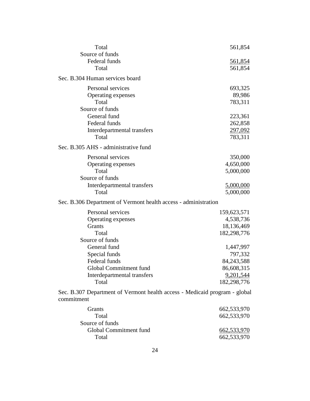| Total                                                                                    | 561,854        |
|------------------------------------------------------------------------------------------|----------------|
| Source of funds                                                                          |                |
| Federal funds                                                                            | <u>561,854</u> |
| Total                                                                                    | 561,854        |
| Sec. B.304 Human services board                                                          |                |
| Personal services                                                                        | 693,325        |
| Operating expenses                                                                       | 89,986         |
| Total                                                                                    | 783,311        |
| Source of funds                                                                          |                |
| General fund                                                                             | 223,361        |
| Federal funds                                                                            | 262,858        |
| Interdepartmental transfers                                                              | 297,092        |
| Total                                                                                    | 783,311        |
| Sec. B.305 AHS - administrative fund                                                     |                |
| Personal services                                                                        | 350,000        |
| Operating expenses                                                                       | 4,650,000      |
| Total                                                                                    | 5,000,000      |
| Source of funds                                                                          |                |
| Interdepartmental transfers                                                              | 5,000,000      |
| Total                                                                                    | 5,000,000      |
| Sec. B.306 Department of Vermont health access - administration                          |                |
|                                                                                          |                |
| Personal services                                                                        | 159,623,571    |
| Operating expenses                                                                       | 4,538,736      |
| <b>Grants</b>                                                                            | 18,136,469     |
| Total                                                                                    | 182,298,776    |
| Source of funds                                                                          |                |
| General fund                                                                             | 1,447,997      |
| Special funds                                                                            | 797,332        |
| Federal funds                                                                            | 84, 243, 588   |
| Global Commitment fund                                                                   | 86,608,315     |
| Interdepartmental transfers                                                              | 9,201,544      |
| Total                                                                                    | 182,298,776    |
| Sec. B.307 Department of Vermont health access - Medicaid program - global<br>commitment |                |
|                                                                                          |                |
| Grants                                                                                   | 662,533,970    |
| Total                                                                                    | 662,533,970    |
| Source of funds                                                                          |                |
| Global Commitment fund                                                                   | 662,533,970    |
| Total                                                                                    | 662,533,970    |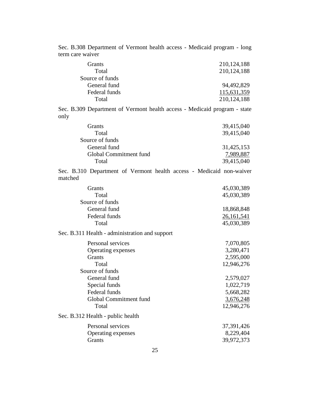Sec. B.308 Department of Vermont health access - Medicaid program - long term care waiver

| <b>Grants</b>   | 210, 124, 188 |
|-----------------|---------------|
| Total           | 210, 124, 188 |
| Source of funds |               |
| General fund    | 94,492,829    |
| Federal funds   | 115,631,359   |
| Total           | 210, 124, 188 |

Sec. B.309 Department of Vermont health access - Medicaid program - state only

| <b>Grants</b>          | 39,415,040 |
|------------------------|------------|
| Total                  | 39,415,040 |
| Source of funds        |            |
| General fund           | 31,425,153 |
| Global Commitment fund | 7,989,887  |
| Total                  | 39,415,040 |
|                        |            |

Sec. B.310 Department of Vermont health access - Medicaid non-waiver matched

| <b>Grants</b>   | 45,030,389   |
|-----------------|--------------|
| Total           | 45,030,389   |
| Source of funds |              |
| General fund    | 18,868,848   |
| Federal funds   | 26, 161, 541 |
| Total           | 45,030,389   |
|                 |              |

#### Sec. B.311 Health - administration and support

| Personal services                 | 7,070,805  |
|-----------------------------------|------------|
| Operating expenses                | 3,280,471  |
| <b>Grants</b>                     | 2,595,000  |
| Total                             | 12,946,276 |
| Source of funds                   |            |
| General fund                      | 2,579,027  |
| Special funds                     | 1,022,719  |
| Federal funds                     | 5,668,282  |
| Global Commitment fund            | 3,676,248  |
| Total                             | 12,946,276 |
| Sec. B.312 Health - public health |            |
| Personal services                 | 37,391,426 |
| Operating expenses                | 8,229,404  |
| Grants                            | 39,972,373 |
|                                   |            |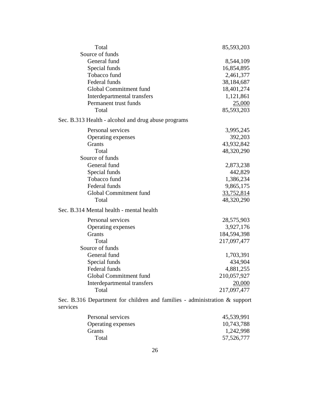| Total                                                                                     | 85,593,203  |  |
|-------------------------------------------------------------------------------------------|-------------|--|
| Source of funds                                                                           |             |  |
| General fund                                                                              | 8,544,109   |  |
| Special funds                                                                             | 16,854,895  |  |
| Tobacco fund                                                                              | 2,461,377   |  |
| Federal funds                                                                             | 38,184,687  |  |
| Global Commitment fund                                                                    | 18,401,274  |  |
| Interdepartmental transfers                                                               | 1,121,861   |  |
| Permanent trust funds                                                                     | 25,000      |  |
| Total                                                                                     | 85,593,203  |  |
| Sec. B.313 Health - alcohol and drug abuse programs                                       |             |  |
| Personal services                                                                         | 3,995,245   |  |
| Operating expenses                                                                        | 392,203     |  |
| Grants                                                                                    | 43,932,842  |  |
| Total                                                                                     | 48,320,290  |  |
| Source of funds                                                                           |             |  |
| General fund                                                                              | 2,873,238   |  |
| Special funds                                                                             | 442,829     |  |
| Tobacco fund                                                                              | 1,386,234   |  |
| Federal funds                                                                             | 9,865,175   |  |
| Global Commitment fund                                                                    | 33,752,814  |  |
| Total                                                                                     | 48,320,290  |  |
| Sec. B.314 Mental health - mental health                                                  |             |  |
| Personal services                                                                         | 28,575,903  |  |
| Operating expenses                                                                        | 3,927,176   |  |
| Grants                                                                                    | 184,594,398 |  |
| Total                                                                                     | 217,097,477 |  |
| Source of funds                                                                           |             |  |
| General fund                                                                              | 1,703,391   |  |
| Special funds                                                                             | 434,904     |  |
| Federal funds                                                                             | 4,881,255   |  |
| Global Commitment fund                                                                    | 210,057,927 |  |
| Interdepartmental transfers                                                               | 20,000      |  |
| Total                                                                                     | 217,097,477 |  |
| Sec. B.316 Department for children and families - administration $\&$ support<br>services |             |  |

| Personal services  | 45,539,991 |
|--------------------|------------|
| Operating expenses | 10,743,788 |
| Grants             | 1,242,998  |
| Total              | 57,526,777 |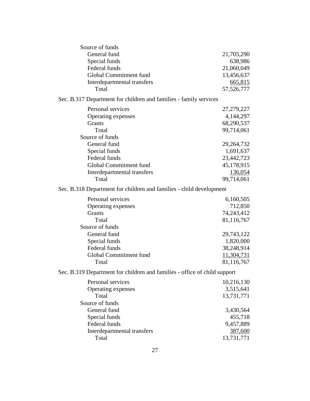| Source of funds                                                           |                       |  |
|---------------------------------------------------------------------------|-----------------------|--|
| General fund                                                              | 21,705,290            |  |
| Special funds                                                             | 638,986               |  |
| Federal funds                                                             | 21,060,049            |  |
| Global Commitment fund                                                    | 13,456,637            |  |
| Interdepartmental transfers                                               | 665,815               |  |
| Total                                                                     | 57,526,777            |  |
| Sec. B.317 Department for children and families - family services         |                       |  |
| Personal services                                                         | 27,279,227            |  |
| Operating expenses                                                        | 4,144,297             |  |
| Grants                                                                    | 68,290,537            |  |
| Total                                                                     | 99,714,061            |  |
| Source of funds                                                           |                       |  |
| General fund                                                              | 29,264,732            |  |
| Special funds                                                             | 1,691,637             |  |
| Federal funds                                                             | 23,442,723            |  |
| Global Commitment fund                                                    | 45,178,915            |  |
| Interdepartmental transfers                                               | 136,054               |  |
| Total                                                                     | 99,714,061            |  |
| Sec. B.318 Department for children and families - child development       |                       |  |
| Personal services                                                         | 6,160,505             |  |
| Operating expenses                                                        | 712,850               |  |
| Grants                                                                    | 74,243,412            |  |
| Total                                                                     | 81,116,767            |  |
| Source of funds                                                           |                       |  |
| General fund                                                              | 29,743,122            |  |
| Special funds                                                             | 1,820,000             |  |
| Federal funds                                                             | 38,248,914            |  |
| Global Commitment fund                                                    | 11,304,731            |  |
| Total                                                                     | 81,116,767            |  |
| Sec. B.319 Department for children and families - office of child support |                       |  |
| Personal services                                                         | 10,216,130            |  |
| Operating expenses                                                        | 3,515,641             |  |
| Total                                                                     | 13,731,771            |  |
| Source of funds                                                           |                       |  |
| General fund                                                              | 3,430,564             |  |
| Special funds                                                             | 455,718               |  |
| Federal funds                                                             |                       |  |
|                                                                           | 9,457,889             |  |
| Interdepartmental transfers<br>Total                                      | 387,600<br>13,731,771 |  |
|                                                                           |                       |  |
| 27                                                                        |                       |  |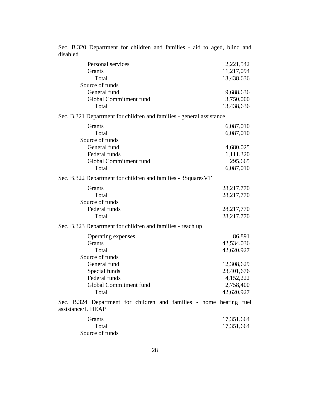| Personal services                                                                        | 2,221,542    |  |
|------------------------------------------------------------------------------------------|--------------|--|
| Grants                                                                                   | 11,217,094   |  |
| Total                                                                                    | 13,438,636   |  |
| Source of funds                                                                          |              |  |
| General fund                                                                             | 9,688,636    |  |
| Global Commitment fund                                                                   | 3,750,000    |  |
| Total                                                                                    | 13,438,636   |  |
| Sec. B.321 Department for children and families - general assistance                     |              |  |
| Grants                                                                                   | 6,087,010    |  |
| Total                                                                                    | 6,087,010    |  |
| Source of funds                                                                          |              |  |
| General fund                                                                             | 4,680,025    |  |
| Federal funds                                                                            | 1,111,320    |  |
| Global Commitment fund                                                                   | 295,665      |  |
| Total                                                                                    | 6,087,010    |  |
| Sec. B.322 Department for children and families - 3Squares VT                            |              |  |
| Grants                                                                                   | 28,217,770   |  |
| Total                                                                                    | 28, 217, 770 |  |
| Source of funds                                                                          |              |  |
| Federal funds                                                                            | 28,217,770   |  |
| Total                                                                                    | 28,217,770   |  |
| Sec. B.323 Department for children and families - reach up                               |              |  |
| Operating expenses                                                                       | 86,891       |  |
| Grants                                                                                   | 42,534,036   |  |
| Total                                                                                    | 42,620,927   |  |
| Source of funds                                                                          |              |  |
| General fund                                                                             | 12,308,629   |  |
| Special funds                                                                            | 23,401,676   |  |
| Federal funds                                                                            | 4,152,222    |  |
| Global Commitment fund                                                                   | 2,758,400    |  |
| Total                                                                                    | 42,620,927   |  |
| Sec. B.324 Department for children and families - home heating fuel<br>assistance/LIHEAP |              |  |
| Grants                                                                                   | 17,351,664   |  |
| Total                                                                                    | 17,351,664   |  |
| Source of funds                                                                          |              |  |

Sec. B.320 Department for children and families - aid to aged, blind and disabled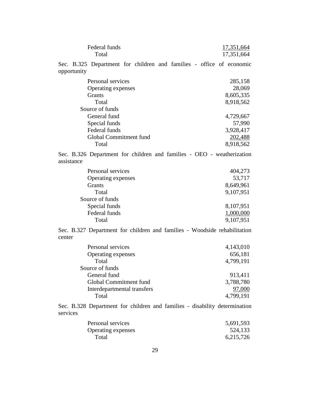| Federal funds<br>Total                                                              | 17,351,664<br>17,351,664 |
|-------------------------------------------------------------------------------------|--------------------------|
| Sec. B.325 Department for children and families - office of economic<br>opportunity |                          |
| Personal services                                                                   | 285,158                  |
| Operating expenses                                                                  | 28,069                   |
| Grants                                                                              | 8,605,335                |
| Total                                                                               | 8,918,562                |
| Source of funds                                                                     |                          |
| General fund                                                                        | 4,729,667                |
| Special funds                                                                       | 57,990                   |
| Federal funds                                                                       | 3,928,417                |
| Global Commitment fund                                                              | 202,488                  |
| Total                                                                               | 8,918,562                |

Sec. B.326 Department for children and families - OEO - weatherization assistance

| Personal services  | 404,273   |
|--------------------|-----------|
| Operating expenses | 53,717    |
| <b>Grants</b>      | 8,649,961 |
| Total              | 9,107,951 |
| Source of funds    |           |
| Special funds      | 8,107,951 |
| Federal funds      | 1,000,000 |
| Total              | 9,107,951 |

Sec. B.327 Department for children and families - Woodside rehabilitation center

| Personal services           | 4,143,010 |
|-----------------------------|-----------|
| Operating expenses          | 656,181   |
| Total                       | 4,799,191 |
| Source of funds             |           |
| General fund                | 913,411   |
| Global Commitment fund      | 3,788,780 |
| Interdepartmental transfers | 97,000    |
| Total                       | 4,799,191 |

Sec. B.328 Department for children and families - disability determination services

| Personal services  | 5,691,593 |
|--------------------|-----------|
| Operating expenses | 524,133   |
| Total              | 6,215,726 |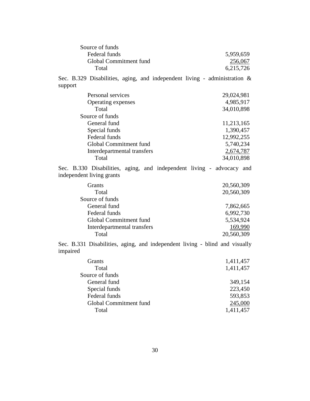| Source of funds        |           |
|------------------------|-----------|
| Federal funds          | 5,959,659 |
| Global Commitment fund | 256,067   |
| Total                  | 6,215,726 |

Sec. B.329 Disabilities, aging, and independent living - administration & support

| Personal services           | 29,024,981 |
|-----------------------------|------------|
| Operating expenses          | 4,985,917  |
| Total                       | 34,010,898 |
| Source of funds             |            |
| General fund                | 11,213,165 |
| Special funds               | 1,390,457  |
| Federal funds               | 12,992,255 |
| Global Commitment fund      | 5,740,234  |
| Interdepartmental transfers | 2,674,787  |
| Total                       | 34,010,898 |
|                             |            |

Sec. B.330 Disabilities, aging, and independent living - advocacy and independent living grants

| 20,560,309 |
|------------|
| 20,560,309 |
|            |
| 7,862,665  |
| 6,992,730  |
| 5,534,924  |
| 169,990    |
| 20,560,309 |
|            |

Sec. B.331 Disabilities, aging, and independent living - blind and visually impaired

| <b>Grants</b>          | 1,411,457 |
|------------------------|-----------|
| Total                  | 1,411,457 |
| Source of funds        |           |
| General fund           | 349,154   |
| Special funds          | 223,450   |
| Federal funds          | 593,853   |
| Global Commitment fund | 245,000   |
| Total                  | 1,411,457 |
|                        |           |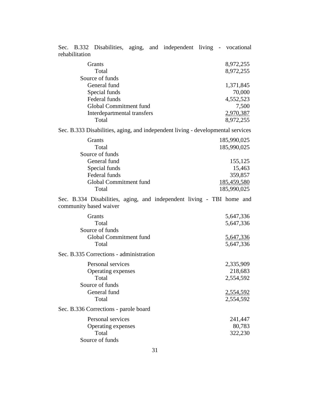| Sec. B.332 Disabilities, aging, and independent living - vocational<br>rehabilitation           |                             |  |                        |
|-------------------------------------------------------------------------------------------------|-----------------------------|--|------------------------|
| Grants<br>Total                                                                                 |                             |  | 8,972,255<br>8,972,255 |
| Source of funds                                                                                 |                             |  |                        |
| General fund                                                                                    |                             |  | 1,371,845              |
| Special funds                                                                                   |                             |  | 70,000                 |
| Federal funds                                                                                   |                             |  | 4,552,523              |
|                                                                                                 | Global Commitment fund      |  | 7,500                  |
| Total                                                                                           | Interdepartmental transfers |  | 2,970,387<br>8,972,255 |
| Sec. B.333 Disabilities, aging, and independent living - developmental services                 |                             |  |                        |
|                                                                                                 |                             |  |                        |
| Grants                                                                                          |                             |  | 185,990,025            |
| Total                                                                                           |                             |  | 185,990,025            |
| Source of funds                                                                                 |                             |  |                        |
| General fund                                                                                    |                             |  | 155,125                |
| Special funds<br>Federal funds                                                                  |                             |  | 15,463<br>359,857      |
|                                                                                                 | Global Commitment fund      |  | <u>185,459,580</u>     |
| Total                                                                                           |                             |  | 185,990,025            |
|                                                                                                 |                             |  |                        |
| Sec. B.334 Disabilities, aging, and independent living - TBI home and<br>community based waiver |                             |  |                        |
| Grants                                                                                          |                             |  |                        |
| Total                                                                                           |                             |  | 5,647,336<br>5,647,336 |
| Source of funds                                                                                 |                             |  |                        |
|                                                                                                 | Global Commitment fund      |  | 5,647,336              |
| Total                                                                                           |                             |  | 5,647,336              |
| Sec. B.335 Corrections - administration                                                         |                             |  |                        |
|                                                                                                 | Personal services           |  | 2,335,909              |
|                                                                                                 | Operating expenses          |  | 218,683                |
| Total                                                                                           |                             |  | 2,554,592              |
| Source of funds                                                                                 |                             |  |                        |
| General fund                                                                                    |                             |  | 2,554,592              |
| Total                                                                                           |                             |  | 2,554,592              |
| Sec. B.336 Corrections - parole board                                                           |                             |  |                        |
|                                                                                                 | Personal services           |  | 241,447                |
|                                                                                                 | Operating expenses          |  | 80,783                 |
| Total<br>Source of funds                                                                        |                             |  | 322,230                |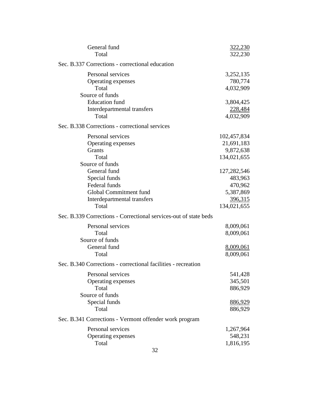| General fund                                                     | <u>322,230</u> |
|------------------------------------------------------------------|----------------|
| Total                                                            | 322,230        |
| Sec. B.337 Corrections - correctional education                  |                |
| Personal services                                                | 3,252,135      |
| Operating expenses                                               | 780,774        |
| Total                                                            | 4,032,909      |
| Source of funds                                                  |                |
| <b>Education</b> fund                                            | 3,804,425      |
| Interdepartmental transfers                                      | 228,484        |
| Total                                                            | 4,032,909      |
| Sec. B.338 Corrections - correctional services                   |                |
| Personal services                                                | 102,457,834    |
| Operating expenses                                               | 21,691,183     |
| <b>Grants</b>                                                    | 9,872,638      |
| Total                                                            | 134,021,655    |
| Source of funds                                                  |                |
| General fund                                                     | 127,282,546    |
| Special funds                                                    | 483,963        |
| Federal funds                                                    | 470,962        |
| Global Commitment fund                                           | 5,387,869      |
| Interdepartmental transfers                                      | 396,315        |
| Total                                                            | 134,021,655    |
| Sec. B.339 Corrections - Correctional services-out of state beds |                |
| Personal services                                                | 8,009,061      |
| Total                                                            | 8,009,061      |
| Source of funds                                                  |                |
| General fund                                                     | 8,009,061      |
| Total                                                            | 8,009,061      |
| Sec. B.340 Corrections - correctional facilities - recreation    |                |
| Personal services                                                | 541,428        |
| Operating expenses                                               | 345,501        |
| Total                                                            | 886,929        |
| Source of funds                                                  |                |
| Special funds                                                    | <u>886,929</u> |
| Total                                                            | 886,929        |
| Sec. B.341 Corrections - Vermont offender work program           |                |
| Personal services                                                | 1,267,964      |
| Operating expenses                                               | 548,231        |
| Total                                                            | 1,816,195      |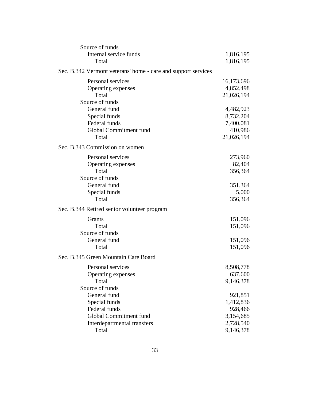| Source of funds                                               |                  |
|---------------------------------------------------------------|------------------|
| Internal service funds                                        | <u>1,816,195</u> |
| Total                                                         | 1,816,195        |
| Sec. B.342 Vermont veterans' home - care and support services |                  |
| Personal services                                             | 16,173,696       |
| Operating expenses                                            | 4,852,498        |
| Total                                                         | 21,026,194       |
| Source of funds                                               |                  |
| General fund                                                  | 4,482,923        |
| Special funds                                                 | 8,732,204        |
| Federal funds                                                 | 7,400,081        |
| Global Commitment fund                                        | 410,986          |
| Total                                                         | 21,026,194       |
| Sec. B.343 Commission on women                                |                  |
| Personal services                                             | 273,960          |
| Operating expenses                                            | 82,404           |
| Total                                                         | 356,364          |
| Source of funds                                               |                  |
| General fund                                                  | 351,364          |
| Special funds                                                 | 5,000            |
| Total                                                         | 356,364          |
| Sec. B.344 Retired senior volunteer program                   |                  |
| Grants                                                        | 151,096          |
| Total                                                         | 151,096          |
| Source of funds                                               |                  |
| General fund                                                  | <u>151,096</u>   |
| Total                                                         | 151,096          |
| Sec. B.345 Green Mountain Care Board                          |                  |
| Personal services                                             | 8,508,778        |
| Operating expenses                                            | 637,600          |
| Total                                                         | 9,146,378        |
| Source of funds                                               |                  |
| General fund                                                  | 921,851          |
| Special funds                                                 | 1,412,836        |
| Federal funds                                                 | 928,466          |
| Global Commitment fund                                        | 3,154,685        |
| Interdepartmental transfers                                   | 2,728,540        |
| Total                                                         | 9,146,378        |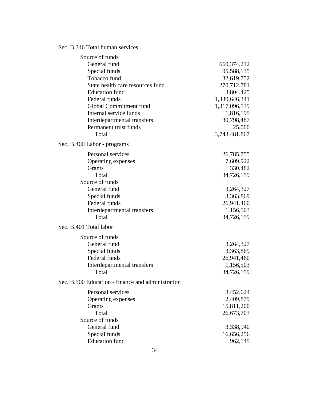#### Sec. B.346 Total human services

| Source of funds                                   |               |
|---------------------------------------------------|---------------|
| General fund                                      | 660, 374, 212 |
| Special funds                                     | 95,588,135    |
| Tobacco fund                                      | 32,619,752    |
| State health care resources fund                  | 270,712,781   |
| <b>Education</b> fund                             | 3,804,425     |
| Federal funds                                     | 1,330,646,341 |
| Global Commitment fund                            | 1,317,096,539 |
| Internal service funds                            | 1,816,195     |
| Interdepartmental transfers                       | 30,798,487    |
| Permanent trust funds                             | 25,000        |
| Total                                             | 3,743,481,867 |
| Sec. B.400 Labor - programs                       |               |
| Personal services                                 | 26,785,755    |
| Operating expenses                                | 7,609,922     |
| Grants                                            | 330,482       |
| Total                                             | 34,726,159    |
| Source of funds                                   |               |
| General fund                                      | 3,264,327     |
| Special funds                                     | 3,363,869     |
| Federal funds                                     | 26,941,460    |
| Interdepartmental transfers                       | 1,156,503     |
| Total                                             | 34,726,159    |
| Sec. B.401 Total labor                            |               |
| Source of funds                                   |               |
| General fund                                      | 3,264,327     |
| Special funds                                     | 3,363,869     |
| Federal funds                                     | 26,941,460    |
| Interdepartmental transfers                       | 1,156,503     |
| Total                                             | 34,726,159    |
| Sec. B.500 Education - finance and administration |               |
| Personal services                                 | 8,452,624     |
| Operating expenses                                | 2,409,879     |
| Grants                                            | 15,811,200    |
| Total                                             | 26,673,703    |
| Source of funds                                   |               |
| General fund                                      | 3,338,940     |
| Special funds                                     | 16,656,256    |
| <b>Education</b> fund                             | 962,145       |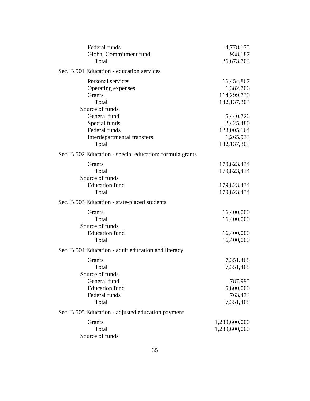| Federal funds                                            | 4,778,175          |
|----------------------------------------------------------|--------------------|
| Global Commitment fund                                   | 938,187            |
| Total                                                    | 26,673,703         |
| Sec. B.501 Education - education services                |                    |
| Personal services                                        | 16,454,867         |
| Operating expenses                                       | 1,382,706          |
| <b>Grants</b>                                            | 114,299,730        |
| Total                                                    | 132, 137, 303      |
| Source of funds                                          |                    |
| General fund                                             | 5,440,726          |
| Special funds                                            | 2,425,480          |
| Federal funds                                            | 123,005,164        |
| Interdepartmental transfers                              | 1,265,933          |
| Total                                                    | 132, 137, 303      |
| Sec. B.502 Education - special education: formula grants |                    |
| Grants                                                   | 179,823,434        |
| Total                                                    | 179,823,434        |
| Source of funds                                          |                    |
| <b>Education</b> fund                                    | <u>179,823,434</u> |
| Total                                                    | 179,823,434        |
| Sec. B.503 Education - state-placed students             |                    |
| <b>Grants</b>                                            | 16,400,000         |
| Total                                                    | 16,400,000         |
| Source of funds                                          |                    |
| <b>Education</b> fund                                    | 16,400,000         |
| Total                                                    | 16,400,000         |
| Sec. B.504 Education - adult education and literacy      |                    |
| <b>Grants</b>                                            | 7,351,468          |
| Total                                                    | 7,351,468          |
| Source of funds                                          |                    |
| General fund                                             | 787,995            |
| <b>Education</b> fund                                    | 5,800,000          |
| Federal funds                                            | 763,473            |
| Total                                                    | 7,351,468          |
| Sec. B.505 Education - adjusted education payment        |                    |
| Grants                                                   | 1,289,600,000      |
| Total                                                    | 1,289,600,000      |
| Source of funds                                          |                    |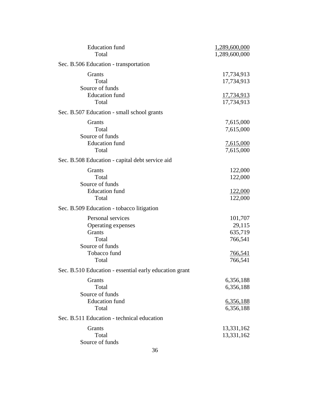| <b>Education</b> fund                                  | 1,289,600,000     |
|--------------------------------------------------------|-------------------|
| Total                                                  | 1,289,600,000     |
| Sec. B.506 Education - transportation                  |                   |
| Grants                                                 | 17,734,913        |
| Total                                                  | 17,734,913        |
| Source of funds                                        |                   |
| <b>Education</b> fund                                  | <u>17,734,913</u> |
| Total                                                  | 17,734,913        |
| Sec. B.507 Education - small school grants             |                   |
| Grants                                                 | 7,615,000         |
| Total                                                  | 7,615,000         |
| Source of funds                                        |                   |
| <b>Education</b> fund                                  | 7,615,000         |
| Total                                                  | 7,615,000         |
| Sec. B.508 Education - capital debt service aid        |                   |
| Grants                                                 | 122,000           |
| Total                                                  | 122,000           |
| Source of funds                                        |                   |
| <b>Education</b> fund                                  | <u>122,000</u>    |
| Total                                                  | 122,000           |
| Sec. B.509 Education - tobacco litigation              |                   |
| Personal services                                      | 101,707           |
| Operating expenses                                     | 29,115            |
| Grants                                                 | 635,719           |
| Total                                                  | 766,541           |
| Source of funds                                        |                   |
| Tobacco fund                                           | <u>766,541</u>    |
| Total                                                  | 766,541           |
| Sec. B.510 Education - essential early education grant |                   |
| <b>Grants</b>                                          | 6,356,188         |
| Total                                                  | 6,356,188         |
| Source of funds                                        |                   |
| <b>Education</b> fund                                  | 6,356,188         |
| Total                                                  | 6,356,188         |
| Sec. B.511 Education - technical education             |                   |
| Grants                                                 | 13,331,162        |
| Total                                                  | 13,331,162        |
| Source of funds                                        |                   |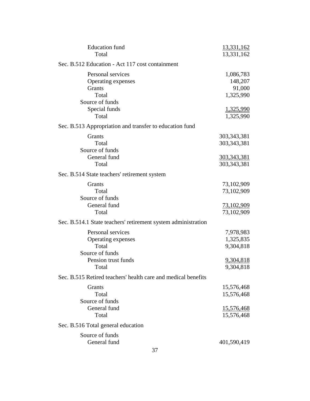| <b>Education</b> fund                                         | 13,331,162        |
|---------------------------------------------------------------|-------------------|
| Total                                                         | 13,331,162        |
| Sec. B.512 Education - Act 117 cost containment               |                   |
| Personal services                                             | 1,086,783         |
| Operating expenses                                            | 148,207           |
| <b>Grants</b>                                                 | 91,000            |
| Total                                                         | 1,325,990         |
| Source of funds                                               |                   |
| Special funds                                                 | 1,325,990         |
| Total                                                         | 1,325,990         |
| Sec. B.513 Appropriation and transfer to education fund       |                   |
| Grants                                                        | 303, 343, 381     |
| Total                                                         | 303, 343, 381     |
| Source of funds                                               |                   |
| General fund                                                  | 303,343,381       |
| Total                                                         | 303, 343, 381     |
| Sec. B.514 State teachers' retirement system                  |                   |
| Grants                                                        | 73,102,909        |
| Total                                                         | 73,102,909        |
| Source of funds                                               |                   |
| General fund                                                  | <u>73,102,909</u> |
| Total                                                         | 73,102,909        |
| Sec. B.514.1 State teachers' retirement system administration |                   |
| Personal services                                             | 7,978,983         |
| Operating expenses                                            | 1,325,835         |
| Total                                                         | 9,304,818         |
| Source of funds                                               |                   |
| Pension trust funds                                           | 9,304,818         |
| Total                                                         | 9,304,818         |
| Sec. B.515 Retired teachers' health care and medical benefits |                   |
| <b>Grants</b>                                                 | 15,576,468        |
| Total                                                         | 15,576,468        |
| Source of funds                                               |                   |
| General fund                                                  | 15,576,468        |
| Total                                                         | 15,576,468        |
| Sec. B.516 Total general education                            |                   |
| Source of funds                                               |                   |
| General fund                                                  | 401,590,419       |
|                                                               |                   |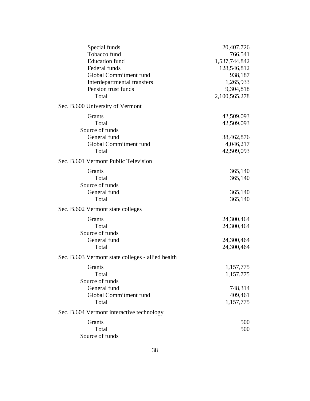| Special funds                                     | 20,407,726     |
|---------------------------------------------------|----------------|
| Tobacco fund                                      | 766,541        |
| <b>Education</b> fund                             | 1,537,744,842  |
| Federal funds                                     | 128,546,812    |
| Global Commitment fund                            | 938,187        |
| Interdepartmental transfers                       | 1,265,933      |
| Pension trust funds                               | 9,304,818      |
| Total                                             | 2,100,565,278  |
| Sec. B.600 University of Vermont                  |                |
| Grants                                            | 42,509,093     |
| Total                                             | 42,509,093     |
| Source of funds                                   |                |
| General fund                                      | 38,462,876     |
| Global Commitment fund                            | 4,046,217      |
| Total                                             | 42,509,093     |
| Sec. B.601 Vermont Public Television              |                |
| Grants                                            | 365,140        |
| Total                                             | 365,140        |
| Source of funds                                   |                |
|                                                   |                |
| General fund                                      | <u>365,140</u> |
| Total                                             | 365,140        |
| Sec. B.602 Vermont state colleges                 |                |
| Grants                                            | 24,300,464     |
| Total                                             | 24,300,464     |
| Source of funds                                   |                |
| General fund                                      | 24,300,464     |
| Total                                             | 24,300,464     |
| Sec. B.603 Vermont state colleges - allied health |                |
| <b>Grants</b>                                     | 1,157,775      |
| Total                                             | 1,157,775      |
| Source of funds                                   |                |
| General fund                                      | 748,314        |
| Global Commitment fund                            | 409,461        |
| Total                                             | 1,157,775      |
| Sec. B.604 Vermont interactive technology         |                |
| Grants                                            | 500            |
| Total                                             | 500            |
| Source of funds                                   |                |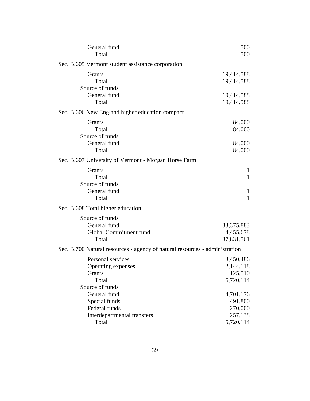| General fund                                                                | 500               |
|-----------------------------------------------------------------------------|-------------------|
| Total                                                                       | 500               |
| Sec. B.605 Vermont student assistance corporation                           |                   |
| Grants                                                                      | 19,414,588        |
| Total                                                                       | 19,414,588        |
| Source of funds                                                             |                   |
| General fund                                                                | <u>19,414,588</u> |
| Total                                                                       | 19,414,588        |
| Sec. B.606 New England higher education compact                             |                   |
| Grants                                                                      | 84,000            |
| Total                                                                       | 84,000            |
| Source of funds                                                             |                   |
| General fund                                                                | 84,000            |
| Total                                                                       | 84,000            |
| Sec. B.607 University of Vermont - Morgan Horse Farm                        |                   |
| Grants                                                                      | 1                 |
| Total                                                                       | $\mathbf{1}$      |
| Source of funds                                                             |                   |
| General fund                                                                | $\overline{1}$    |
| Total                                                                       | $\mathbf{1}$      |
| Sec. B.608 Total higher education                                           |                   |
| Source of funds                                                             |                   |
| General fund                                                                | 83, 375, 883      |
| Global Commitment fund                                                      | <u>4,455,678</u>  |
| Total                                                                       | 87,831,561        |
| Sec. B.700 Natural resources - agency of natural resources - administration |                   |
| Personal services                                                           | 3,450,486         |
| Operating expenses                                                          | 2,144,118         |
| Grants                                                                      | 125,510           |
| Total                                                                       | 5,720,114         |
| Source of funds                                                             |                   |
| General fund                                                                | 4,701,176         |
| Special funds                                                               | 491,800           |
| Federal funds                                                               | 270,000           |
| Interdepartmental transfers                                                 | 257,138           |
| Total                                                                       | 5,720,114         |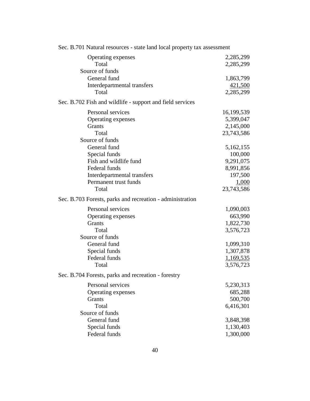| Sec. D./OT I valural resources - state failu focal property tax assessment |            |
|----------------------------------------------------------------------------|------------|
| Operating expenses                                                         | 2,285,299  |
| Total                                                                      | 2,285,299  |
| Source of funds                                                            |            |
| General fund                                                               | 1,863,799  |
| Interdepartmental transfers                                                | 421,500    |
| Total                                                                      | 2,285,299  |
| Sec. B.702 Fish and wildlife - support and field services                  |            |
| Personal services                                                          | 16,199,539 |
| Operating expenses                                                         | 5,399,047  |
| Grants                                                                     | 2,145,000  |
| Total                                                                      | 23,743,586 |
| Source of funds                                                            |            |
| General fund                                                               | 5,162,155  |
| Special funds                                                              | 100,000    |
| Fish and wildlife fund                                                     | 9,291,075  |
| Federal funds                                                              | 8,991,856  |
| Interdepartmental transfers                                                | 197,500    |
| Permanent trust funds                                                      | 1,000      |
| Total                                                                      | 23,743,586 |
| Sec. B.703 Forests, parks and recreation - administration                  |            |
| Personal services                                                          | 1,090,003  |
| Operating expenses                                                         | 663,990    |
| Grants                                                                     | 1,822,730  |
| Total                                                                      | 3,576,723  |
| Source of funds                                                            |            |
| General fund                                                               | 1,099,310  |
| Special funds                                                              | 1,307,878  |
| Federal funds                                                              | 1,169,535  |
| Total                                                                      | 3,576,723  |
| Sec. B.704 Forests, parks and recreation - forestry                        |            |
| Personal services                                                          | 5,230,313  |
| Operating expenses                                                         | 685,288    |
| Grants                                                                     | 500,700    |
| Total                                                                      | 6,416,301  |
| Source of funds                                                            |            |
| General fund                                                               | 3,848,398  |
| Special funds                                                              | 1,130,403  |
| Federal funds                                                              | 1,300,000  |

Sec. B.701 Natural resources - state land local property tax assessment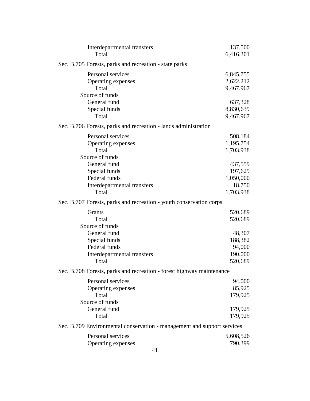| Interdepartmental transfers                                             | 137,500       |
|-------------------------------------------------------------------------|---------------|
| Total                                                                   | 6,416,301     |
| Sec. B.705 Forests, parks and recreation - state parks                  |               |
| Personal services                                                       | 6,845,755     |
| Operating expenses                                                      | 2,622,212     |
| Total                                                                   | 9,467,967     |
| Source of funds                                                         |               |
| General fund                                                            | 637,328       |
| Special funds                                                           | 8,830,639     |
| Total                                                                   | 9,467,967     |
| Sec. B.706 Forests, parks and recreation - lands administration         |               |
| Personal services                                                       | 508,184       |
| Operating expenses                                                      | 1,195,754     |
| Total                                                                   | 1,703,938     |
| Source of funds                                                         |               |
| General fund                                                            | 437,559       |
| Special funds                                                           | 197,629       |
| Federal funds                                                           | 1,050,000     |
| Interdepartmental transfers                                             | <u>18,750</u> |
| Total                                                                   | 1,703,938     |
| Sec. B.707 Forests, parks and recreation - youth conservation corps     |               |
| Grants                                                                  | 520,689       |
| Total                                                                   | 520,689       |
| Source of funds                                                         |               |
| General fund                                                            | 48,307        |
| Special funds                                                           | 188,382       |
| Federal funds                                                           | 94,000        |
| Interdepartmental transfers                                             | 190,000       |
| Total                                                                   | 520,689       |
| Sec. B.708 Forests, parks and recreation - forest highway maintenance   |               |
| Personal services                                                       | 94,000        |
| Operating expenses                                                      | 85,925        |
| Total                                                                   | 179,925       |
| Source of funds                                                         |               |
| General fund                                                            | 179,925       |
| Total                                                                   | 179,925       |
| Sec. B.709 Environmental conservation - management and support services |               |
| Personal services                                                       | 5,608,526     |
| Operating expenses                                                      | 790,399       |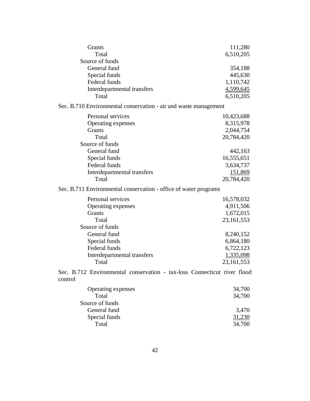| Grants<br>Total                                                                     | 111,280<br>6,510,205 |
|-------------------------------------------------------------------------------------|----------------------|
| Source of funds                                                                     |                      |
| General fund                                                                        | 354,188              |
| Special funds                                                                       | 445,630              |
| Federal funds                                                                       | 1,110,742            |
| Interdepartmental transfers                                                         | 4,599,645            |
| Total                                                                               | 6,510,205            |
| Sec. B.710 Environmental conservation - air and waste management                    |                      |
| Personal services                                                                   | 10,423,688           |
| Operating expenses                                                                  | 8,315,978            |
| Grants                                                                              | 2,044,754            |
| Total                                                                               | 20,784,420           |
| Source of funds                                                                     |                      |
| General fund                                                                        | 442,163              |
| Special funds                                                                       | 16,555,651           |
| Federal funds                                                                       | 3,634,737            |
| Interdepartmental transfers                                                         | 151,869              |
| Total                                                                               | 20,784,420           |
| Sec. B.711 Environmental conservation - office of water programs                    |                      |
| Personal services                                                                   | 16,578,032           |
| Operating expenses                                                                  | 4,911,506            |
| Grants                                                                              | 1,672,015            |
| Total                                                                               | 23, 161, 553         |
| Source of funds                                                                     |                      |
| General fund                                                                        | 8,240,152            |
| Special funds                                                                       | 6,864,180            |
| Federal funds                                                                       | 6,722,123            |
| Interdepartmental transfers                                                         | 1,335,098            |
| Total                                                                               | 23, 161, 553         |
| Sec. B.712 Environmental conservation - tax-loss Connecticut river flood<br>control |                      |
| Operating expenses                                                                  | 34,700               |
| Total                                                                               | 34,700               |
| Source of funds                                                                     |                      |
| General fund                                                                        | 3,470                |
| Special funds                                                                       | 31,230               |
| Total                                                                               | 34,700               |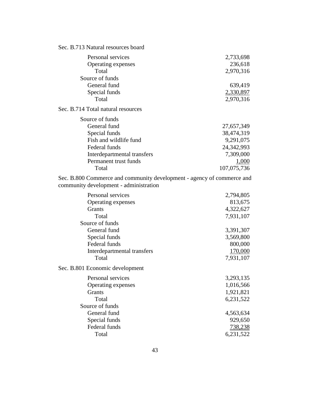# Sec. B.713 Natural resources board

Sec.

| Personal services                  | 2,733,698    |
|------------------------------------|--------------|
| Operating expenses                 | 236,618      |
| Total                              | 2,970,316    |
| Source of funds                    |              |
| General fund                       | 639,419      |
| Special funds                      | 2,330,897    |
| Total                              | 2,970,316    |
| Sec. B.714 Total natural resources |              |
| Source of funds                    |              |
| General fund                       | 27,657,349   |
| Special funds                      | 38,474,319   |
| Fish and wildlife fund             | 9,291,075    |
| Federal funds                      | 24, 342, 993 |
| Interdepartmental transfers        | 7,309,000    |
| Permanent trust funds              | 1,000        |
| Total                              | 107,075,736  |

Sec. B.800 Commerce and community development - agency of commerce and community development - administration

| Personal services                 | 2,794,805 |
|-----------------------------------|-----------|
| Operating expenses                | 813,675   |
| Grants                            | 4,322,627 |
| Total                             | 7,931,107 |
| Source of funds                   |           |
| General fund                      | 3,391,307 |
| Special funds                     | 3,569,800 |
| Federal funds                     | 800,000   |
| Interdepartmental transfers       | 170,000   |
| Total                             | 7,931,107 |
| <b>B.801 Economic development</b> |           |
| Personal services                 | 3,293,135 |
| Operating expenses                | 1,016,566 |
| <b>Grants</b>                     | 1,921,821 |
| Total                             | 6,231,522 |
| Source of funds                   |           |
| General fund                      | 4,563,634 |
| Special funds                     | 929,650   |
| Federal funds                     | 738,238   |
| Total                             | 6,231,522 |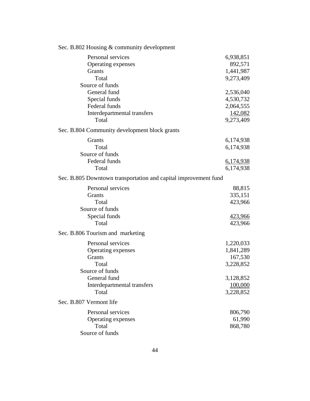| Sec. B.802 Housing & community development                                                    |                                                             |
|-----------------------------------------------------------------------------------------------|-------------------------------------------------------------|
| Personal services<br>Operating expenses<br><b>Grants</b><br>Total<br>Source of funds          | 6,938,851<br>892,571<br>1,441,987<br>9,273,409              |
| General fund<br>Special funds<br>Federal funds<br>Interdepartmental transfers<br>Total        | 2,536,040<br>4,530,732<br>2,064,555<br>142,082<br>9,273,409 |
| Sec. B.804 Community development block grants                                                 |                                                             |
| Grants<br>Total<br>Source of funds                                                            | 6,174,938<br>6,174,938                                      |
| Federal funds<br>Total                                                                        | 6,174,938<br>6,174,938                                      |
| Sec. B.805 Downtown transportation and capital improvement fund                               |                                                             |
| Personal services<br>Grants<br>Total<br>Source of funds<br>Special funds<br>Total             | 88,815<br>335,151<br>423,966<br><u>423,966</u><br>423,966   |
| Sec. B.806 Tourism and marketing                                                              |                                                             |
| Personal services<br>Operating expenses<br>Grants<br>Total<br>Source of funds<br>General fund | 1,220,033<br>1,841,289<br>167,530<br>3,228,852<br>3,128,852 |
| Interdepartmental transfers<br>Total                                                          | 100,000<br>3,228,852                                        |
| Sec. B.807 Vermont life                                                                       |                                                             |
| Personal services<br>Operating expenses<br>Total<br>Source of funds                           | 806,790<br>61,990<br>868,780                                |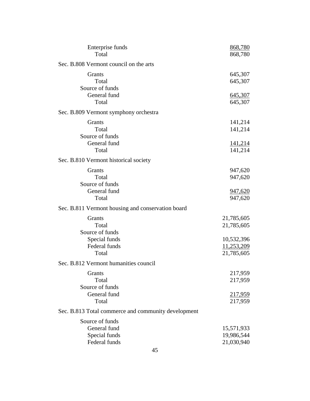| Enterprise funds<br>Total                                         | 868,780<br>868,780                     |
|-------------------------------------------------------------------|----------------------------------------|
| Sec. B.808 Vermont council on the arts                            |                                        |
| Grants<br>Total<br>Source of funds<br>General fund                | 645,307<br>645,307                     |
| Total                                                             | 645,307<br>645,307                     |
| Sec. B.809 Vermont symphony orchestra                             |                                        |
| Grants<br>Total<br>Source of funds                                | 141,214<br>141,214                     |
| General fund<br>Total                                             | <u>141,214</u><br>141,214              |
| Sec. B.810 Vermont historical society                             |                                        |
| Grants<br>Total<br>Source of funds                                | 947,620<br>947,620                     |
| General fund<br>Total                                             | <u>947,620</u><br>947,620              |
| Sec. B.811 Vermont housing and conservation board                 |                                        |
| Grants<br>Total<br>Source of funds                                | 21,785,605<br>21,785,605               |
| Special funds<br>Federal funds<br>Total                           | 10,532,396<br>11,253,209<br>21,785,605 |
| Sec. B.812 Vermont humanities council                             |                                        |
| Grants<br>Total<br>Source of funds                                | 217,959<br>217,959                     |
| General fund<br>Total                                             | 217,959<br>217,959                     |
| Sec. B.813 Total commerce and community development               |                                        |
| Source of funds<br>General fund<br>Special funds<br>Federal funds | 15,571,933<br>19,986,544<br>21,030,940 |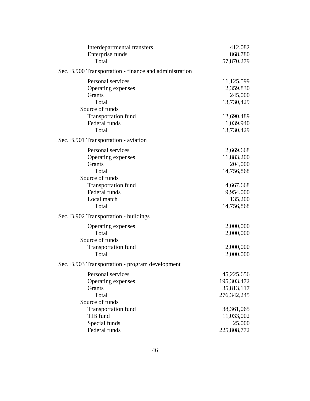| Interdepartmental transfers                            | 412,082       |
|--------------------------------------------------------|---------------|
| Enterprise funds                                       | 868,780       |
| Total                                                  | 57,870,279    |
| Sec. B.900 Transportation - finance and administration |               |
| Personal services                                      | 11,125,599    |
| Operating expenses                                     | 2,359,830     |
| <b>Grants</b>                                          | 245,000       |
| Total                                                  | 13,730,429    |
| Source of funds                                        |               |
| <b>Transportation fund</b>                             | 12,690,489    |
| Federal funds                                          | 1,039,940     |
| Total                                                  | 13,730,429    |
| Sec. B.901 Transportation - aviation                   |               |
| Personal services                                      | 2,669,668     |
| Operating expenses                                     | 11,883,200    |
| Grants                                                 | 204,000       |
| Total                                                  | 14,756,868    |
| Source of funds                                        |               |
| <b>Transportation fund</b>                             | 4,667,668     |
| Federal funds                                          | 9,954,000     |
| Local match                                            | 135,200       |
| Total                                                  | 14,756,868    |
| Sec. B.902 Transportation - buildings                  |               |
| Operating expenses                                     | 2,000,000     |
| Total                                                  | 2,000,000     |
| Source of funds                                        |               |
| <b>Transportation fund</b>                             | 2,000,000     |
| Total                                                  | 2,000,000     |
| Sec. B.903 Transportation - program development        |               |
| Personal services                                      | 45,225,656    |
| Operating expenses                                     | 195,303,472   |
| Grants                                                 | 35,813,117    |
| Total                                                  | 276, 342, 245 |
| Source of funds                                        |               |
| <b>Transportation fund</b>                             | 38,361,065    |
| TIB fund                                               | 11,033,002    |
| Special funds                                          | 25,000        |
| Federal funds                                          | 225,808,772   |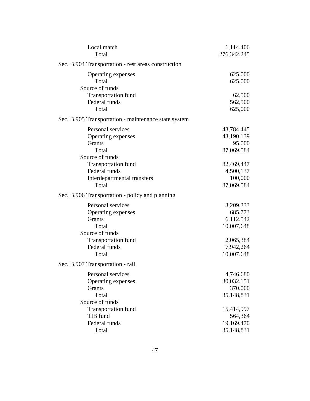| Local match                                          | 1,114,406         |
|------------------------------------------------------|-------------------|
| Total                                                | 276, 342, 245     |
| Sec. B.904 Transportation - rest areas construction  |                   |
| Operating expenses                                   | 625,000           |
| Total                                                | 625,000           |
| Source of funds                                      |                   |
| Transportation fund                                  | 62,500            |
| Federal funds                                        | 562,500           |
| Total                                                | 625,000           |
| Sec. B.905 Transportation - maintenance state system |                   |
| Personal services                                    | 43,784,445        |
| Operating expenses                                   | 43,190,139        |
| <b>Grants</b>                                        | 95,000            |
| Total                                                | 87,069,584        |
| Source of funds                                      |                   |
| <b>Transportation fund</b>                           | 82,469,447        |
| Federal funds                                        | 4,500,137         |
| Interdepartmental transfers                          | 100,000           |
| Total                                                | 87,069,584        |
| Sec. B.906 Transportation - policy and planning      |                   |
| Personal services                                    | 3,209,333         |
| Operating expenses                                   | 685,773           |
| Grants                                               | 6,112,542         |
| Total                                                | 10,007,648        |
| Source of funds                                      |                   |
| <b>Transportation fund</b>                           | 2,065,384         |
| Federal funds                                        | 7,942,264         |
| Total                                                | 10,007,648        |
| Sec. B.907 Transportation - rail                     |                   |
| Personal services                                    | 4,746,680         |
| Operating expenses                                   | 30,032,151        |
| Grants                                               | 370,000           |
| Total                                                | 35,148,831        |
| Source of funds                                      |                   |
| <b>Transportation fund</b>                           | 15,414,997        |
| TIB fund                                             | 564,364           |
| Federal funds                                        | <u>19,169,470</u> |
| Total                                                | 35,148,831        |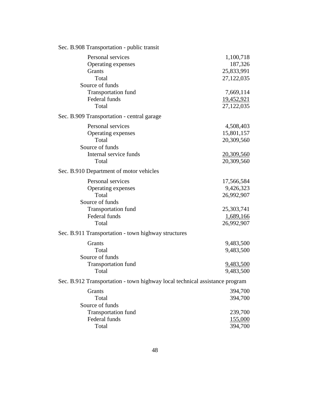| Sec. B.908 Transportation - public transit                                                                                  |                                                                                |
|-----------------------------------------------------------------------------------------------------------------------------|--------------------------------------------------------------------------------|
| Personal services<br>Operating expenses<br>Grants<br>Total<br>Source of funds                                               | 1,100,718<br>187,326<br>25,833,991<br>27,122,035                               |
| <b>Transportation fund</b><br>Federal funds<br>Total                                                                        | 7,669,114<br>19,452,921<br>27,122,035                                          |
| Sec. B.909 Transportation - central garage                                                                                  |                                                                                |
| Personal services<br>Operating expenses<br>Total<br>Source of funds<br>Internal service funds<br>Total                      | 4,508,403<br>15,801,157<br>20,309,560<br>20,309,560<br>20,309,560              |
| Sec. B.910 Department of motor vehicles                                                                                     |                                                                                |
| Personal services<br>Operating expenses<br>Total<br>Source of funds<br><b>Transportation fund</b><br>Federal funds<br>Total | 17,566,584<br>9,426,323<br>26,992,907<br>25,303,741<br>1,689,166<br>26,992,907 |
| Sec. B.911 Transportation - town highway structures                                                                         |                                                                                |
| Grants<br>Total<br>Source of funds                                                                                          | 9,483,500<br>9,483,500                                                         |
| <b>Transportation fund</b><br>Total                                                                                         | 9,483,500<br>9,483,500                                                         |
| Sec. B.912 Transportation - town highway local technical assistance program                                                 |                                                                                |
| Grants<br>Total<br>Source of funds                                                                                          | 394,700<br>394,700                                                             |
| <b>Transportation fund</b><br>Federal funds<br>Total                                                                        | 239,700<br><u>155,000</u><br>394,700                                           |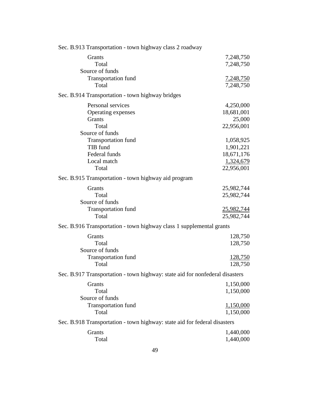| Sec. B.913 Transportation - town highway class 2 roadway                     |                  |
|------------------------------------------------------------------------------|------------------|
| Grants                                                                       | 7,248,750        |
| Total                                                                        | 7,248,750        |
| Source of funds                                                              |                  |
| <b>Transportation fund</b>                                                   | 7,248,750        |
| Total                                                                        | 7,248,750        |
| Sec. B.914 Transportation - town highway bridges                             |                  |
| Personal services                                                            | 4,250,000        |
| Operating expenses                                                           | 18,681,001       |
| <b>Grants</b>                                                                | 25,000           |
| Total                                                                        | 22,956,001       |
| Source of funds                                                              |                  |
| <b>Transportation fund</b>                                                   | 1,058,925        |
| TIB fund                                                                     | 1,901,221        |
| Federal funds                                                                | 18,671,176       |
| Local match                                                                  | 1,324,679        |
| Total                                                                        | 22,956,001       |
| Sec. B.915 Transportation - town highway aid program                         |                  |
| Grants                                                                       | 25,982,744       |
| Total                                                                        | 25,982,744       |
| Source of funds                                                              |                  |
| <b>Transportation fund</b>                                                   | 25,982,744       |
| Total                                                                        | 25,982,744       |
| Sec. B.916 Transportation - town highway class 1 supplemental grants         |                  |
| Grants                                                                       | 128,750          |
| Total                                                                        | 128,750          |
| Source of funds                                                              |                  |
| <b>Transportation fund</b>                                                   | <u>128,750</u>   |
| Total                                                                        | 128,750          |
| Sec. B.917 Transportation - town highway: state aid for nonfederal disasters |                  |
| Grants                                                                       | 1,150,000        |
| Total                                                                        | 1,150,000        |
| Source of funds                                                              |                  |
| <b>Transportation fund</b>                                                   | <u>1,150,000</u> |
| Total                                                                        | 1,150,000        |
| Sec. B.918 Transportation - town highway: state aid for federal disasters    |                  |
| Grants                                                                       | 1,440,000        |
| Total                                                                        | 1,440,000        |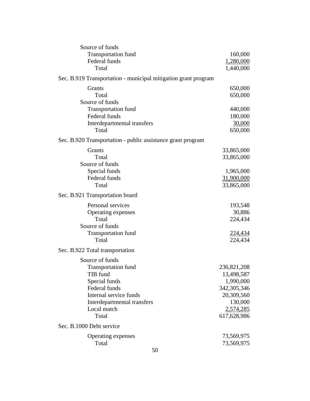| Source of funds                                                |             |
|----------------------------------------------------------------|-------------|
| <b>Transportation fund</b>                                     | 160,000     |
| Federal funds                                                  | 1,280,000   |
| Total                                                          | 1,440,000   |
| Sec. B.919 Transportation - municipal mitigation grant program |             |
| Grants                                                         | 650,000     |
| Total                                                          | 650,000     |
| Source of funds                                                |             |
| <b>Transportation fund</b>                                     | 440,000     |
| Federal funds                                                  | 180,000     |
| Interdepartmental transfers                                    | 30,000      |
| Total                                                          | 650,000     |
| Sec. B.920 Transportation - public assistance grant program    |             |
| Grants                                                         | 33,865,000  |
| Total                                                          | 33,865,000  |
| Source of funds                                                |             |
| Special funds                                                  | 1,965,000   |
| Federal funds                                                  | 31,900,000  |
| Total                                                          | 33,865,000  |
| Sec. B.921 Transportation board                                |             |
| Personal services                                              | 193,548     |
| Operating expenses                                             | 30,886      |
| Total                                                          | 224,434     |
| Source of funds                                                |             |
| <b>Transportation fund</b>                                     | 224,434     |
| Total                                                          | 224,434     |
| Sec. B.922 Total transportation                                |             |
| Source of funds                                                |             |
| <b>Transportation fund</b>                                     | 236,821,208 |
| TIB fund                                                       | 13,498,587  |
| Special funds                                                  | 1,990,000   |
| Federal funds                                                  | 342,305,346 |
| Internal service funds                                         | 20,309,560  |
| Interdepartmental transfers                                    | 130,000     |
| Local match                                                    | 2,574,285   |
| Total                                                          | 617,628,986 |
| Sec. B.1000 Debt service                                       |             |
| Operating expenses                                             | 73,569,975  |
| Total                                                          | 73,569,975  |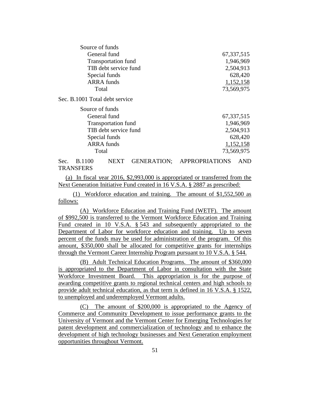| Source of funds                |              |
|--------------------------------|--------------|
| General fund                   | 67, 337, 515 |
| <b>Transportation fund</b>     | 1,946,969    |
| TIB debt service fund          | 2,504,913    |
| Special funds                  | 628,420      |
| <b>ARRA</b> funds              | 1,152,158    |
| Total                          | 73,569,975   |
| Sec. B.1001 Total debt service |              |
| Source of funds                |              |
| General fund                   | 67, 337, 515 |
| <b>Transportation fund</b>     | 1,946,969    |
| TIB debt service fund          | 2,504,913    |
| Special funds                  | 628,420      |
| <b>ARRA</b> funds              | 1,152,158    |
| Total                          | 73,569,975   |
|                                |              |

Sec. B.1100 NEXT GENERATION; APPROPRIATIONS AND **TRANSFERS** 

(a) In fiscal year 2016, \$2,993,000 is appropriated or transferred from the Next Generation Initiative Fund created in 16 V.S.A. § 2887 as prescribed:

(1) Workforce education and training. The amount of \$1,552,500 as follows:

(A) Workforce Education and Training Fund (WETF). The amount of \$992,500 is transferred to the Vermont Workforce Education and Training Fund created in 10 V.S.A. § 543 and subsequently appropriated to the Department of Labor for workforce education and training. Up to seven percent of the funds may be used for administration of the program. Of this amount, \$350,000 shall be allocated for competitive grants for internships through the Vermont Career Internship Program pursuant to 10 V.S.A. § 544.

(B) Adult Technical Education Programs. The amount of \$360,000 is appropriated to the Department of Labor in consultation with the State Workforce Investment Board. This appropriation is for the purpose of awarding competitive grants to regional technical centers and high schools to provide adult technical education, as that term is defined in 16 V.S.A. § 1522, to unemployed and underemployed Vermont adults.

(C) The amount of \$200,000 is appropriated to the Agency of Commerce and Community Development to issue performance grants to the University of Vermont and the Vermont Center for Emerging Technologies for patent development and commercialization of technology and to enhance the development of high technology businesses and Next Generation employment opportunities throughout Vermont.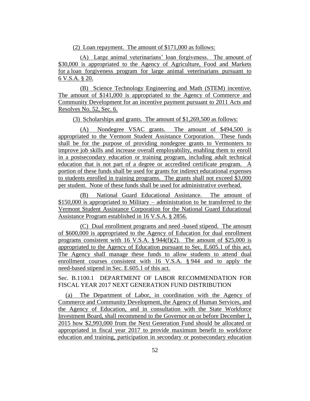(2) Loan repayment. The amount of \$171,000 as follows:

(A) Large animal veterinarians' loan forgiveness. The amount of \$30,000 is appropriated to the Agency of Agriculture, Food and Markets for a loan forgiveness program for large animal veterinarians pursuant to 6 V.S.A. § 20.

(B) Science Technology Engineering and Math (STEM) incentive. The amount of \$141,000 is appropriated to the Agency of Commerce and Community Development for an incentive payment pursuant to 2011 Acts and Resolves No. 52, Sec. 6.

(3) Scholarships and grants. The amount of \$1,269,500 as follows:

(A) Nondegree VSAC grants. The amount of \$494,500 is appropriated to the Vermont Student Assistance Corporation. These funds shall be for the purpose of providing nondegree grants to Vermonters to improve job skills and increase overall employability, enabling them to enroll in a postsecondary education or training program, including adult technical education that is not part of a degree or accredited certificate program. A portion of these funds shall be used for grants for indirect educational expenses to students enrolled in training programs. The grants shall not exceed \$3,000 per student. None of these funds shall be used for administrative overhead.

(B) National Guard Educational Assistance. The amount of \$150,000 is appropriated to Military – administration to be transferred to the Vermont Student Assistance Corporation for the National Guard Educational Assistance Program established in 16 V.S.A. § 2856.

(C) Dual enrollment programs and need -based stipend. The amount of \$600,000 is appropriated to the Agency of Education for dual enrollment programs consistent with 16 V.S.A.  $\S$  944(f)(2). The amount of \$25,000 is appropriated to the Agency of Education pursuant to Sec. E.605.1 of this act. The Agency shall manage these funds to allow students to attend dual enrollment courses consistent with 16 V.S.A. § 944 and to apply the need-based stipend in Sec. E.605.1 of this act.

Sec. B.1100.1 DEPARTMENT OF LABOR RECOMMENDATION FOR FISCAL YEAR 2017 NEXT GENERATION FUND DISTRIBUTION

(a) The Department of Labor, in coordination with the Agency of Commerce and Community Development, the Agency of Human Services, and the Agency of Education, and in consultation with the State Workforce Investment Board, shall recommend to the Governor on or before December 1, 2015 how \$2,993,000 from the Next Generation Fund should be allocated or appropriated in fiscal year 2017 to provide maximum benefit to workforce education and training, participation in secondary or postsecondary education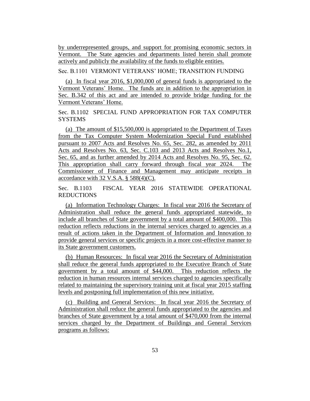by underrepresented groups, and support for promising economic sectors in Vermont. The State agencies and departments listed herein shall promote actively and publicly the availability of the funds to eligible entities.

Sec. B.1101 VERMONT VETERANS' HOME; TRANSITION FUNDING

(a) In fiscal year 2016, \$1,000,000 of general funds is appropriated to the Vermont Veterans' Home. The funds are in addition to the appropriation in Sec. B.342 of this act and are intended to provide bridge funding for the Vermont Veterans' Home.

Sec. B.1102 SPECIAL FUND APPROPRIATION FOR TAX COMPUTER **SYSTEMS** 

(a) The amount of \$15,500,000 is appropriated to the Department of Taxes from the Tax Computer System Modernization Special Fund established pursuant to 2007 Acts and Resolves No. 65, Sec. 282, as amended by 2011 Acts and Resolves No. 63, Sec. C.103 and 2013 Acts and Resolves No.1, Sec. 65, and as further amended by 2014 Acts and Resolves No. 95, Sec. 62. This appropriation shall carry forward through fiscal year 2024. The Commissioner of Finance and Management may anticipate receipts in accordance with  $32$  V.S.A. §  $588(4)(C)$ .

Sec. B.1103 FISCAL YEAR 2016 STATEWIDE OPERATIONAL REDUCTIONS

(a) Information Technology Charges: In fiscal year 2016 the Secretary of Administration shall reduce the general funds appropriated statewide, to include all branches of State government by a total amount of \$400,000. This reduction reflects reductions in the internal services charged to agencies as a result of actions taken in the Department of Information and Innovation to provide general services or specific projects in a more cost-effective manner to its State government customers.

(b) Human Resources: In fiscal year 2016 the Secretary of Administration shall reduce the general funds appropriated to the Executive Branch of State government by a total amount of \$44,000. This reduction reflects the reduction in human resources internal services charged to agencies specifically related to maintaining the supervisory training unit at fiscal year 2015 staffing levels and postponing full implementation of this new initiative.

(c) Building and General Services: In fiscal year 2016 the Secretary of Administration shall reduce the general funds appropriated to the agencies and branches of State government by a total amount of \$470,000 from the internal services charged by the Department of Buildings and General Services programs as follows: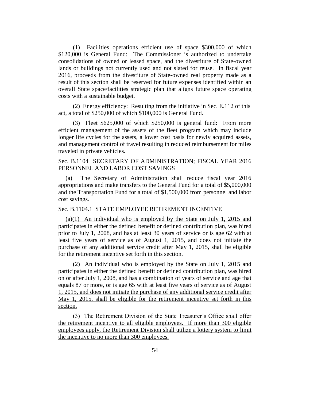(1) Facilities operations efficient use of space \$300,000 of which \$120,000 is General Fund: The Commissioner is authorized to undertake consolidations of owned or leased space, and the divestiture of State-owned lands or buildings not currently used and not slated for reuse. In fiscal year 2016, proceeds from the divestiture of State-owned real property made as a result of this section shall be reserved for future expenses identified within an overall State space/facilities strategic plan that aligns future space operating costs with a sustainable budget.

(2) Energy efficiency: Resulting from the initiative in Sec. E.112 of this act, a total of \$250,000 of which \$100,000 is General Fund.

(3) Fleet \$625,000 of which \$250,000 is general fund: From more efficient management of the assets of the fleet program which may include longer life cycles for the assets, a lower cost basis for newly acquired assets, and management control of travel resulting in reduced reimbursement for miles traveled in private vehicles.

Sec. B.1104 SECRETARY OF ADMINISTRATION; FISCAL YEAR 2016 PERSONNEL AND LABOR COST SAVINGS

(a) The Secretary of Administration shall reduce fiscal year 2016 appropriations and make transfers to the General Fund for a total of \$5,000,000 and the Transportation Fund for a total of \$1,500,000 from personnel and labor cost savings.

Sec. B.1104.1 STATE EMPLOYEE RETIREMENT INCENTIVE

(a)(1) An individual who is employed by the State on July 1, 2015 and participates in either the defined benefit or defined contribution plan, was hired prior to July 1, 2008, and has at least 30 years of service or is age 62 with at least five years of service as of August 1, 2015, and does not initiate the purchase of any additional service credit after May 1, 2015, shall be eligible for the retirement incentive set forth in this section.

(2) An individual who is employed by the State on July 1, 2015 and participates in either the defined benefit or defined contribution plan, was hired on or after July 1, 2008, and has a combination of years of service and age that equals 87 or more, or is age 65 with at least five years of service as of August 1, 2015, and does not initiate the purchase of any additional service credit after May 1, 2015, shall be eligible for the retirement incentive set forth in this section.

(3) The Retirement Division of the State Treasurer's Office shall offer the retirement incentive to all eligible employees. If more than 300 eligible employees apply, the Retirement Division shall utilize a lottery system to limit the incentive to no more than 300 employees.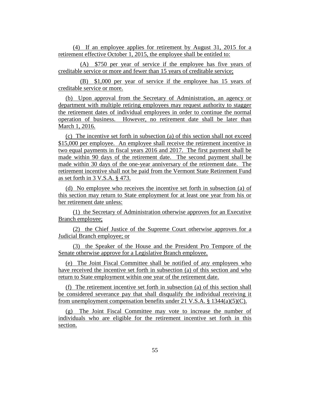(4) If an employee applies for retirement by August 31, 2015 for a retirement effective October 1, 2015, the employee shall be entitled to:

(A) \$750 per year of service if the employee has five years of creditable service or more and fewer than 15 years of creditable service;

(B) \$1,000 per year of service if the employee has 15 years of creditable service or more.

(b) Upon approval from the Secretary of Administration, an agency or department with multiple retiring employees may request authority to stagger the retirement dates of individual employees in order to continue the normal operation of business. However, no retirement date shall be later than March 1, 2016.

(c) The incentive set forth in subsection (a) of this section shall not exceed \$15,000 per employee. An employee shall receive the retirement incentive in two equal payments in fiscal years 2016 and 2017. The first payment shall be made within 90 days of the retirement date. The second payment shall be made within 30 days of the one-year anniversary of the retirement date. The retirement incentive shall not be paid from the Vermont State Retirement Fund as set forth in 3 V.S.A. § 473.

(d) No employee who receives the incentive set forth in subsection (a) of this section may return to State employment for at least one year from his or her retirement date unless:

(1) the Secretary of Administration otherwise approves for an Executive Branch employee;

(2) the Chief Justice of the Supreme Court otherwise approves for a Judicial Branch employee; or

(3) the Speaker of the House and the President Pro Tempore of the Senate otherwise approve for a Legislative Branch employee.

(e) The Joint Fiscal Committee shall be notified of any employees who have received the incentive set forth in subsection (a) of this section and who return to State employment within one year of the retirement date.

(f) The retirement incentive set forth in subsection (a) of this section shall be considered severance pay that shall disqualify the individual receiving it from unemployment compensation benefits under 21 V.S.A. § 1344(a)(5)(C).

(g) The Joint Fiscal Committee may vote to increase the number of individuals who are eligible for the retirement incentive set forth in this section.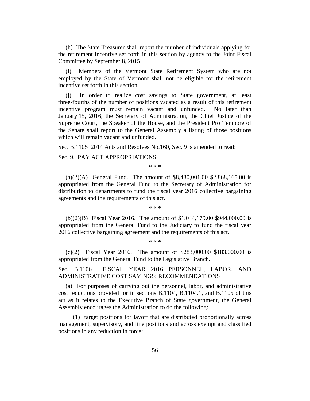(h) The State Treasurer shall report the number of individuals applying for the retirement incentive set forth in this section by agency to the Joint Fiscal Committee by September 8, 2015.

(i) Members of the Vermont State Retirement System who are not employed by the State of Vermont shall not be eligible for the retirement incentive set forth in this section.

(j) In order to realize cost savings to State government, at least three-fourths of the number of positions vacated as a result of this retirement incentive program must remain vacant and unfunded. No later than January 15, 2016, the Secretary of Administration, the Chief Justice of the Supreme Court, the Speaker of the House, and the President Pro Tempore of the Senate shall report to the General Assembly a listing of those positions which will remain vacant and unfunded.

Sec. B.1105 2014 Acts and Resolves No.160, Sec. 9 is amended to read:

Sec. 9. PAY ACT APPROPRIATIONS

\* \* \*

(a)(2)(A) General Fund. The amount of  $$8,480,001.00$  \$2,868,165.00 is appropriated from the General Fund to the Secretary of Administration for distribution to departments to fund the fiscal year 2016 collective bargaining agreements and the requirements of this act.

\* \* \*

(b)(2)(B) Fiscal Year 2016. The amount of \$1,044,179.00 \$944,000.00 is appropriated from the General Fund to the Judiciary to fund the fiscal year 2016 collective bargaining agreement and the requirements of this act.

\* \* \*

(c)(2) Fiscal Year 2016. The amount of  $\frac{$283,000,00}{$283,000,00}$  is appropriated from the General Fund to the Legislative Branch.

Sec. B.1106 FISCAL YEAR 2016 PERSONNEL, LABOR, AND ADMINISTRATIVE COST SAVINGS; RECOMMENDATIONS

(a) For purposes of carrying out the personnel, labor, and administrative cost reductions provided for in sections B.1104, B.1104.1, and B.1105 of this act as it relates to the Executive Branch of State government, the General Assembly encourages the Administration to do the following:

(1) target positions for layoff that are distributed proportionally across management, supervisory, and line positions and across exempt and classified positions in any reduction in force;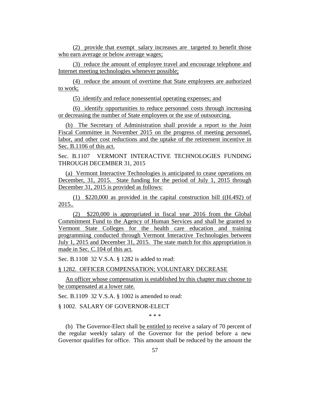(2) provide that exempt salary increases are targeted to benefit those who earn average or below average wages;

(3) reduce the amount of employee travel and encourage telephone and Internet meeting technologies whenever possible;

(4) reduce the amount of overtime that State employees are authorized to work;

(5) identify and reduce nonessential operating expenses; and

(6) identify opportunities to reduce personnel costs through increasing or decreasing the number of State employees or the use of outsourcing.

(b) The Secretary of Administration shall provide a report to the Joint Fiscal Committee in November 2015 on the progress of meeting personnel, labor, and other cost reductions and the uptake of the retirement incentive in Sec. B.1106 of this act.

Sec. B.1107 VERMONT INTERACTIVE TECHNOLOGIES FUNDING THROUGH DECEMBER 31, 2015

(a) Vermont Interactive Technologies is anticipated to cease operations on December, 31, 2015. State funding for the period of July 1, 2015 through December 31, 2015 is provided as follows:

(1) \$220,000 as provided in the capital construction bill ((H.492) of 2015..

(2) \$220,000 is appropriated in fiscal year 2016 from the Global Commitment Fund to the Agency of Human Services and shall be granted to Vermont State Colleges for the health care education and training programming conducted through Vermont Interactive Technologies between July 1, 2015 and December 31, 2015. The state match for this appropriation is made in Sec. C.104 of this act.

Sec. B.1108 32 V.S.A. § 1282 is added to read:

§ 1282. OFFICER COMPENSATION; VOLUNTARY DECREASE

An officer whose compensation is established by this chapter may choose to be compensated at a lower rate.

Sec. B.1109 32 V.S.A. § 1002 is amended to read:

§ 1002. SALARY OF GOVERNOR-ELECT

\* \* \*

(b) The Governor-Elect shall be entitled to receive a salary of 70 percent of the regular weekly salary of the Governor for the period before a new Governor qualifies for office. This amount shall be reduced by the amount the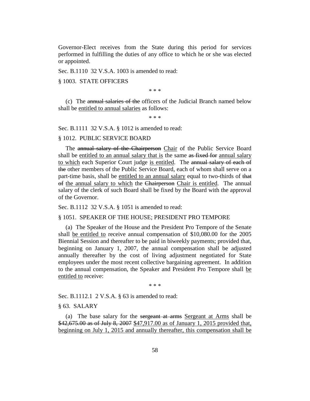Governor-Elect receives from the State during this period for services performed in fulfilling the duties of any office to which he or she was elected or appointed.

Sec. B.1110 32 V.S.A. 1003 is amended to read:

§ 1003. STATE OFFICERS

\* \* \*

(c) The annual salaries of the officers of the Judicial Branch named below shall be entitled to annual salaries as follows:

\* \* \*

Sec. B.1111 32 V.S.A. § 1012 is amended to read:

### § 1012. PUBLIC SERVICE BOARD

The annual salary of the Chairperson Chair of the Public Service Board shall be entitled to an annual salary that is the same as fixed for annual salary to which each Superior Court judge is entitled. The annual salary of each of the other members of the Public Service Board, each of whom shall serve on a part-time basis, shall be entitled to an annual salary equal to two-thirds of that of the annual salary to which the Chairperson Chair is entitled. The annual salary of the clerk of such Board shall be fixed by the Board with the approval of the Governor.

Sec. B.1112 32 V.S.A. § 1051 is amended to read:

# § 1051. SPEAKER OF THE HOUSE; PRESIDENT PRO TEMPORE

(a) The Speaker of the House and the President Pro Tempore of the Senate shall be entitled to receive annual compensation of \$10,080.00 for the 2005 Biennial Session and thereafter to be paid in biweekly payments; provided that, beginning on January 1, 2007, the annual compensation shall be adjusted annually thereafter by the cost of living adjustment negotiated for State employees under the most recent collective bargaining agreement. In addition to the annual compensation, the Speaker and President Pro Tempore shall be entitled to receive:

\* \* \*

Sec. B.1112.1 2 V.S.A. § 63 is amended to read:

§ 63. SALARY

(a) The base salary for the sergeant at arms Sergeant at Arms shall be \$42,675.00 as of July 8, 2007 \$47,917.00 as of January 1, 2015 provided that, beginning on July 1, 2015 and annually thereafter, this compensation shall be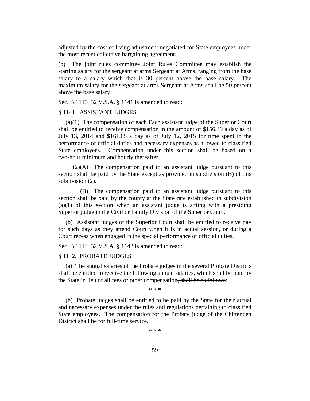adjusted by the cost of living adjustment negotiated for State employees under the most recent collective bargaining agreement.

(b) The joint rules committee Joint Rules Committee may establish the starting salary for the sergeant at arms Sergeant at Arms, ranging from the base salary to a salary which that is 30 percent above the base salary. The maximum salary for the sergeant at arms Sergeant at Arms shall be 50 percent above the base salary.

Sec. B.1113 32 V.S.A. § 1141 is amended to read:

### § 1141. ASSISTANT JUDGES

(a) $(1)$  The compensation of each Each assistant judge of the Superior Court shall be entitled to receive compensation in the amount of \$156.49 a day as of July 13, 2014 and \$161.65 a day as of July 12, 2015 for time spent in the performance of official duties and necessary expenses as allowed to classified State employees. Compensation under this section shall be based on a two-hour minimum and hourly thereafter.

(2)(A) The compensation paid to an assistant judge pursuant to this section shall be paid by the State except as provided in subdivision (B) of this subdivision  $(2)$ .

(B) The compensation paid to an assistant judge pursuant to this section shall be paid by the county at the State rate established in subdivision  $(a)(1)$  of this section when an assistant judge is sitting with a presiding Superior judge in the Civil or Family Division of the Superior Court.

(b) Assistant judges of the Superior Court shall be entitled to receive pay for such days as they attend Court when it is in actual session, or during a Court recess when engaged in the special performance of official duties.

Sec. B.1114 32 V.S.A. § 1142 is amended to read:

### § 1142. PROBATE JUDGES

(a) The annual salaries of the Probate judges in the several Probate Districts shall be entitled to receive the following annual salaries, which shall be paid by the State in lieu of all fees or other compensation, shall be as follows:

\* \* \*

(b) Probate judges shall be entitled to be paid by the State for their actual and necessary expenses under the rules and regulations pertaining to classified State employees. The compensation for the Probate judge of the Chittenden District shall be for full-time service.

\* \* \*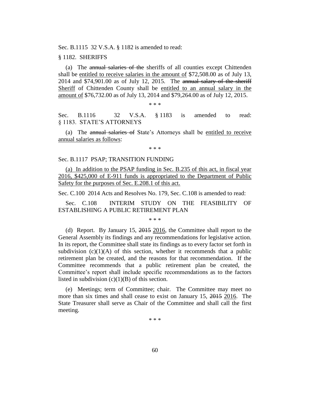Sec. B.1115 32 V.S.A. § 1182 is amended to read:

#### § 1182. SHERIFFS

(a) The annual salaries of the sheriffs of all counties except Chittenden shall be entitled to receive salaries in the amount of \$72,508.00 as of July 13, 2014 and \$74,901.00 as of July 12, 2015. The annual salary of the sheriff Sheriff of Chittenden County shall be entitled to an annual salary in the amount of \$76,732.00 as of July 13, 2014 and \$79,264.00 as of July 12, 2015.

\* \* \*

Sec. B.1116 32 V.S.A. § 1183 is amended to read: § 1183. STATE'S ATTORNEYS

(a) The annual salaries of State's Attorneys shall be entitled to receive annual salaries as follows:

\* \* \*

### Sec. B.1117 PSAP; TRANSITION FUNDING

(a) In addition to the PSAP funding in Sec. B.235 of this act, in fiscal year 2016, \$425,000 of E-911 funds is appropriated to the Department of Public Safety for the purposes of Sec. E.208.1 of this act.

Sec. C.100 2014 Acts and Resolves No. 179, Sec. C.108 is amended to read:

Sec. C.108 INTERIM STUDY ON THE FEASIBILITY OF ESTABLISHING A PUBLIC RETIREMENT PLAN

\* \* \*

(d) Report. By January 15, 2015 2016, the Committee shall report to the General Assembly its findings and any recommendations for legislative action. In its report, the Committee shall state its findings as to every factor set forth in subdivision  $(c)(1)(A)$  of this section, whether it recommends that a public retirement plan be created, and the reasons for that recommendation. If the Committee recommends that a public retirement plan be created, the Committee's report shall include specific recommendations as to the factors listed in subdivision  $(c)(1)(B)$  of this section.

(e) Meetings; term of Committee; chair. The Committee may meet no more than six times and shall cease to exist on January 15, 2015 2016. The State Treasurer shall serve as Chair of the Committee and shall call the first meeting.

\* \* \*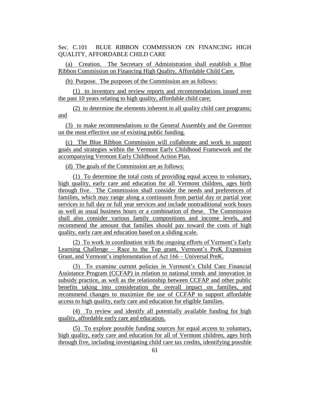Sec. C.101 BLUE RIBBON COMMISSION ON FINANCING HIGH QUALITY, AFFORDABLE CHILD CARE

(a) Creation. The Secretary of Administration shall establish a Blue Ribbon Commission on Financing High Quality, Affordable Child Care.

(b) Purpose. The purposes of the Commission are as follows:

(1) to inventory and review reports and recommendations issued over the past 10 years relating to high quality, affordable child care;

(2) to determine the elements inherent in all quality child care programs; and

(3) to make recommendations to the General Assembly and the Governor on the most effective use of existing public funding.

(c) The Blue Ribbon Commission will collaborate and work to support goals and strategies within the Vermont Early Childhood Framework and the accompanying Vermont Early Childhood Action Plan.

(d) The goals of the Commission are as follows:

(1) To determine the total costs of providing equal access to voluntary, high quality, early care and education for all Vermont children, ages birth through five. The Commission shall consider the needs and preferences of families, which may range along a continuum from partial day or partial year services to full day or full year services and include nontraditional work hours as well as usual business hours or a combination of these. The Commission shall also consider various family compositions and income levels, and recommend the amount that families should pay toward the costs of high quality, early care and education based on a sliding scale.

(2) To work in coordination with the ongoing efforts of Vermont's Early Learning Challenge – Race to the Top grant, Vermont's PreK Expansion Grant, and Vermont's implementation of Act 166 – Universal PreK.

(3) To examine current policies in Vermont's Child Care Financial Assistance Program (CCFAP) in relation to national trends and innovation in subsidy practice, as well as the relationship between CCFAP and other public benefits taking into consideration the overall impact on families, and recommend changes to maximize the use of CCFAP to support affordable access to high quality, early care and education for eligible families.

(4) To review and identify all potentially available funding for high quality, affordable early care and education.

(5) To explore possible funding sources for equal access to voluntary, high quality, early care and education for all of Vermont children, ages birth through five, including investigating child care tax credits, identifying possible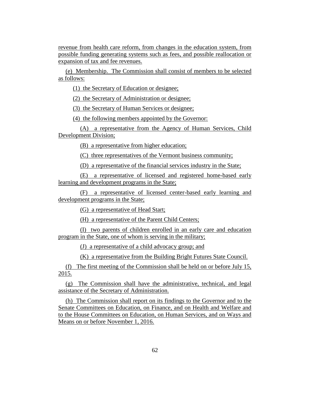revenue from health care reform, from changes in the education system, from possible funding generating systems such as fees, and possible reallocation or expansion of tax and fee revenues.

(e) Membership. The Commission shall consist of members to be selected as follows:

(1) the Secretary of Education or designee;

(2) the Secretary of Administration or designee;

(3) the Secretary of Human Services or designee;

(4) the following members appointed by the Governor:

(A) a representative from the Agency of Human Services, Child Development Division;

(B) a representative from higher education;

(C) three representatives of the Vermont business community;

(D) a representative of the financial services industry in the State;

(E) a representative of licensed and registered home-based early learning and development programs in the State;

(F) a representative of licensed center-based early learning and development programs in the State;

(G) a representative of Head Start;

(H) a representative of the Parent Child Centers;

(I) two parents of children enrolled in an early care and education program in the State, one of whom is serving in the military;

(J) a representative of a child advocacy group; and

(K) a representative from the Building Bright Futures State Council.

(f) The first meeting of the Commission shall be held on or before July 15, 2015.

(g) The Commission shall have the administrative, technical, and legal assistance of the Secretary of Administration.

(h) The Commission shall report on its findings to the Governor and to the Senate Committees on Education, on Finance, and on Health and Welfare and to the House Committees on Education, on Human Services, and on Ways and Means on or before November 1, 2016.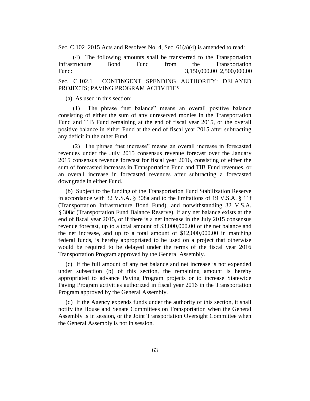Sec. C.102 2015 Acts and Resolves No. 4, Sec. 61(a)(4) is amended to read:

(4) The following amounts shall be transferred to the Transportation Infrastructure Bond Fund from the Transportation Fund: 3,150,000,000 2,500,000,000 Sec. C.102.1 CONTINGENT SPENDING AUTHORITY; DELAYED

#### (a) As used in this section:

PROJECTS; PAVING PROGRAM ACTIVITIES

(1) The phrase "net balance" means an overall positive balance consisting of either the sum of any unreserved monies in the Transportation Fund and TIB Fund remaining at the end of fiscal year 2015, or the overall positive balance in either Fund at the end of fiscal year 2015 after subtracting any deficit in the other Fund.

(2) The phrase "net increase" means an overall increase in forecasted revenues under the July 2015 consensus revenue forecast over the January 2015 consensus revenue forecast for fiscal year 2016, consisting of either the sum of forecasted increases in Transportation Fund and TIB Fund revenues, or an overall increase in forecasted revenues after subtracting a forecasted downgrade in either Fund.

(b) Subject to the funding of the Transportation Fund Stabilization Reserve in accordance with 32 V.S.A. § 308a and to the limitations of 19 V.S.A. § 11f (Transportation Infrastructure Bond Fund), and notwithstanding 32 V.S.A. § 308c (Transportation Fund Balance Reserve), if any net balance exists at the end of fiscal year 2015, or if there is a net increase in the July 2015 consensus revenue forecast, up to a total amount of \$3,000,000.00 of the net balance and the net increase, and up to a total amount of \$12,000,000.00 in matching federal funds, is hereby appropriated to be used on a project that otherwise would be required to be delayed under the terms of the fiscal year 2016 Transportation Program approved by the General Assembly.

(c) If the full amount of any net balance and net increase is not expended under subsection (b) of this section, the remaining amount is hereby appropriated to advance Paving Program projects or to increase Statewide Paving Program activities authorized in fiscal year 2016 in the Transportation Program approved by the General Assembly.

(d) If the Agency expends funds under the authority of this section, it shall notify the House and Senate Committees on Transportation when the General Assembly is in session, or the Joint Transportation Oversight Committee when the General Assembly is not in session.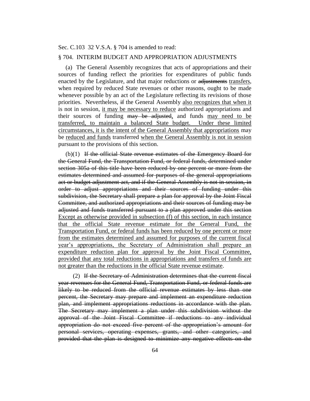Sec. C.103 32 V.S.A. § 704 is amended to read:

### § 704. INTERIM BUDGET AND APPROPRIATION ADJUSTMENTS

(a) The General Assembly recognizes that acts of appropriations and their sources of funding reflect the priorities for expenditures of public funds enacted by the Legislature, and that major reductions or adjustments transfers, when required by reduced State revenues or other reasons, ought to be made whenever possible by an act of the Legislature reflecting its revisions of those priorities. Nevertheless, if the General Assembly also recognizes that when it is not in session, it may be necessary to reduce authorized appropriations and their sources of funding may be adjusted, and funds may need to be transferred, to maintain a balanced State budget. Under these limited circumstances, it is the intent of the General Assembly that appropriations may be reduced and funds transferred when the General Assembly is not in session pursuant to the provisions of this section.

 $(b)(1)$  If the official State revenue estimates of the Emergency Board for the General Fund, the Transportation Fund, or federal funds, determined under section 305a of this title have been reduced by one percent or more from the estimates determined and assumed for purposes of the general appropriations act or budget adjustment act, and if the General Assembly is not in session, in order to adjust appropriations and their sources of funding under this subdivision, the Secretary shall prepare a plan for approval by the Joint Fiscal Committee, and authorized appropriations and their sources of funding may be adjusted and funds transferred pursuant to a plan approved under this section Except as otherwise provided in subsection (f) of this section, in each instance that the official State revenue estimate for the General Fund, the Transportation Fund, or federal funds has been reduced by one percent or more from the estimates determined and assumed for purposes of the current fiscal year's appropriations, the Secretary of Administration shall prepare an expenditure reduction plan for approval by the Joint Fiscal Committee, provided that any total reductions in appropriations and transfers of funds are not greater than the reductions in the official State revenue estimate.

(2) If the Secretary of Administration determines that the current fiscal year revenues for the General Fund, Transportation Fund, or federal funds are likely to be reduced from the official revenue estimates by less than one percent, the Secretary may prepare and implement an expenditure reduction plan, and implement appropriations reductions in accordance with the plan. The Secretary may implement a plan under this subdivision without the approval of the Joint Fiscal Committee if reductions to any individual appropriation do not exceed five percent of the appropriation's amount for personal services, operating expenses, grants, and other categories, and provided that the plan is designed to minimize any negative effects on the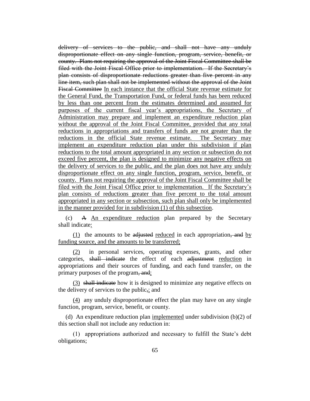delivery of services to the public, and shall not have any unduly disproportionate effect on any single function, program, service, benefit, or county. Plans not requiring the approval of the Joint Fiscal Committee shall be filed with the Joint Fiscal Office prior to implementation. If the Secretary's plan consists of disproportionate reductions greater than five percent in any line item, such plan shall not be implemented without the approval of the Joint Fiscal Committee In each instance that the official State revenue estimate for the General Fund, the Transportation Fund, or federal funds has been reduced by less than one percent from the estimates determined and assumed for purposes of the current fiscal year's appropriations, the Secretary of Administration may prepare and implement an expenditure reduction plan without the approval of the Joint Fiscal Committee, provided that any total reductions in appropriations and transfers of funds are not greater than the reductions in the official State revenue estimate. The Secretary may implement an expenditure reduction plan under this subdivision if plan reductions to the total amount appropriated in any section or subsection do not exceed five percent, the plan is designed to minimize any negative effects on the delivery of services to the public, and the plan does not have any unduly disproportionate effect on any single function, program, service, benefit, or county. Plans not requiring the approval of the Joint Fiscal Committee shall be filed with the Joint Fiscal Office prior to implementation. If the Secretary's plan consists of reductions greater than five percent to the total amount appropriated in any section or subsection, such plan shall only be implemented in the manner provided for in subdivision (1) of this subsection.

(c) A An expenditure reduction plan prepared by the Secretary shall indicate:

 $(1)$  the amounts to be adjusted reduced in each appropriation, and by funding source, and the amounts to be transferred;

(2) in personal services, operating expenses, grants, and other categories, shall indicate the effect of each adjustment reduction in appropriations and their sources of funding, and each fund transfer, on the primary purposes of the program, and;

(3) shall indicate how it is designed to minimize any negative effects on the delivery of services to the public,; and

(4) any unduly disproportionate effect the plan may have on any single function, program, service, benefit, or county.

(d) An expenditure reduction plan implemented under subdivision (b)(2) of this section shall not include any reduction in:

(1) appropriations authorized and necessary to fulfill the State's debt obligations;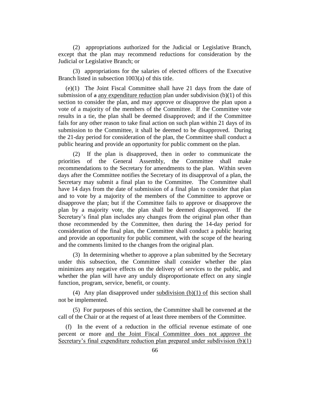(2) appropriations authorized for the Judicial or Legislative Branch, except that the plan may recommend reductions for consideration by the Judicial or Legislative Branch; or

(3) appropriations for the salaries of elected officers of the Executive Branch listed in subsection 1003(a) of this title.

(e)(1) The Joint Fiscal Committee shall have 21 days from the date of submission of  $\alpha$  any expenditure reduction plan under subdivision (b)(1) of this section to consider the plan, and may approve or disapprove the plan upon a vote of a majority of the members of the Committee. If the Committee vote results in a tie, the plan shall be deemed disapproved; and if the Committee fails for any other reason to take final action on such plan within 21 days of its submission to the Committee, it shall be deemed to be disapproved. During the 21-day period for consideration of the plan, the Committee shall conduct a public hearing and provide an opportunity for public comment on the plan.

(2) If the plan is disapproved, then in order to communicate the priorities of the General Assembly, the Committee shall make recommendations to the Secretary for amendments to the plan. Within seven days after the Committee notifies the Secretary of its disapproval of a plan, the Secretary may submit a final plan to the Committee. The Committee shall have 14 days from the date of submission of a final plan to consider that plan and to vote by a majority of the members of the Committee to approve or disapprove the plan; but if the Committee fails to approve or disapprove the plan by a majority vote, the plan shall be deemed disapproved. If the Secretary's final plan includes any changes from the original plan other than those recommended by the Committee, then during the 14-day period for consideration of the final plan, the Committee shall conduct a public hearing and provide an opportunity for public comment, with the scope of the hearing and the comments limited to the changes from the original plan.

(3) In determining whether to approve a plan submitted by the Secretary under this subsection, the Committee shall consider whether the plan minimizes any negative effects on the delivery of services to the public, and whether the plan will have any unduly disproportionate effect on any single function, program, service, benefit, or county.

(4) Any plan disapproved under subdivision (b)(1) of this section shall not be implemented.

(5) For purposes of this section, the Committee shall be convened at the call of the Chair or at the request of at least three members of the Committee.

(f) In the event of a reduction in the official revenue estimate of one percent or more and the Joint Fiscal Committee does not approve the Secretary's final expenditure reduction plan prepared under subdivision (b)(1)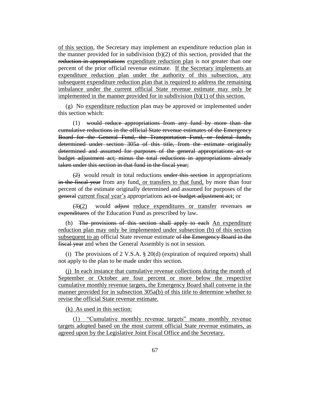of this section, the Secretary may implement an expenditure reduction plan in the manner provided for in subdivision  $(b)(2)$  of this section, provided that the reduction in appropriations expenditure reduction plan is not greater than one percent of the prior official revenue estimate. If the Secretary implements an expenditure reduction plan under the authority of this subsection, any subsequent expenditure reduction plan that is required to address the remaining imbalance under the current official State revenue estimate may only be implemented in the manner provided for in subdivision (b)(1) of this section.

(g) No expenditure reduction plan may be approved or implemented under this section which:

(1) would reduce appropriations from any fund by more than the cumulative reductions in the official State revenue estimates of the Emergency Board for the General Fund, the Transportation Fund, or federal funds, determined under section 305a of this title, from the estimate originally determined and assumed for purposes of the general appropriations act or budget adjustment act; minus the total reductions in appropriations already taken under this section in that fund in the fiscal year;

(2) would result in total reductions under this section in appropriations in the fiscal year from any fund, or transfers to that fund, by more than four percent of the estimate originally determined and assumed for purposes of the general current fiscal year's appropriations act or budget adjustment act; or

 $\left(\frac{3}{2}\right)$  would adjust reduce expenditures or transfer revenues or expenditures of the Education Fund as prescribed by law.

(h) The provisions of this section shall apply to each An expenditure reduction plan may only be implemented under subsection (b) of this section subsequent to an official State revenue estimate of the Emergency Board in the fiscal year and when the General Assembly is not in session.

(i) The provisions of 2 V.S.A. § 20(d) (expiration of required reports) shall not apply to the plan to be made under this section.

(j) In each instance that cumulative revenue collections during the month of September or October are four percent or more below the respective cumulative monthly revenue targets, the Emergency Board shall convene in the manner provided for in subsection 305a(b) of this title to determine whether to revise the official State revenue estimate.

(k) As used in this section:

(1) "Cumulative monthly revenue targets" means monthly revenue targets adopted based on the most current official State revenue estimates, as agreed upon by the Legislative Joint Fiscal Office and the Secretary.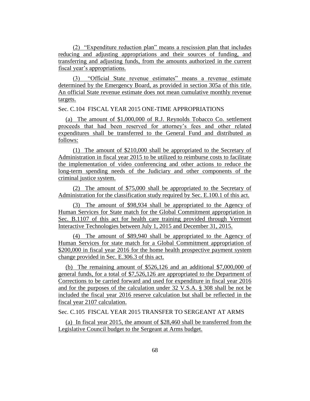(2) "Expenditure reduction plan" means a rescission plan that includes reducing and adjusting appropriations and their sources of funding, and transferring and adjusting funds, from the amounts authorized in the current fiscal year's appropriations.

(3) "Official State revenue estimates" means a revenue estimate determined by the Emergency Board, as provided in section 305a of this title. An official State revenue estimate does not mean cumulative monthly revenue targets.

Sec. C.104 FISCAL YEAR 2015 ONE-TIME APPROPRIATIONS

(a) The amount of \$1,000,000 of R.J. Reynolds Tobacco Co. settlement proceeds that had been reserved for attorney's fees and other related expenditures shall be transferred to the General Fund and distributed as follows:

(1) The amount of \$210,000 shall be appropriated to the Secretary of Administration in fiscal year 2015 to be utilized to reimburse costs to facilitate the implementation of video conferencing and other actions to reduce the long-term spending needs of the Judiciary and other components of the criminal justice system.

(2) The amount of \$75,000 shall be appropriated to the Secretary of Administration for the classification study required by Sec. E.100.1 of this act.

(3) The amount of \$98,934 shall be appropriated to the Agency of Human Services for State match for the Global Commitment appropriation in Sec. B.1107 of this act for health care training provided through Vermont Interactive Technologies between July 1, 2015 and December 31, 2015.

(4) The amount of \$89,940 shall be appropriated to the Agency of Human Services for state match for a Global Commitment appropriation of \$200,000 in fiscal year 2016 for the home health prospective payment system change provided in Sec. E.306.3 of this act.

(b) The remaining amount of \$526,126 and an additional \$7,000,000 of general funds, for a total of \$7,526,126 are appropriated to the Department of Corrections to be carried forward and used for expenditure in fiscal year 2016 and for the purposes of the calculation under 32 V.S.A. § 308 shall be not be included the fiscal year 2016 reserve calculation but shall be reflected in the fiscal year 2107 calculation.

Sec. C.105 FISCAL YEAR 2015 TRANSFER TO SERGEANT AT ARMS

(a) In fiscal year 2015, the amount of \$28,460 shall be transferred from the Legislative Council budget to the Sergeant at Arms budget.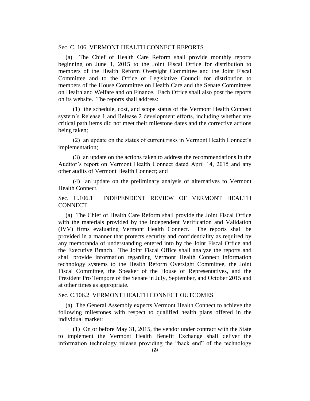# Sec. C. 106 VERMONT HEALTH CONNECT REPORTS

(a) The Chief of Health Care Reform shall provide monthly reports beginning on June 1, 2015 to the Joint Fiscal Office for distribution to members of the Health Reform Oversight Committee and the Joint Fiscal Committee and to the Office of Legislative Council for distribution to members of the House Committee on Health Care and the Senate Committees on Health and Welfare and on Finance. Each Office shall also post the reports on its website. The reports shall address:

(1) the schedule, cost, and scope status of the Vermont Health Connect system's Release 1 and Release 2 development efforts, including whether any critical path items did not meet their milestone dates and the corrective actions being taken;

(2) an update on the status of current risks in Vermont Health Connect's implementation;

(3) an update on the actions taken to address the recommendations in the Auditor's report on Vermont Health Connect dated April 14, 2015 and any other audits of Vermont Health Connect; and

(4) an update on the preliminary analysis of alternatives to Vermont Health Connect.

Sec. C.106.1 INDEPENDENT REVIEW OF VERMONT HEALTH **CONNECT** 

(a) The Chief of Health Care Reform shall provide the Joint Fiscal Office with the materials provided by the Independent Verification and Validation (IVV) firms evaluating Vermont Health Connect. The reports shall be provided in a manner that protects security and confidentiality as required by any memoranda of understanding entered into by the Joint Fiscal Office and the Executive Branch. The Joint Fiscal Office shall analyze the reports and shall provide information regarding Vermont Health Connect information technology systems to the Health Reform Oversight Committee, the Joint Fiscal Committee, the Speaker of the House of Representatives, and the President Pro Tempore of the Senate in July, September, and October 2015 and at other times as appropriate.

Sec. C.106.2 VERMONT HEALTH CONNECT OUTCOMES

(a) The General Assembly expects Vermont Health Connect to achieve the following milestones with respect to qualified health plans offered in the individual market:

(1) On or before May 31, 2015, the vendor under contract with the State to implement the Vermont Health Benefit Exchange shall deliver the information technology release providing the "back end" of the technology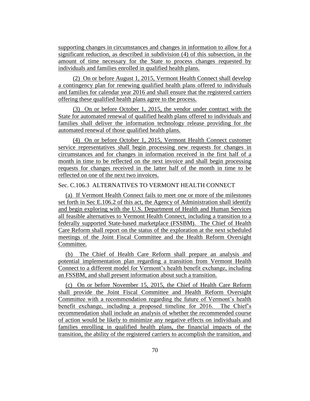supporting changes in circumstances and changes in information to allow for a significant reduction, as described in subdivision (4) of this subsection, in the amount of time necessary for the State to process changes requested by individuals and families enrolled in qualified health plans.

(2) On or before August 1, 2015, Vermont Health Connect shall develop a contingency plan for renewing qualified health plans offered to individuals and families for calendar year 2016 and shall ensure that the registered carriers offering these qualified health plans agree to the process.

(3) On or before October 1, 2015, the vendor under contract with the State for automated renewal of qualified health plans offered to individuals and families shall deliver the information technology release providing for the automated renewal of those qualified health plans.

(4) On or before October 1, 2015, Vermont Health Connect customer service representatives shall begin processing new requests for changes in circumstances and for changes in information received in the first half of a month in time to be reflected on the next invoice and shall begin processing requests for changes received in the latter half of the month in time to be reflected on one of the next two invoices.

# Sec. C.106.3 ALTERNATIVES TO VERMONT HEALTH CONNECT

(a) If Vermont Health Connect fails to meet one or more of the milestones set forth in Sec E.106.2 of this act, the Agency of Administration shall identify and begin exploring with the U.S. Department of Health and Human Services all feasible alternatives to Vermont Health Connect, including a transition to a federally supported State-based marketplace (FSSBM). The Chief of Health Care Reform shall report on the status of the exploration at the next scheduled meetings of the Joint Fiscal Committee and the Health Reform Oversight Committee.

(b) The Chief of Health Care Reform shall prepare an analysis and potential implementation plan regarding a transition from Vermont Health Connect to a different model for Vermont's health benefit exchange, including an FSSBM, and shall present information about such a transition.

(c) On or before November 15, 2015, the Chief of Health Care Reform shall provide the Joint Fiscal Committee and Health Reform Oversight Committee with a recommendation regarding the future of Vermont's health benefit exchange, including a proposed timeline for 2016. The Chief's recommendation shall include an analysis of whether the recommended course of action would be likely to minimize any negative effects on individuals and families enrolling in qualified health plans, the financial impacts of the transition, the ability of the registered carriers to accomplish the transition, and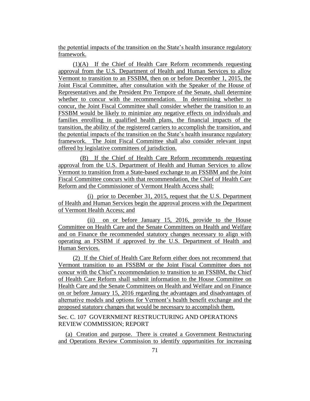the potential impacts of the transition on the State's health insurance regulatory framework.

(1)(A) If the Chief of Health Care Reform recommends requesting approval from the U.S. Department of Health and Human Services to allow Vermont to transition to an FSSBM, then on or before December 1, 2015, the Joint Fiscal Committee, after consultation with the Speaker of the House of Representatives and the President Pro Tempore of the Senate, shall determine whether to concur with the recommendation. In determining whether to concur, the Joint Fiscal Committee shall consider whether the transition to an FSSBM would be likely to minimize any negative effects on individuals and families enrolling in qualified health plans, the financial impacts of the transition, the ability of the registered carriers to accomplish the transition, and the potential impacts of the transition on the State's health insurance regulatory framework. The Joint Fiscal Committee shall also consider relevant input offered by legislative committees of jurisdiction.

(B) If the Chief of Health Care Reform recommends requesting approval from the U.S. Department of Health and Human Services to allow Vermont to transition from a State-based exchange to an FSSBM and the Joint Fiscal Committee concurs with that recommendation, the Chief of Health Care Reform and the Commissioner of Vermont Health Access shall:

(i) prior to December 31, 2015, request that the U.S. Department of Health and Human Services begin the approval process with the Department of Vermont Health Access; and

(ii) on or before January 15, 2016, provide to the House Committee on Health Care and the Senate Committees on Health and Welfare and on Finance the recommended statutory changes necessary to align with operating an FSSBM if approved by the U.S. Department of Health and Human Services.

(2) If the Chief of Health Care Reform either does not recommend that Vermont transition to an FSSBM or the Joint Fiscal Committee does not concur with the Chief's recommendation to transition to an FSSBM, the Chief of Health Care Reform shall submit information to the House Committee on Health Care and the Senate Committees on Health and Welfare and on Finance on or before January 15, 2016 regarding the advantages and disadvantages of alternative models and options for Vermont's health benefit exchange and the proposed statutory changes that would be necessary to accomplish them.

Sec. C. 107 GOVERNMENT RESTRUCTURING AND OPERATIONS REVIEW COMMISSION; REPORT

(a) Creation and purpose. There is created a Government Restructuring and Operations Review Commission to identify opportunities for increasing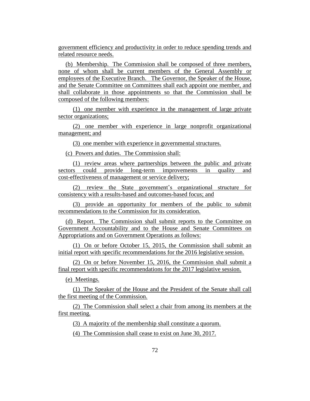government efficiency and productivity in order to reduce spending trends and related resource needs.

(b) Membership. The Commission shall be composed of three members, none of whom shall be current members of the General Assembly or employees of the Executive Branch. The Governor, the Speaker of the House, and the Senate Committee on Committees shall each appoint one member, and shall collaborate in those appointments so that the Commission shall be composed of the following members:

(1) one member with experience in the management of large private sector organizations;

(2) one member with experience in large nonprofit organizational management; and

(3) one member with experience in governmental structures.

(c) Powers and duties. The Commission shall:

(1) review areas where partnerships between the public and private sectors could provide long-term improvements in quality and cost-effectiveness of management or service delivery;

(2) review the State government's organizational structure for consistency with a results-based and outcomes-based focus; and

(3) provide an opportunity for members of the public to submit recommendations to the Commission for its consideration.

(d) Report. The Commission shall submit reports to the Committee on Government Accountability and to the House and Senate Committees on Appropriations and on Government Operations as follows:

(1) On or before October 15, 2015, the Commission shall submit an initial report with specific recommendations for the 2016 legislative session.

(2) On or before November 15, 2016, the Commission shall submit a final report with specific recommendations for the 2017 legislative session.

(e) Meetings.

(1) The Speaker of the House and the President of the Senate shall call the first meeting of the Commission.

(2) The Commission shall select a chair from among its members at the first meeting.

(3) A majority of the membership shall constitute a quorum.

(4) The Commission shall cease to exist on June 30, 2017.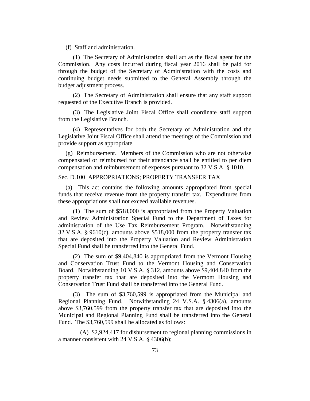(f) Staff and administration.

(1) The Secretary of Administration shall act as the fiscal agent for the Commission. Any costs incurred during fiscal year 2016 shall be paid for through the budget of the Secretary of Administration with the costs and continuing budget needs submitted to the General Assembly through the budget adjustment process.

(2) The Secretary of Administration shall ensure that any staff support requested of the Executive Branch is provided.

(3) The Legislative Joint Fiscal Office shall coordinate staff support from the Legislative Branch.

(4) Representatives for both the Secretary of Administration and the Legislative Joint Fiscal Office shall attend the meetings of the Commission and provide support as appropriate.

(g) Reimbursement. Members of the Commission who are not otherwise compensated or reimbursed for their attendance shall be entitled to per diem compensation and reimbursement of expenses pursuant to 32 V.S.A. § 1010.

Sec. D.100 APPROPRIATIONS; PROPERTY TRANSFER TAX

(a) This act contains the following amounts appropriated from special funds that receive revenue from the property transfer tax. Expenditures from these appropriations shall not exceed available revenues.

(1) The sum of \$518,000 is appropriated from the Property Valuation and Review Administration Special Fund to the Department of Taxes for administration of the Use Tax Reimbursement Program. Notwithstanding 32 V.S.A. § 9610(c), amounts above \$518,000 from the property transfer tax that are deposited into the Property Valuation and Review Administration Special Fund shall be transferred into the General Fund.

(2) The sum of \$9,404,840 is appropriated from the Vermont Housing and Conservation Trust Fund to the Vermont Housing and Conservation Board. Notwithstanding 10 V.S.A. § 312, amounts above \$9,404,840 from the property transfer tax that are deposited into the Vermont Housing and Conservation Trust Fund shall be transferred into the General Fund.

(3) The sum of \$3,760,599 is appropriated from the Municipal and Regional Planning Fund. Notwithstanding 24 V.S.A. § 4306(a), amounts above \$3,760,599 from the property transfer tax that are deposited into the Municipal and Regional Planning Fund shall be transferred into the General Fund. The \$3,760,599 shall be allocated as follows:

(A) \$2,924,417 for disbursement to regional planning commissions in a manner consistent with 24 V.S.A. § 4306(b);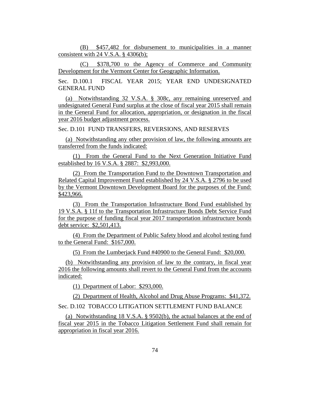(B) \$457,482 for disbursement to municipalities in a manner consistent with 24 V.S.A. § 4306(b);

(C) \$378,700 to the Agency of Commerce and Community Development for the Vermont Center for Geographic Information.

Sec. D.100.1 FISCAL YEAR 2015; YEAR END UNDESIGNATED GENERAL FUND

(a) Notwithstanding 32 V.S.A. § 308c, any remaining unreserved and undesignated General Fund surplus at the close of fiscal year 2015 shall remain in the General Fund for allocation, appropriation, or designation in the fiscal year 2016 budget adjustment process.

Sec. D.101 FUND TRANSFERS, REVERSIONS, AND RESERVES

(a) Notwithstanding any other provision of law, the following amounts are transferred from the funds indicated:

(1) From the General Fund to the Next Generation Initiative Fund established by 16 V.S.A. § 2887: \$2,993,000.

(2) From the Transportation Fund to the Downtown Transportation and Related Capital Improvement Fund established by 24 V.S.A. § 2796 to be used by the Vermont Downtown Development Board for the purposes of the Fund: \$423,966.

(3) From the Transportation Infrastructure Bond Fund established by 19 V.S.A. § 11f to the Transportation Infrastructure Bonds Debt Service Fund for the purpose of funding fiscal year 2017 transportation infrastructure bonds debt service: \$2,501,413.

(4) From the Department of Public Safety blood and alcohol testing fund to the General Fund: \$167,000.

(5) From the Lumberjack Fund #40900 to the General Fund: \$20,000.

(b) Notwithstanding any provision of law to the contrary, in fiscal year 2016 the following amounts shall revert to the General Fund from the accounts indicated:

(1) Department of Labor: \$293,000.

(2) Department of Health, Alcohol and Drug Abuse Programs: \$41,372. Sec. D.102 TOBACCO LITIGATION SETTLEMENT FUND BALANCE

(a) Notwithstanding 18 V.S.A. § 9502(b), the actual balances at the end of fiscal year 2015 in the Tobacco Litigation Settlement Fund shall remain for appropriation in fiscal year 2016.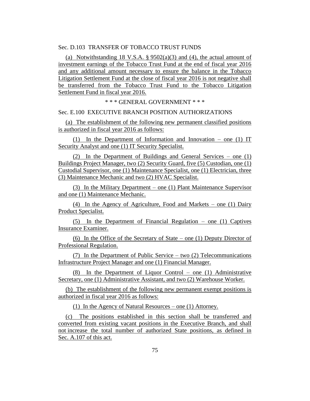Sec. D.103 TRANSFER OF TOBACCO TRUST FUNDS

(a) Notwithstanding 18 V.S.A.  $\S 9502(a)(3)$  and (4), the actual amount of investment earnings of the Tobacco Trust Fund at the end of fiscal year 2016 and any additional amount necessary to ensure the balance in the Tobacco Litigation Settlement Fund at the close of fiscal year 2016 is not negative shall be transferred from the Tobacco Trust Fund to the Tobacco Litigation Settlement Fund in fiscal year 2016.

\* \* \* GENERAL GOVERNMENT \* \* \*

### Sec. E.100 EXECUTIVE BRANCH POSITION AUTHORIZATIONS

(a) The establishment of the following new permanent classified positions is authorized in fiscal year 2016 as follows:

(1) In the Department of Information and Innovation – one (1) IT Security Analyst and one (1) IT Security Specialist.

(2) In the Department of Buildings and General Services – one (1) Buildings Project Manager, two (2) Security Guard, five (5) Custodian, one (1) Custodial Supervisor, one (1) Maintenance Specialist, one (1) Electrician, three (3) Maintenance Mechanic and two (2) HVAC Specialist.

(3) In the Military Department – one (1) Plant Maintenance Supervisor and one (1) Maintenance Mechanic.

(4) In the Agency of Agriculture, Food and Markets – one (1) Dairy Product Specialist.

(5) In the Department of Financial Regulation – one (1) Captives Insurance Examiner.

(6) In the Office of the Secretary of State – one (1) Deputy Director of Professional Regulation.

(7) In the Department of Public Service – two (2) Telecommunications Infrastructure Project Manager and one (1) Financial Manager.

(8) In the Department of Liquor Control – one (1) Administrative Secretary, one (1) Administrative Assistant, and two (2) Warehouse Worker.

(b) The establishment of the following new permanent exempt positions is authorized in fiscal year 2016 as follows:

(1) In the Agency of Natural Resources – one (1) Attorney.

(c) The positions established in this section shall be transferred and converted from existing vacant positions in the Executive Branch, and shall not increase the total number of authorized State positions, as defined in Sec. A.107 of this act.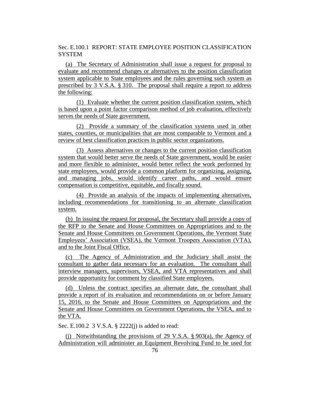Sec. E.100.1 REPORT: STATE EMPLOYEE POSITION CLASSIFICATION **SYSTEM** 

(a) The Secretary of Administration shall issue a request for proposal to evaluate and recommend changes or alternatives to the position classification system applicable to State employees and the rules governing such system as prescribed by 3 V.S.A. § 310. The proposal shall require a report to address the following:

(1) Evaluate whether the current position classification system, which is based upon a point factor comparison method of job evaluation, effectively serves the needs of State government.

(2) Provide a summary of the classification systems used in other states, counties, or municipalities that are most comparable to Vermont and a review of best classification practices in public sector organizations.

(3) Assess alternatives or changes to the current position classification system that would better serve the needs of State government, would be easier and more flexible to administer, would better reflect the work performed by state employees, would provide a common platform for organizing, assigning, and managing jobs, would identify career paths, and would ensure compensation is competitive, equitable, and fiscally sound.

(4) Provide an analysis of the impacts of implementing alternatives, including recommendations for transitioning to an alternate classification system.

(b) In issuing the request for proposal, the Secretary shall provide a copy of the RFP to the Senate and House Committees on Appropriations and to the Senate and House Committees on Government Operations, the Vermont State Employees' Association (VSEA), the Vermont Troopers Association (VTA), and to the Joint Fiscal Office.

(c) The Agency of Administration and the Judiciary shall assist the consultant to gather data necessary for an evaluation. The consultant shall interview managers, supervisors, VSEA, and VTA representatives and shall provide opportunity for comment by classified State employees.

(d) Unless the contract specifies an alternate date, the consultant shall provide a report of its evaluation and recommendations on or before January 15, 2016, to the Senate and House Committees on Appropriations and the Senate and House Committees on Government Operations, the VSEA, and to the VTA.

Sec. E.100.2 3 V.S.A. § 2222(j) is added to read:

(j) Notwithstanding the provisions of 29 V.S.A. § 903(a), the Agency of Administration will administer an Equipment Revolving Fund to be used for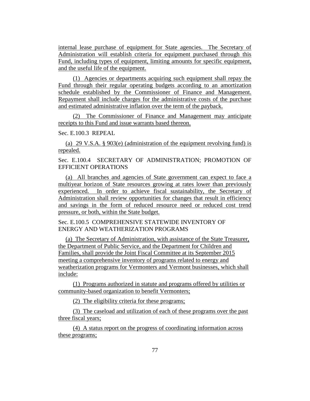internal lease purchase of equipment for State agencies. The Secretary of Administration will establish criteria for equipment purchased through this Fund, including types of equipment, limiting amounts for specific equipment, and the useful life of the equipment.

(1) Agencies or departments acquiring such equipment shall repay the Fund through their regular operating budgets according to an amortization schedule established by the Commissioner of Finance and Management. Repayment shall include charges for the administrative costs of the purchase and estimated administrative inflation over the term of the payback.

(2) The Commissioner of Finance and Management may anticipate receipts to this Fund and issue warrants based thereon.

## Sec. E.100.3 REPEAL

(a) 29 V.S.A. § 903(e) (administration of the equipment revolving fund) is repealed.

Sec. E.100.4 SECRETARY OF ADMINISTRATION; PROMOTION OF EFFICIENT OPERATIONS

(a) All branches and agencies of State government can expect to face a multiyear horizon of State resources growing at rates lower than previously experienced. In order to achieve fiscal sustainability, the Secretary of Administration shall review opportunities for changes that result in efficiency and savings in the form of reduced resource need or reduced cost trend pressure, or both, within the State budget.

Sec. E.100.5 COMPREHENSIVE STATEWIDE INVENTORY OF ENERGY AND WEATHERIZATION PROGRAMS

(a) The Secretary of Administration, with assistance of the State Treasurer, the Department of Public Service, and the Department for Children and Families, shall provide the Joint Fiscal Committee at its September 2015 meeting a comprehensive inventory of programs related to energy and weatherization programs for Vermonters and Vermont businesses, which shall include:

(1) Programs authorized in statute and programs offered by utilities or community-based organization to benefit Vermonters;

(2) The eligibility criteria for these programs;

(3) The caseload and utilization of each of these programs over the past three fiscal years;

(4) A status report on the progress of coordinating information across these programs;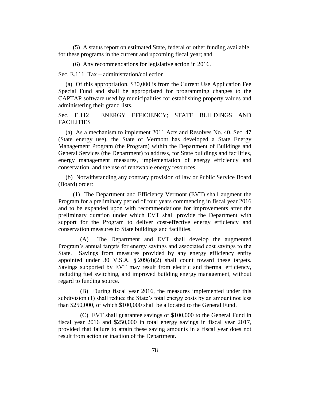(5) A status report on estimated State, federal or other funding available for these programs in the current and upcoming fiscal year; and

(6) Any recommendations for legislative action in 2016.

Sec. E.111 Tax – administration/collection

(a) Of this appropriation, \$30,000 is from the Current Use Application Fee Special Fund and shall be appropriated for programming changes to the CAPTAP software used by municipalities for establishing property values and administering their grand lists.

Sec. E.112 ENERGY EFFICIENCY; STATE BUILDINGS AND FACILITIES

(a) As a mechanism to implement 2011 Acts and Resolves No. 40, Sec. 47 (State energy use), the State of Vermont has developed a State Energy Management Program (the Program) within the Department of Buildings and General Services (the Department) to address, for State buildings and facilities, energy management measures, implementation of energy efficiency and conservation, and the use of renewable energy resources.

(b) Notwithstanding any contrary provision of law or Public Service Board (Board) order:

(1) The Department and Efficiency Vermont (EVT) shall augment the Program for a preliminary period of four years commencing in fiscal year 2016 and to be expanded upon with recommendations for improvements after the preliminary duration under which EVT shall provide the Department with support for the Program to deliver cost-effective energy efficiency and conservation measures to State buildings and facilities.

(A) The Department and EVT shall develop the augmented Program's annual targets for energy savings and associated cost savings to the State. Savings from measures provided by any energy efficiency entity appointed under 30 V.S.A.  $\S 209(d)(2)$  shall count toward these targets. Savings supported by EVT may result from electric and thermal efficiency, including fuel switching, and improved building energy management, without regard to funding source.

(B) During fiscal year 2016, the measures implemented under this subdivision (1) shall reduce the State's total energy costs by an amount not less than \$250,000, of which \$100,000 shall be allocated to the General Fund.

(C) EVT shall guarantee savings of \$100,000 to the General Fund in fiscal year 2016 and \$250,000 in total energy savings in fiscal year 2017, provided that failure to attain these saving amounts in a fiscal year does not result from action or inaction of the Department.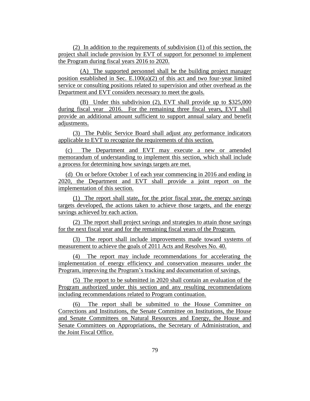(2) In addition to the requirements of subdivision (1) of this section, the project shall include provision by EVT of support for personnel to implement the Program during fiscal years 2016 to 2020.

(A) The supported personnel shall be the building project manager position established in Sec.  $E.100(a)(2)$  of this act and two four-year limited service or consulting positions related to supervision and other overhead as the Department and EVT considers necessary to meet the goals.

(B) Under this subdivision (2), EVT shall provide up to \$325,000 during fiscal year 2016. For the remaining three fiscal years, EVT shall provide an additional amount sufficient to support annual salary and benefit adjustments.

(3) The Public Service Board shall adjust any performance indicators applicable to EVT to recognize the requirements of this section.

(c) The Department and EVT may execute a new or amended memorandum of understanding to implement this section, which shall include a process for determining how savings targets are met.

(d) On or before October 1 of each year commencing in 2016 and ending in 2020, the Department and EVT shall provide a joint report on the implementation of this section.

(1) The report shall state, for the prior fiscal year, the energy savings targets developed, the actions taken to achieve those targets, and the energy savings achieved by each action.

(2) The report shall project savings and strategies to attain those savings for the next fiscal year and for the remaining fiscal years of the Program.

(3) The report shall include improvements made toward systems of measurement to achieve the goals of 2011 Acts and Resolves No. 40.

(4) The report may include recommendations for accelerating the implementation of energy efficiency and conservation measures under the Program, improving the Program's tracking and documentation of savings.

(5) The report to be submitted in 2020 shall contain an evaluation of the Program authorized under this section and any resulting recommendations including recommendations related to Program continuation.

(6) The report shall be submitted to the House Committee on Corrections and Institutions, the Senate Committee on Institutions, the House and Senate Committees on Natural Resources and Energy, the House and Senate Committees on Appropriations, the Secretary of Administration, and the Joint Fiscal Office.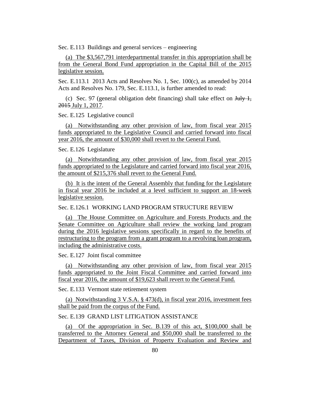Sec. E.113 Buildings and general services – engineering

(a) The \$3,567,791 interdepartmental transfer in this appropriation shall be from the General Bond Fund appropriation in the Capital Bill of the 2015 legislative session.

Sec. E.113.1 2013 Acts and Resolves No. 1, Sec. 100(c), as amended by 2014 Acts and Resolves No. 179, Sec. E.113.1, is further amended to read:

(c) Sec. 97 (general obligation debt financing) shall take effect on  $\frac{\text{July }1,}{\text{Output}}$ 2015 July 1, 2017.

Sec. E.125 Legislative council

(a) Notwithstanding any other provision of law, from fiscal year 2015 funds appropriated to the Legislative Council and carried forward into fiscal year 2016, the amount of \$30,000 shall revert to the General Fund.

Sec. E.126 Legislature

(a) Notwithstanding any other provision of law, from fiscal year 2015 funds appropriated to the Legislature and carried forward into fiscal year 2016, the amount of \$215,376 shall revert to the General Fund.

(b) It is the intent of the General Assembly that funding for the Legislature in fiscal year 2016 be included at a level sufficient to support an 18-week legislative session.

Sec. E.126.1 WORKING LAND PROGRAM STRUCTURE REVIEW

(a) The House Committee on Agriculture and Forests Products and the Senate Committee on Agriculture shall review the working land program during the 2016 legislative sessions specifically in regard to the benefits of restructuring to the program from a grant program to a revolving loan program, including the administrative costs.

Sec. E.127 Joint fiscal committee

(a) Notwithstanding any other provision of law, from fiscal year 2015 funds appropriated to the Joint Fiscal Committee and carried forward into fiscal year 2016, the amount of \$19,623 shall revert to the General Fund.

Sec. E.133 Vermont state retirement system

(a) Notwithstanding 3 V.S.A. § 473(d), in fiscal year 2016, investment fees shall be paid from the corpus of the Fund.

Sec. E.139 GRAND LIST LITIGATION ASSISTANCE

(a) Of the appropriation in Sec. B.139 of this act, \$100,000 shall be transferred to the Attorney General and \$50,000 shall be transferred to the Department of Taxes, Division of Property Evaluation and Review and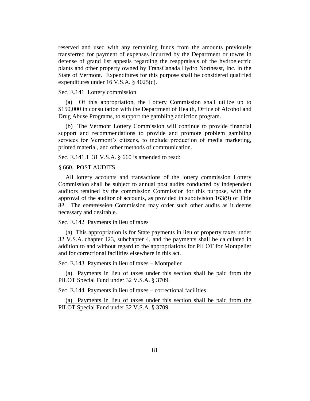reserved and used with any remaining funds from the amounts previously transferred for payment of expenses incurred by the Department or towns in defense of grand list appeals regarding the reappraisals of the hydroelectric plants and other property owned by TransCanada Hydro Northeast, Inc. in the State of Vermont. Expenditures for this purpose shall be considered qualified expenditures under 16 V.S.A. § 4025(c).

Sec. E.141 Lottery commission

(a) Of this appropriation, the Lottery Commission shall utilize up to \$150,000 in consultation with the Department of Health, Office of Alcohol and Drug Abuse Programs, to support the gambling addiction program.

(b) The Vermont Lottery Commission will continue to provide financial support and recommendations to provide and promote problem gambling services for Vermont's citizens, to include production of media marketing, printed material, and other methods of communication.

Sec. E.141.1 31 V.S.A. § 660 is amended to read:

§ 660. POST AUDITS

All lottery accounts and transactions of the lottery commission Lottery Commission shall be subject to annual post audits conducted by independent auditors retained by the commission Commission for this purpose, with the approval of the auditor of accounts, as provided in subdivision 163(9) of Title 32. The commission Commission may order such other audits as it deems necessary and desirable.

Sec. E.142 Payments in lieu of taxes

(a) This appropriation is for State payments in lieu of property taxes under 32 V.S.A. chapter 123, subchapter 4, and the payments shall be calculated in addition to and without regard to the appropriations for PILOT for Montpelier and for correctional facilities elsewhere in this act.

Sec. E.143 Payments in lieu of taxes – Montpelier

(a) Payments in lieu of taxes under this section shall be paid from the PILOT Special Fund under 32 V.S.A. § 3709.

Sec. E.144 Payments in lieu of taxes – correctional facilities

(a) Payments in lieu of taxes under this section shall be paid from the PILOT Special Fund under 32 V.S.A. § 3709.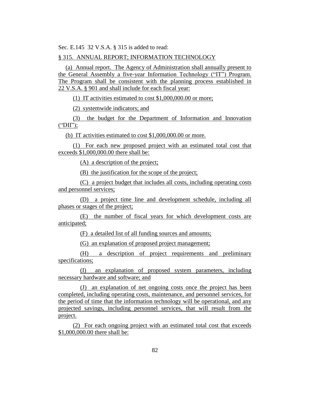Sec. E.145 32 V.S.A. § 315 is added to read:

### § 315. ANNUAL REPORT; INFORMATION TECHNOLOGY

(a) Annual report. The Agency of Administration shall annually present to the General Assembly a five-year Information Technology ("IT") Program. The Program shall be consistent with the planning process established in 22 V.S.A. § 901 and shall include for each fiscal year:

(1) IT activities estimated to cost \$1,000,000.00 or more;

(2) systemwide indicators; and

(3) the budget for the Department of Information and Innovation  $("DII")$ ;

(b) IT activities estimated to cost \$1,000,000.00 or more.

(1) For each new proposed project with an estimated total cost that exceeds \$1,000,000.00 there shall be:

(A) a description of the project;

(B) the justification for the scope of the project;

(C) a project budget that includes all costs, including operating costs and personnel services;

(D) a project time line and development schedule, including all phases or stages of the project;

(E) the number of fiscal years for which development costs are anticipated;

(F) a detailed list of all funding sources and amounts;

(G) an explanation of proposed project management;

(H) a description of project requirements and preliminary specifications;

(I) an explanation of proposed system parameters, including necessary hardware and software; and

(J) an explanation of net ongoing costs once the project has been completed, including operating costs, maintenance, and personnel services, for the period of time that the information technology will be operational, and any projected savings, including personnel services, that will result from the project.

(2) For each ongoing project with an estimated total cost that exceeds \$1,000,000.00 there shall be: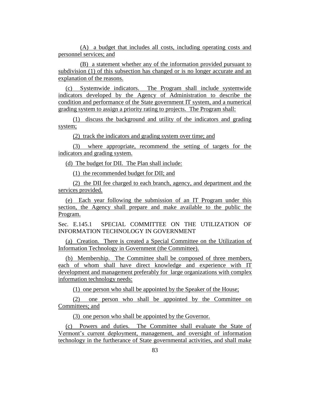(A) a budget that includes all costs, including operating costs and personnel services; and

(B) a statement whether any of the information provided pursuant to subdivision (1) of this subsection has changed or is no longer accurate and an explanation of the reasons.

(c) Systemwide indicators. The Program shall include systemwide indicators developed by the Agency of Administration to describe the condition and performance of the State government IT system, and a numerical grading system to assign a priority rating to projects. The Program shall:

(1) discuss the background and utility of the indicators and grading system;

(2) track the indicators and grading system over time; and

(3) where appropriate, recommend the setting of targets for the indicators and grading system.

(d) The budget for DII. The Plan shall include:

(1) the recommended budget for DII; and

(2) the DII fee charged to each branch, agency, and department and the services provided.

(e) Each year following the submission of an IT Program under this section, the Agency shall prepare and make available to the public the Program.

Sec. E.145.1 SPECIAL COMMITTEE ON THE UTILIZATION OF INFORMATION TECHNOLOGY IN GOVERNMENT

(a) Creation. There is created a Special Committee on the Utilization of Information Technology in Government (the Committee).

(b) Membership. The Committee shall be composed of three members, each of whom shall have direct knowledge and experience with IT development and management preferably for large organizations with complex information technology needs:

(1) one person who shall be appointed by the Speaker of the House;

(2) one person who shall be appointed by the Committee on Committees; and

(3) one person who shall be appointed by the Governor.

(c) Powers and duties. The Committee shall evaluate the State of Vermont's current deployment, management, and oversight of information technology in the furtherance of State governmental activities, and shall make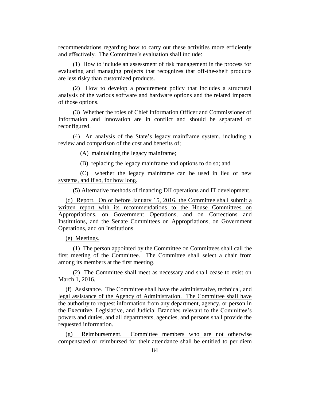recommendations regarding how to carry out these activities more efficiently and effectively. The Committee's evaluation shall include:

(1) How to include an assessment of risk management in the process for evaluating and managing projects that recognizes that off-the-shelf products are less risky than customized products.

(2) How to develop a procurement policy that includes a structural analysis of the various software and hardware options and the related impacts of those options.

(3) Whether the roles of Chief Information Officer and Commissioner of Information and Innovation are in conflict and should be separated or reconfigured.

(4) An analysis of the State's legacy mainframe system, including a review and comparison of the cost and benefits of;

(A) maintaining the legacy mainframe;

(B) replacing the legacy mainframe and options to do so; and

(C) whether the legacy mainframe can be used in lieu of new systems, and if so, for how long.

(5) Alternative methods of financing DII operations and IT development.

(d) Report. On or before January 15, 2016, the Committee shall submit a written report with its recommendations to the House Committees on Appropriations, on Government Operations, and on Corrections and Institutions, and the Senate Committees on Appropriations, on Government Operations, and on Institutions.

(e) Meetings.

(1) The person appointed by the Committee on Committees shall call the first meeting of the Committee. The Committee shall select a chair from among its members at the first meeting.

(2) The Committee shall meet as necessary and shall cease to exist on March 1, 2016.

(f) Assistance. The Committee shall have the administrative, technical, and legal assistance of the Agency of Administration. The Committee shall have the authority to request information from any department, agency, or person in the Executive, Legislative, and Judicial Branches relevant to the Committee's powers and duties, and all departments, agencies, and persons shall provide the requested information.

(g) Reimbursement. Committee members who are not otherwise compensated or reimbursed for their attendance shall be entitled to per diem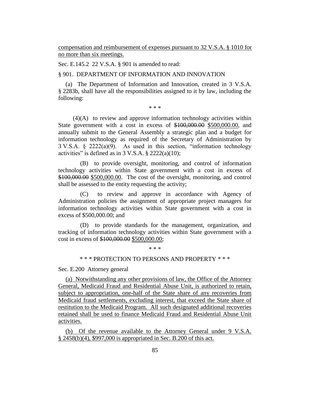compensation and reimbursement of expenses pursuant to 32 V.S.A. § 1010 for no more than six meetings.

Sec. E.145.2 22 V.S.A. § 901 is amended to read:

### § 901. DEPARTMENT OF INFORMATION AND INNOVATION

(a) The Department of Information and Innovation, created in 3 V.S.A. § 2283b, shall have all the responsibilities assigned to it by law, including the following:

\* \* \*

(4)(A) to review and approve information technology activities within State government with a cost in excess of \$100,000.00 \$500,000.00, and annually submit to the General Assembly a strategic plan and a budget for information technology as required of the Secretary of Administration by 3 V.S.A. § 2222(a)(9). As used in this section, "information technology activities" is defined as in  $3$  V.S.A.  $\S$  2222(a)(10);

(B) to provide oversight, monitoring, and control of information technology activities within State government with a cost in excess of \$100,000.00 \$500,000.00. The cost of the oversight, monitoring, and control shall be assessed to the entity requesting the activity;

(C) to review and approve in accordance with Agency of Administration policies the assignment of appropriate project managers for information technology activities within State government with a cost in excess of \$500,000.00; and

(D) to provide standards for the management, organization, and tracking of information technology activities within State government with a cost in excess of \$100,000.00 \$500,000.00;

\* \* \*

# \* \* \* PROTECTION TO PERSONS AND PROPERTY \* \* \*

Sec. E.200 Attorney general

(a) Notwithstanding any other provisions of law, the Office of the Attorney General, Medicaid Fraud and Residential Abuse Unit, is authorized to retain, subject to appropriation, one-half of the State share of any recoveries from Medicaid fraud settlements, excluding interest, that exceed the State share of restitution to the Medicaid Program. All such designated additional recoveries retained shall be used to finance Medicaid Fraud and Residential Abuse Unit activities.

(b) Of the revenue available to the Attorney General under 9 V.S.A. § 2458(b)(4), \$997,000 is appropriated in Sec. B.200 of this act.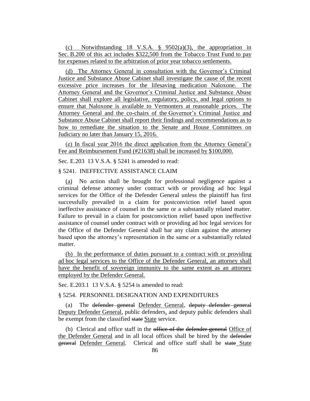(c) Notwithstanding 18 V.S.A. § 9502(a)(3), the appropriation in Sec. B.200 of this act includes \$322,500 from the Tobacco Trust Fund to pay for expenses related to the arbitration of prior year tobacco settlements.

(d) The Attorney General in consultation with the Governor's Criminal Justice and Substance Abuse Cabinet shall investigate the cause of the recent excessive price increases for the lifesaving medication Naloxone. The Attorney General and the Governor's Criminal Justice and Substance Abuse Cabinet shall explore all legislative, regulatory, policy, and legal options to ensure that Naloxone is available to Vermonters at reasonable prices. The Attorney General and the co-chairs of the Governor's Criminal Justice and Substance Abuse Cabinet shall report their findings and recommendations as to how to remediate the situation to the Senate and House Committees on Judiciary no later than January 15, 2016.

(e) In fiscal year 2016 the direct application from the Attorney General's Fee and Reimbursement Fund (#21638) shall be increased by \$100,000.

Sec. E.203 13 V.S.A. § 5241 is amended to read:

§ 5241. INEFFECTIVE ASSISTANCE CLAIM

(a) No action shall be brought for professional negligence against a criminal defense attorney under contract with or providing ad hoc legal services for the Office of the Defender General unless the plaintiff has first successfully prevailed in a claim for postconviction relief based upon ineffective assistance of counsel in the same or a substantially related matter. Failure to prevail in a claim for postconviction relief based upon ineffective assistance of counsel under contract with or providing ad hoc legal services for the Office of the Defender General shall bar any claim against the attorney based upon the attorney's representation in the same or a substantially related matter.

(b) In the performance of duties pursuant to a contract with or providing ad hoc legal services to the Office of the Defender General, an attorney shall have the benefit of sovereign immunity to the same extent as an attorney employed by the Defender General.

Sec. E.203.1 13 V.S.A. § 5254 is amended to read:

§ 5254. PERSONNEL DESIGNATION AND EXPENDITURES

(a) The defender general Defender General, deputy defender general Deputy Defender General, public defenders, and deputy public defenders shall be exempt from the classified state State service.

(b) Clerical and office staff in the office of the defender general Office of the Defender General and in all local offices shall be hired by the defender general Defender General. Clerical and office staff shall be state State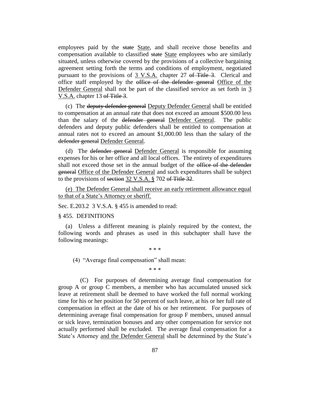employees paid by the state State, and shall receive those benefits and compensation available to classified state State employees who are similarly situated, unless otherwise covered by the provisions of a collective bargaining agreement setting forth the terms and conditions of employment, negotiated pursuant to the provisions of 3 V.S.A. chapter 27 of Title 3. Clerical and office staff employed by the office of the defender general Office of the Defender General shall not be part of the classified service as set forth in 3 V.S.A. chapter 13 of Title 3.

(c) The deputy defender general Deputy Defender General shall be entitled to compensation at an annual rate that does not exceed an amount \$500.00 less than the salary of the defender general Defender General. The public defenders and deputy public defenders shall be entitled to compensation at annual rates not to exceed an amount \$1,000.00 less than the salary of the defender general Defender General.

(d) The defender general Defender General is responsible for assuming expenses for his or her office and all local offices. The entirety of expenditures shall not exceed those set in the annual budget of the office of the defender general Office of the Defender General and such expenditures shall be subject to the provisions of section 32 V.S.A. § 702 of Title 32.

(e) The Defender General shall receive an early retirement allowance equal to that of a State's Attorney or sheriff.

Sec. E.203.2 3 V.S.A. § 455 is amended to read:

§ 455. DEFINITIONS

(a) Unless a different meaning is plainly required by the context, the following words and phrases as used in this subchapter shall have the following meanings:

\* \* \*

(4) "Average final compensation" shall mean:

\* \* \*

(C) For purposes of determining average final compensation for group A or group C members, a member who has accumulated unused sick leave at retirement shall be deemed to have worked the full normal working time for his or her position for 50 percent of such leave, at his or her full rate of compensation in effect at the date of his or her retirement. For purposes of determining average final compensation for group F members, unused annual or sick leave, termination bonuses and any other compensation for service not actually performed shall be excluded. The average final compensation for a State's Attorney and the Defender General shall be determined by the State's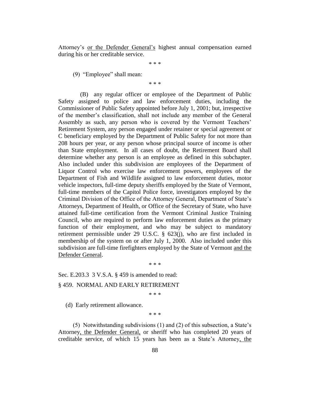Attorney's or the Defender General's highest annual compensation earned during his or her creditable service.

\* \* \*

(9) "Employee" shall mean:

\* \* \*

(B) any regular officer or employee of the Department of Public Safety assigned to police and law enforcement duties, including the Commissioner of Public Safety appointed before July 1, 2001; but, irrespective of the member's classification, shall not include any member of the General Assembly as such, any person who is covered by the Vermont Teachers' Retirement System, any person engaged under retainer or special agreement or C beneficiary employed by the Department of Public Safety for not more than 208 hours per year, or any person whose principal source of income is other than State employment. In all cases of doubt, the Retirement Board shall determine whether any person is an employee as defined in this subchapter. Also included under this subdivision are employees of the Department of Liquor Control who exercise law enforcement powers, employees of the Department of Fish and Wildlife assigned to law enforcement duties, motor vehicle inspectors, full-time deputy sheriffs employed by the State of Vermont, full-time members of the Capitol Police force, investigators employed by the Criminal Division of the Office of the Attorney General, Department of State's Attorneys, Department of Health, or Office of the Secretary of State, who have attained full-time certification from the Vermont Criminal Justice Training Council, who are required to perform law enforcement duties as the primary function of their employment, and who may be subject to mandatory retirement permissible under 29 U.S.C. § 623(j), who are first included in membership of the system on or after July 1, 2000. Also included under this subdivision are full-time firefighters employed by the State of Vermont and the Defender General.

Sec. E.203.3 3 V.S.A. § 459 is amended to read:

§ 459. NORMAL AND EARLY RETIREMENT

\* \* \*

\* \* \*

(d) Early retirement allowance.

\* \* \*

(5) Notwithstanding subdivisions (1) and (2) of this subsection, a State's Attorney, the Defender General, or sheriff who has completed 20 years of creditable service, of which 15 years has been as a State's Attorney, the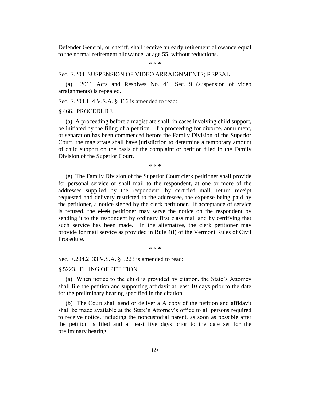Defender General, or sheriff, shall receive an early retirement allowance equal to the normal retirement allowance, at age 55, without reductions.

\* \* \*

### Sec. E.204 SUSPENSION OF VIDEO ARRAIGNMENTS; REPEAL

(a) 2011 Acts and Resolves No. 41, Sec. 9 (suspension of video arraignments) is repealed.

Sec. E.204.1 4 V.S.A. § 466 is amended to read:

### § 466. PROCEDURE

(a) A proceeding before a magistrate shall, in cases involving child support, be initiated by the filing of a petition. If a proceeding for divorce, annulment, or separation has been commenced before the Family Division of the Superior Court, the magistrate shall have jurisdiction to determine a temporary amount of child support on the basis of the complaint or petition filed in the Family Division of the Superior Court.

\* \* \*

(e) The Family Division of the Superior Court clerk petitioner shall provide for personal service or shall mail to the respondent, at one or more of the addresses supplied by the respondent, by certified mail, return receipt requested and delivery restricted to the addressee, the expense being paid by the petitioner, a notice signed by the elerk petitioner. If acceptance of service is refused, the elerk petitioner may serve the notice on the respondent by sending it to the respondent by ordinary first class mail and by certifying that such service has been made. In the alternative, the elerk petitioner may provide for mail service as provided in Rule 4(l) of the Vermont Rules of Civil Procedure.

\* \* \*

Sec. E.204.2 33 V.S.A. § 5223 is amended to read:

#### § 5223. FILING OF PETITION

(a) When notice to the child is provided by citation, the State's Attorney shall file the petition and supporting affidavit at least 10 days prior to the date for the preliminary hearing specified in the citation.

(b) The Court shall send or deliver a  $\underline{A}$  copy of the petition and affidavit shall be made available at the State's Attorney's office to all persons required to receive notice, including the noncustodial parent, as soon as possible after the petition is filed and at least five days prior to the date set for the preliminary hearing.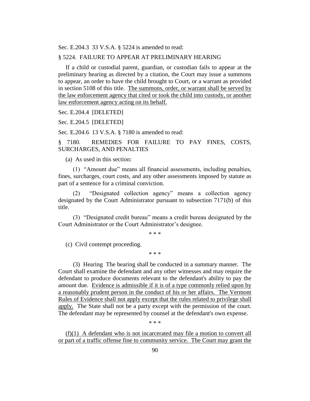Sec. E.204.3 33 V.S.A. § 5224 is amended to read:

### § 5224. FAILURE TO APPEAR AT PRELIMINARY HEARING

If a child or custodial parent, guardian, or custodian fails to appear at the preliminary hearing as directed by a citation, the Court may issue a summons to appear, an order to have the child brought to Court, or a warrant as provided in section 5108 of this title. The summons, order, or warrant shall be served by the law enforcement agency that cited or took the child into custody, or another law enforcement agency acting on its behalf.

#### Sec. E.204.4 [DELETED]

Sec. E.204.5 [DELETED]

Sec. E.204.6 13 V.S.A. § 7180 is amended to read:

§ 7180. REMEDIES FOR FAILURE TO PAY FINES, COSTS, SURCHARGES, AND PENALTIES

(a) As used in this section:

(1) "Amount due" means all financial assessments, including penalties, fines, surcharges, court costs, and any other assessments imposed by statute as part of a sentence for a criminal conviction.

(2) "Designated collection agency" means a collection agency designated by the Court Administrator pursuant to subsection 7171(b) of this title.

(3) "Designated credit bureau" means a credit bureau designated by the Court Administrator or the Court Administrator's designee.

\* \* \*

(c) Civil contempt proceeding.

\* \* \*

(3) Hearing The hearing shall be conducted in a summary manner. The Court shall examine the defendant and any other witnesses and may require the defendant to produce documents relevant to the defendant's ability to pay the amount due. Evidence is admissible if it is of a type commonly relied upon by a reasonably prudent person in the conduct of his or her affairs. The Vermont Rules of Evidence shall not apply except that the rules related to privilege shall apply. The State shall not be a party except with the permission of the court. The defendant may be represented by counsel at the defendant's own expense.

\* \* \*

(f)(1) A defendant who is not incarcerated may file a motion to convert all or part of a traffic offense fine to community service. The Court may grant the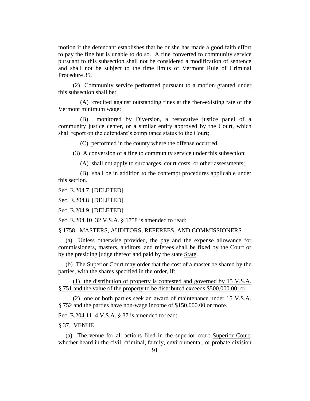motion if the defendant establishes that he or she has made a good faith effort to pay the fine but is unable to do so. A fine converted to community service pursuant to this subsection shall not be considered a modification of sentence and shall not be subject to the time limits of Vermont Rule of Criminal Procedure 35.

(2) Community service performed pursuant to a motion granted under this subsection shall be:

(A) credited against outstanding fines at the then-existing rate of the Vermont minimum wage:

(B) monitored by Diversion, a restorative justice panel of a community justice center, or a similar entity approved by the Court, which shall report on the defendant's compliance status to the Court;

(C) performed in the county where the offense occurred.

(3) A conversion of a fine to community service under this subsection:

(A) shall not apply to surcharges, court costs, or other assessments;

(B) shall be in addition to the contempt procedures applicable under this section.

Sec. E.204.7 [DELETED]

Sec. E.204.8 [DELETED]

Sec. E.204.9 [DELETED]

Sec. E.204.10 32 V.S.A. § 1758 is amended to read:

§ 1758. MASTERS, AUDITORS, REFEREES, AND COMMISSIONERS

(a) Unless otherwise provided, the pay and the expense allowance for commissioners, masters, auditors, and referees shall be fixed by the Court or by the presiding judge thereof and paid by the state State.

(b) The Superior Court may order that the cost of a master be shared by the parties, with the shares specified in the order, if:

(1) the distribution of property is contested and governed by 15 V.S.A. § 751 and the value of the property to be distributed exceeds \$500,000.00; or

(2) one or both parties seek an award of maintenance under 15 V.S.A. § 752 and the parties have non-wage income of \$150,000.00 or more.

Sec. E.204.11 4 V.S.A. § 37 is amended to read:

§ 37. VENUE

(a) The venue for all actions filed in the superior court Superior Court, whether heard in the civil, criminal, family, environmental, or probate division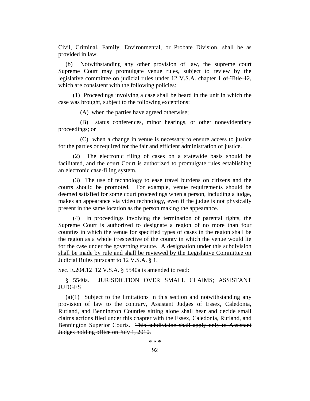Civil, Criminal, Family, Environmental, or Probate Division, shall be as provided in law.

(b) Notwithstanding any other provision of law, the supreme court Supreme Court may promulgate venue rules, subject to review by the legislative committee on judicial rules under 12 V.S.A. chapter 1 of Title 12, which are consistent with the following policies:

(1) Proceedings involving a case shall be heard in the unit in which the case was brought, subject to the following exceptions:

(A) when the parties have agreed otherwise;

(B) status conferences, minor hearings, or other nonevidentiary proceedings; or

(C) when a change in venue is necessary to ensure access to justice for the parties or required for the fair and efficient administration of justice.

(2) The electronic filing of cases on a statewide basis should be facilitated, and the court Court is authorized to promulgate rules establishing an electronic case-filing system.

(3) The use of technology to ease travel burdens on citizens and the courts should be promoted. For example, venue requirements should be deemed satisfied for some court proceedings when a person, including a judge, makes an appearance via video technology, even if the judge is not physically present in the same location as the person making the appearance.

(4) In proceedings involving the termination of parental rights, the Supreme Court is authorized to designate a region of no more than four counties in which the venue for specified types of cases in the region shall be the region as a whole irrespective of the county in which the venue would lie for the case under the governing statute. A designation under this subdivision shall be made by rule and shall be reviewed by the Legislative Committee on Judicial Rules pursuant to 12 V.S.A. § 1.

Sec. E.204.12 12 V.S.A. § 5540a is amended to read:

§ 5540a. JURISDICTION OVER SMALL CLAIMS; ASSISTANT **JUDGES** 

(a)(1) Subject to the limitations in this section and notwithstanding any provision of law to the contrary, Assistant Judges of Essex, Caledonia, Rutland, and Bennington Counties sitting alone shall hear and decide small claims actions filed under this chapter with the Essex, Caledonia, Rutland, and Bennington Superior Courts. This subdivision shall apply only to Assistant Judges holding office on July 1, 2010.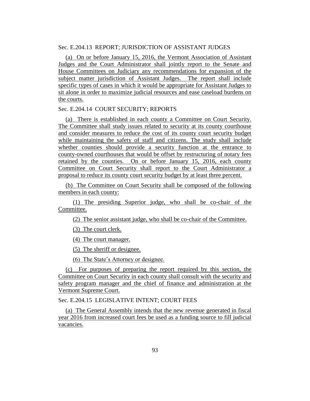# Sec. E.204.13 REPORT; JURISDICTION OF ASSISTANT JUDGES

(a) On or before January 15, 2016, the Vermont Association of Assistant Judges and the Court Administrator shall jointly report to the Senate and House Committees on Judiciary any recommendations for expansion of the subject matter jurisdiction of Assistant Judges. The report shall include specific types of cases in which it would be appropriate for Assistant Judges to sit alone in order to maximize judicial resources and ease caseload burdens on the courts.

## Sec. E.204.14 COURT SECURITY; REPORTS

(a) There is established in each county a Committee on Court Security. The Committee shall study issues related to security at its county courthouse and consider measures to reduce the cost of its county court security budget while maintaining the safety of staff and citizens. The study shall include whether counties should provide a security function at the entrance to county-owned courthouses that would be offset by restructuring of notary fees retained by the counties. On or before January 15, 2016, each county Committee on Court Security shall report to the Court Administrator a proposal to reduce its county court security budget by at least three percent.

(b) The Committee on Court Security shall be composed of the following members in each county:

(1) The presiding Superior judge, who shall be co-chair of the Committee.

(2) The senior assistant judge, who shall be co-chair of the Committee.

(3) The court clerk.

(4) The court manager.

(5) The sheriff or designee.

(6) The State's Attorney or designee.

(c) For purposes of preparing the report required by this section, the Committee on Court Security in each county shall consult with the security and safety program manager and the chief of finance and administration at the Vermont Supreme Court.

Sec. E.204.15 LEGISLATIVE INTENT; COURT FEES

(a) The General Assembly intends that the new revenue generated in fiscal year 2016 from increased court fees be used as a funding source to fill judicial vacancies.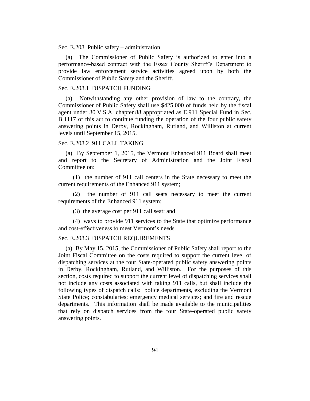Sec. E.208 Public safety – administration

(a) The Commissioner of Public Safety is authorized to enter into a performance-based contract with the Essex County Sheriff's Department to provide law enforcement service activities agreed upon by both the Commissioner of Public Safety and the Sheriff.

### Sec. E.208.1 DISPATCH FUNDING

(a) Notwithstanding any other provision of law to the contrary, the Commissioner of Public Safety shall use \$425,000 of funds held by the fiscal agent under 30 V.S.A. chapter 88 appropriated as E.911 Special Fund in Sec. B.1117 of this act to continue funding the operation of the four public safety answering points in Derby, Rockingham, Rutland, and Williston at current levels until September 15, 2015.

# Sec. E.208.2 911 CALL TAKING

(a) By September 1, 2015, the Vermont Enhanced 911 Board shall meet and report to the Secretary of Administration and the Joint Fiscal Committee on:

(1) the number of 911 call centers in the State necessary to meet the current requirements of the Enhanced 911 system;

(2) the number of 911 call seats necessary to meet the current requirements of the Enhanced 911 system;

(3) the average cost per 911 call seat; and

(4) ways to provide 911 services to the State that optimize performance and cost-effectiveness to meet Vermont's needs.

### Sec. E.208.3 DISPATCH REQUIREMENTS

(a) By May 15, 2015, the Commissioner of Public Safety shall report to the Joint Fiscal Committee on the costs required to support the current level of dispatching services at the four State-operated public safety answering points in Derby, Rockingham, Rutland, and Williston. For the purposes of this section, costs required to support the current level of dispatching services shall not include any costs associated with taking 911 calls, but shall include the following types of dispatch calls: police departments, excluding the Vermont State Police; constabularies; emergency medical services; and fire and rescue departments. This information shall be made available to the municipalities that rely on dispatch services from the four State-operated public safety answering points.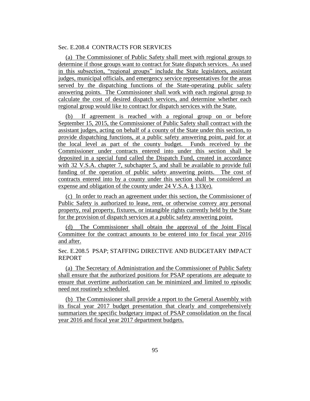# Sec. E.208.4 CONTRACTS FOR SERVICES

(a) The Commissioner of Public Safety shall meet with regional groups to determine if those groups want to contract for State dispatch services. As used in this subsection, "regional groups" include the State legislators, assistant judges, municipal officials, and emergency service representatives for the areas served by the dispatching functions of the State-operating public safety answering points. The Commissioner shall work with each regional group to calculate the cost of desired dispatch services, and determine whether each regional group would like to contract for dispatch services with the State.

(b) If agreement is reached with a regional group on or before September 15, 2015, the Commissioner of Public Safety shall contract with the assistant judges, acting on behalf of a county of the State under this section, to provide dispatching functions, at a public safety answering point, paid for at the local level as part of the county budget. Funds received by the Commissioner under contracts entered into under this section shall be deposited in a special fund called the Dispatch Fund, created in accordance with 32 V.S.A. chapter 7, subchapter 5, and shall be available to provide full funding of the operation of public safety answering points. The cost of contracts entered into by a county under this section shall be considered an expense and obligation of the county under 24 V.S.A. § 133(e).

(c) In order to reach an agreement under this section, the Commissioner of Public Safety is authorized to lease, rent, or otherwise convey any personal property, real property, fixtures, or intangible rights currently held by the State for the provision of dispatch services at a public safety answering point.

(d) The Commissioner shall obtain the approval of the Joint Fiscal Committee for the contract amounts to be entered into for fiscal year 2016 and after.

Sec. E.208.5 PSAP; STAFFING DIRECTIVE AND BUDGETARY IMPACT REPORT

(a) The Secretary of Administration and the Commissioner of Public Safety shall ensure that the authorized positions for PSAP operations are adequate to ensure that overtime authorization can be minimized and limited to episodic need not routinely scheduled.

(b) The Commissioner shall provide a report to the General Assembly with its fiscal year 2017 budget presentation that clearly and comprehensively summarizes the specific budgetary impact of PSAP consolidation on the fiscal year 2016 and fiscal year 2017 department budgets.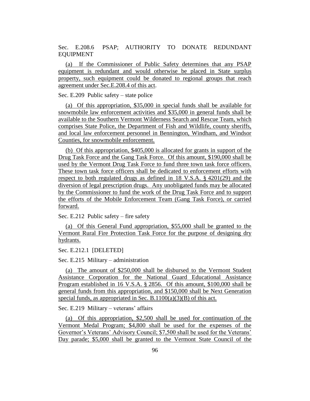Sec. E.208.6 PSAP; AUTHORITY TO DONATE REDUNDANT EQUIPMENT

(a) If the Commissioner of Public Safety determines that any PSAP equipment is redundant and would otherwise be placed in State surplus property, such equipment could be donated to regional groups that reach agreement under Sec.E.208.4 of this act.

Sec. E.209 Public safety – state police

(a) Of this appropriation, \$35,000 in special funds shall be available for snowmobile law enforcement activities and \$35,000 in general funds shall be available to the Southern Vermont Wilderness Search and Rescue Team, which comprises State Police, the Department of Fish and Wildlife, county sheriffs, and local law enforcement personnel in Bennington, Windham, and Windsor Counties, for snowmobile enforcement.

(b) Of this appropriation, \$405,000 is allocated for grants in support of the Drug Task Force and the Gang Task Force. Of this amount, \$190,000 shall be used by the Vermont Drug Task Force to fund three town task force officers. These town task force officers shall be dedicated to enforcement efforts with respect to both regulated drugs as defined in 18 V.S.A. § 4201(29) and the diversion of legal prescription drugs. Any unobligated funds may be allocated by the Commissioner to fund the work of the Drug Task Force and to support the efforts of the Mobile Enforcement Team (Gang Task Force), or carried forward.

Sec. E.212 Public safety – fire safety

(a) Of this General Fund appropriation, \$55,000 shall be granted to the Vermont Rural Fire Protection Task Force for the purpose of designing dry hydrants.

Sec. E.212.1 [DELETED]

Sec. E.215 Military – administration

(a) The amount of \$250,000 shall be disbursed to the Vermont Student Assistance Corporation for the National Guard Educational Assistance Program established in 16 V.S.A. § 2856. Of this amount, \$100,000 shall be general funds from this appropriation, and \$150,000 shall be Next Generation special funds, as appropriated in Sec. B.1100(a)(3)(B) of this act.

Sec. E.219 Military – veterans' affairs

(a) Of this appropriation, \$2,500 shall be used for continuation of the Vermont Medal Program; \$4,800 shall be used for the expenses of the Governor's Veterans' Advisory Council; \$7,500 shall be used for the Veterans' Day parade; \$5,000 shall be granted to the Vermont State Council of the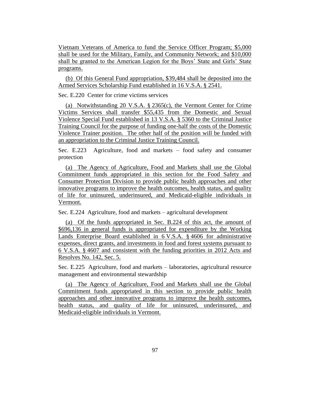Vietnam Veterans of America to fund the Service Officer Program; \$5,000 shall be used for the Military, Family, and Community Network; and \$10,000 shall be granted to the American Legion for the Boys' State and Girls' State programs.

(b) Of this General Fund appropriation, \$39,484 shall be deposited into the Armed Services Scholarship Fund established in 16 V.S.A. § 2541.

Sec. E.220 Center for crime victims services

(a) Notwithstanding 20 V.S.A. § 2365(c), the Vermont Center for Crime Victims Services shall transfer \$55,435 from the Domestic and Sexual Violence Special Fund established in 13 V.S.A. § 5360 to the Criminal Justice Training Council for the purpose of funding one-half the costs of the Domestic Violence Trainer position. The other half of the position will be funded with an appropriation to the Criminal Justice Training Council.

Sec. E.223 Agriculture, food and markets – food safety and consumer protection

(a) The Agency of Agriculture, Food and Markets shall use the Global Commitment funds appropriated in this section for the Food Safety and Consumer Protection Division to provide public health approaches and other innovative programs to improve the health outcomes, health status, and quality of life for uninsured, underinsured, and Medicaid-eligible individuals in Vermont.

Sec. E.224 Agriculture, food and markets – agricultural development

(a) Of the funds appropriated in Sec. B.224 of this act, the amount of \$696,136 in general funds is appropriated for expenditure by the Working Lands Enterprise Board established in 6 V.S.A. § 4606 for administrative expenses, direct grants, and investments in food and forest systems pursuant to 6 V.S.A. § 4607 and consistent with the funding priorities in 2012 Acts and Resolves No. 142, Sec. 5.

Sec. E.225 Agriculture, food and markets – laboratories, agricultural resource management and environmental stewardship

(a) The Agency of Agriculture, Food and Markets shall use the Global Commitment funds appropriated in this section to provide public health approaches and other innovative programs to improve the health outcomes, health status, and quality of life for uninsured, underinsured, and Medicaid-eligible individuals in Vermont.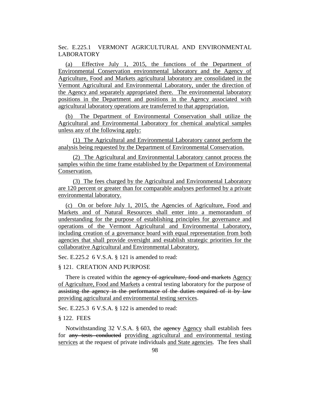Sec. E.225.1 VERMONT AGRICULTURAL AND ENVIRONMENTAL LABORATORY

(a) Effective July 1, 2015, the functions of the Department of Environmental Conservation environmental laboratory and the Agency of Agriculture, Food and Markets agricultural laboratory are consolidated in the Vermont Agricultural and Environmental Laboratory, under the direction of the Agency and separately appropriated there. The environmental laboratory positions in the Department and positions in the Agency associated with agricultural laboratory operations are transferred to that appropriation.

(b) The Department of Environmental Conservation shall utilize the Agricultural and Environmental Laboratory for chemical analytical samples unless any of the following apply:

(1) The Agricultural and Environmental Laboratory cannot perform the analysis being requested by the Department of Environmental Conservation.

(2) The Agricultural and Environmental Laboratory cannot process the samples within the time frame established by the Department of Environmental Conservation.

(3) The fees charged by the Agricultural and Environmental Laboratory are 120 percent or greater than for comparable analyses performed by a private environmental laboratory.

(c) On or before July 1, 2015, the Agencies of Agriculture, Food and Markets and of Natural Resources shall enter into a memorandum of understanding for the purpose of establishing principles for governance and operations of the Vermont Agricultural and Environmental Laboratory, including creation of a governance board with equal representation from both agencies that shall provide oversight and establish strategic priorities for the collaborative Agricultural and Environmental Laboratory.

Sec. E.225.2 6 V.S.A. § 121 is amended to read:

## § 121. CREATION AND PURPOSE

There is created within the agency of agriculture, food and markets Agency of Agriculture, Food and Markets a central testing laboratory for the purpose of assisting the agency in the performance of the duties required of it by law providing agricultural and environmental testing services.

Sec. E.225.3 6 V.S.A. § 122 is amended to read:

## § 122. FEES

Notwithstanding 32 V.S.A. § 603, the agency Agency shall establish fees for any tests conducted providing agricultural and environmental testing services at the request of private individuals and State agencies. The fees shall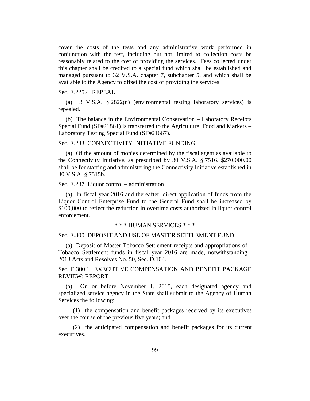cover the costs of the tests and any administrative work performed in conjunction with the test, including but not limited to collection costs be reasonably related to the cost of providing the services. Fees collected under this chapter shall be credited to a special fund which shall be established and managed pursuant to 32 V.S.A. chapter 7, subchapter 5, and which shall be available to the Agency to offset the cost of providing the services.

Sec. E.225.4 REPEAL

(a) 3 V.S.A. § 2822(n) (environmental testing laboratory services) is repealed.

(b) The balance in the Environmental Conservation – Laboratory Receipts Special Fund (SF#21861) is transferred to the Agriculture, Food and Markets – Laboratory Testing Special Fund (SF#21667).

Sec. E.233 CONNECTIVITY INITIATIVE FUNDING

(a) Of the amount of monies determined by the fiscal agent as available to the Connectivity Initiative, as prescribed by 30 V.S.A. § 7516, \$270,000.00 shall be for staffing and administering the Connectivity Initiative established in 30 V.S.A. § 7515b.

Sec. E.237 Liquor control – administration

(a) In fiscal year 2016 and thereafter, direct application of funds from the Liquor Control Enterprise Fund to the General Fund shall be increased by \$100,000 to reflect the reduction in overtime costs authorized in liquor control enforcement.

\* \* \* HUMAN SERVICES \* \* \*

Sec. E.300 DEPOSIT AND USE OF MASTER SETTLEMENT FUND

(a) Deposit of Master Tobacco Settlement receipts and appropriations of Tobacco Settlement funds in fiscal year 2016 are made, notwithstanding 2013 Acts and Resolves No. 50, Sec. D.104.

Sec. E.300.1 EXECUTIVE COMPENSATION AND BENEFIT PACKAGE REVIEW; REPORT

(a) On or before November 1, 2015, each designated agency and specialized service agency in the State shall submit to the Agency of Human Services the following:

(1) the compensation and benefit packages received by its executives over the course of the previous five years; and

(2) the anticipated compensation and benefit packages for its current executives.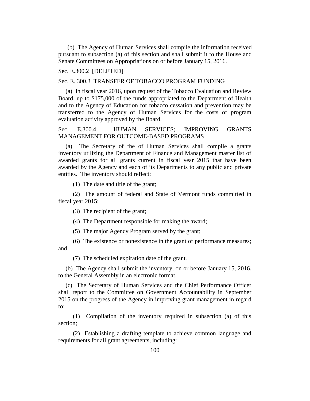(b) The Agency of Human Services shall compile the information received pursuant to subsection (a) of this section and shall submit it to the House and Senate Committees on Appropriations on or before January 15, 2016.

Sec. E.300.2 [DELETED]

Sec. E. 300.3 TRANSFER OF TOBACCO PROGRAM FUNDING

(a) In fiscal year 2016, upon request of the Tobacco Evaluation and Review Board, up to \$175,000 of the funds appropriated to the Department of Health and to the Agency of Education for tobacco cessation and prevention may be transferred to the Agency of Human Services for the costs of program evaluation activity approved by the Board.

Sec. E.300.4 HUMAN SERVICES; IMPROVING GRANTS MANAGEMENT FOR OUTCOME-BASED PROGRAMS

(a) The Secretary of the of Human Services shall compile a grants inventory utilizing the Department of Finance and Management master list of awarded grants for all grants current in fiscal year 2015 that have been awarded by the Agency and each of its Departments to any public and private entities. The inventory should reflect:

(1) The date and title of the grant;

(2) The amount of federal and State of Vermont funds committed in fiscal year 2015;

(3) The recipient of the grant;

(4) The Department responsible for making the award;

(5) The major Agency Program served by the grant;

(6) The existence or nonexistence in the grant of performance measures; and

(7) The scheduled expiration date of the grant.

(b) The Agency shall submit the inventory, on or before January 15, 2016, to the General Assembly in an electronic format.

(c) The Secretary of Human Services and the Chief Performance Officer shall report to the Committee on Government Accountability in September 2015 on the progress of the Agency in improving grant management in regard to:

(1) Compilation of the inventory required in subsection (a) of this section;

(2) Establishing a drafting template to achieve common language and requirements for all grant agreements, including: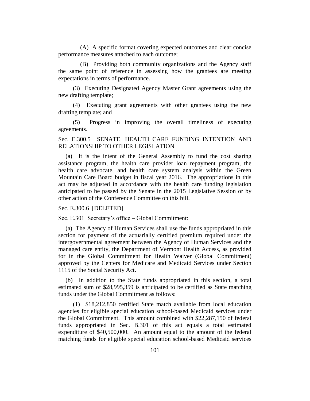(A) A specific format covering expected outcomes and clear concise performance measures attached to each outcome;

(B) Providing both community organizations and the Agency staff the same point of reference in assessing how the grantees are meeting expectations in terms of performance.

(3) Executing Designated Agency Master Grant agreements using the new drafting template;

(4) Executing grant agreements with other grantees using the new drafting template; and

(5) Progress in improving the overall timeliness of executing agreements.

Sec. E.300.5 SENATE HEALTH CARE FUNDING INTENTION AND RELATIONSHIP TO OTHER LEGISLATION

(a) It is the intent of the General Assembly to fund the cost sharing assistance program, the health care provider loan repayment program, the health care advocate, and health care system analysis within the Green Mountain Care Board budget in fiscal year 2016. The appropriations in this act may be adjusted in accordance with the health care funding legislation anticipated to be passed by the Senate in the 2015 Legislative Session or by other action of the Conference Committee on this bill.

Sec. E.300.6 [DELETED]

Sec. E.301 Secretary's office – Global Commitment:

(a) The Agency of Human Services shall use the funds appropriated in this section for payment of the actuarially certified premium required under the intergovernmental agreement between the Agency of Human Services and the managed care entity, the Department of Vermont Health Access, as provided for in the Global Commitment for Health Waiver (Global Commitment) approved by the Centers for Medicare and Medicaid Services under Section 1115 of the Social Security Act.

(b) In addition to the State funds appropriated in this section, a total estimated sum of \$28,995,359 is anticipated to be certified as State matching funds under the Global Commitment as follows:

(1) \$18,212,850 certified State match available from local education agencies for eligible special education school-based Medicaid services under the Global Commitment. This amount combined with \$22,287,150 of federal funds appropriated in Sec. B.301 of this act equals a total estimated expenditure of \$40,500,000. An amount equal to the amount of the federal matching funds for eligible special education school-based Medicaid services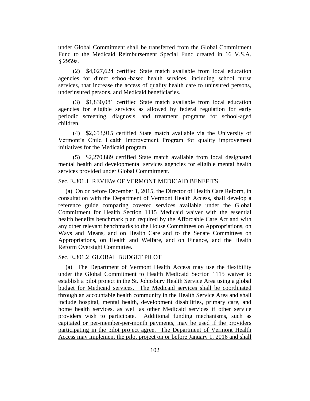under Global Commitment shall be transferred from the Global Commitment Fund to the Medicaid Reimbursement Special Fund created in 16 V.S.A. § 2959a.

(2) \$4,027,624 certified State match available from local education agencies for direct school-based health services, including school nurse services, that increase the access of quality health care to uninsured persons, underinsured persons, and Medicaid beneficiaries.

(3) \$1,830,081 certified State match available from local education agencies for eligible services as allowed by federal regulation for early periodic screening, diagnosis, and treatment programs for school-aged children.

(4) \$2,653,915 certified State match available via the University of Vermont's Child Health Improvement Program for quality improvement initiatives for the Medicaid program.

(5) \$2,270,889 certified State match available from local designated mental health and developmental services agencies for eligible mental health services provided under Global Commitment.

# Sec. E.301.1 REVIEW OF VERMONT MEDICAID BENEFITS

(a) On or before December 1, 2015, the Director of Health Care Reform, in consultation with the Department of Vermont Health Access, shall develop a reference guide comparing covered services available under the Global Commitment for Health Section 1115 Medicaid waiver with the essential health benefits benchmark plan required by the Affordable Care Act and with any other relevant benchmarks to the House Committees on Appropriations, on Ways and Means, and on Health Care and to the Senate Committees on Appropriations, on Health and Welfare, and on Finance, and the Health Reform Oversight Committee.

# Sec. E.301.2 GLOBAL BUDGET PILOT

(a) The Department of Vermont Health Access may use the flexibility under the Global Commitment to Health Medicaid Section 1115 waiver to establish a pilot project in the St. Johnsbury Health Service Area using a global budget for Medicaid services. The Medicaid services shall be coordinated through an accountable health community in the Health Service Area and shall include hospital, mental health, development disabilities, primary care, and home health services, as well as other Medicaid services if other service providers wish to participate. Additional funding mechanisms, such as capitated or per-member-per-month payments, may be used if the providers participating in the pilot project agree. The Department of Vermont Health Access may implement the pilot project on or before January 1, 2016 and shall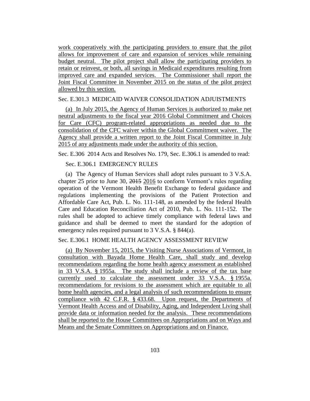work cooperatively with the participating providers to ensure that the pilot allows for improvement of care and expansion of services while remaining budget neutral. The pilot project shall allow the participating providers to retain or reinvest, or both, all savings in Medicaid expenditures resulting from improved care and expanded services. The Commissioner shall report the Joint Fiscal Committee in November 2015 on the status of the pilot project allowed by this section.

### Sec. E.301.3 MEDICAID WAIVER CONSOLIDATION ADJUISTMENTS

(a) In July 2015, the Agency of Human Services is authorized to make net neutral adjustments to the fiscal year 2016 Global Commitment and Choices for Care (CFC) program-related appropriations as needed due to the consolidation of the CFC waiver within the Global Commitment waiver. The Agency shall provide a written report to the Joint Fiscal Committee in July 2015 of any adjustments made under the authority of this section.

Sec. E.306 2014 Acts and Resolves No. 179, Sec. E.306.1 is amended to read:

# Sec. E.306.1 EMERGENCY RULES

(a) The Agency of Human Services shall adopt rules pursuant to 3 V.S.A. chapter 25 prior to June 30, 2015 2016 to conform Vermont's rules regarding operation of the Vermont Health Benefit Exchange to federal guidance and regulations implementing the provisions of the Patient Protection and Affordable Care Act, Pub. L. No. 111-148, as amended by the federal Health Care and Education Reconciliation Act of 2010, Pub. L. No. 111-152. The rules shall be adopted to achieve timely compliance with federal laws and guidance and shall be deemed to meet the standard for the adoption of emergency rules required pursuant to 3 V.S.A. § 844(a).

## Sec. E.306.1 HOME HEALTH AGENCY ASSESSMENT REVIEW

(a) By November 15, 2015, the Visiting Nurse Associations of Vermont, in consultation with Bayada Home Health Care, shall study and develop recommendations regarding the home health agency assessment as established in 33 V.S.A. § 1955a. The study shall include a review of the tax base currently used to calculate the assessment under 33 V.S.A. § 1955a. recommendations for revisions to the assessment which are equitable to all home health agencies, and a legal analysis of such recommendations to ensure compliance with 42 C.F.R. § 433.68. Upon request, the Departments of Vermont Health Access and of Disability, Aging, and Independent Living shall provide data or information needed for the analysis. These recommendations shall be reported to the House Committees on Appropriations and on Ways and Means and the Senate Committees on Appropriations and on Finance.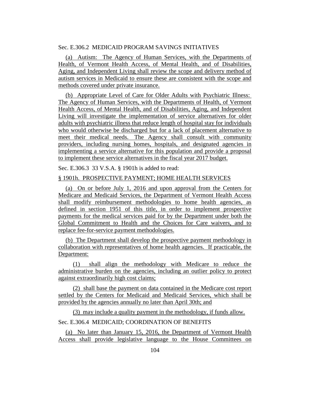# Sec. E.306.2 MEDICAID PROGRAM SAVINGS INITIATIVES

(a) Autism: The Agency of Human Services, with the Departments of Health, of Vermont Health Access, of Mental Health, and of Disabilities, Aging, and Independent Living shall review the scope and delivery method of autism services in Medicaid to ensure these are consistent with the scope and methods covered under private insurance.

(b) Appropriate Level of Care for Older Adults with Psychiatric Illness: The Agency of Human Services, with the Departments of Health, of Vermont Health Access, of Mental Health, and of Disabilities, Aging, and Independent Living will investigate the implementation of service alternatives for older adults with psychiatric illness that reduce length of hospital stay for individuals who would otherwise be discharged but for a lack of placement alternative to meet their medical needs. The Agency shall consult with community providers, including nursing homes, hospitals, and designated agencies in implementing a service alternative for this population and provide a proposal to implement these service alternatives in the fiscal year 2017 budget.

Sec. E.306.3 33 V.S.A. § 1901h is added to read:

### § 1901h. PROSPECTIVE PAYMENT; HOME HEALTH SERVICES

(a) On or before July 1, 2016 and upon approval from the Centers for Medicare and Medicaid Services, the Department of Vermont Health Access shall modify reimbursement methodologies to home health agencies, as defined in section 1951 of this title, in order to implement prospective payments for the medical services paid for by the Department under both the Global Commitment to Health and the Choices for Care waivers, and to replace fee-for-service payment methodologies.

(b) The Department shall develop the prospective payment methodology in collaboration with representatives of home health agencies. If practicable, the Department:

(1) shall align the methodology with Medicare to reduce the administrative burden on the agencies, including an outlier policy to protect against extraordinarily high cost claims;

(2) shall base the payment on data contained in the Medicare cost report settled by the Centers for Medicaid and Medicaid Services, which shall be provided by the agencies annually no later than April 30th; and

(3) may include a quality payment in the methodology, if funds allow.

## Sec. E.306.4 MEDICAID; COORDINATION OF BENEFITS

(a) No later than January 15, 2016, the Department of Vermont Health Access shall provide legislative language to the House Committees on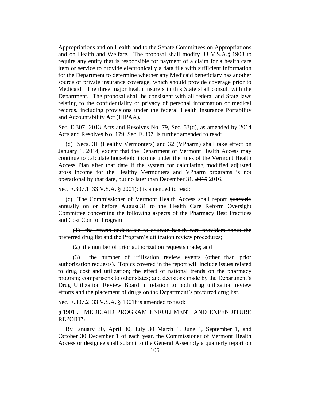Appropriations and on Health and to the Senate Committees on Appropriations and on Health and Welfare. The proposal shall modify 33 V.S.A.§ 1908 to require any entity that is responsible for payment of a claim for a health care item or service to provide electronically a data file with sufficient information for the Department to determine whether any Medicaid beneficiary has another source of private insurance coverage, which should provide coverage prior to Medicaid. The three major health insurers in this State shall consult with the Department. The proposal shall be consistent with all federal and State laws relating to the confidentiality or privacy of personal information or medical records, including provisions under the federal Health Insurance Portability and Accountability Act (HIPAA).

Sec. E.307 2013 Acts and Resolves No. 79, Sec. 53(d), as amended by 2014 Acts and Resolves No. 179, Sec. E.307, is further amended to read:

(d) Secs. 31 (Healthy Vermonters) and 32 (VPharm) shall take effect on January 1, 2014, except that the Department of Vermont Health Access may continue to calculate household income under the rules of the Vermont Health Access Plan after that date if the system for calculating modified adjusted gross income for the Healthy Vermonters and VPharm programs is not operational by that date, but no later than December 31, 2015 2016.

Sec. E.307.1 33 V.S.A. § 2001(c) is amended to read:

(c) The Commissioner of Vermont Health Access shall report quarterly annually on or before August 31 to the Health Care Reform Oversight Committee concerning the following aspects of the Pharmacy Best Practices and Cost Control Program:

(1) the efforts undertaken to educate health care providers about the preferred drug list and the Program's utilization review procedures;

(2) the number of prior authorization requests made; and

(3) the number of utilization review events (other than prior authorization requests). Topics covered in the report will include issues related to drug cost and utilization; the effect of national trends on the pharmacy program; comparisons to other states; and decisions made by the Department's Drug Utilization Review Board in relation to both drug utilization review efforts and the placement of drugs on the Department's preferred drug list.

Sec. E.307.2 33 V.S.A. § 1901f is amended to read:

§ 1901f. MEDICAID PROGRAM ENROLLMENT AND EXPENDITURE REPORTS

By January 30, April 30, July 30 March 1, June 1, September 1, and October 30 December 1 of each year, the Commissioner of Vermont Health Access or designee shall submit to the General Assembly a quarterly report on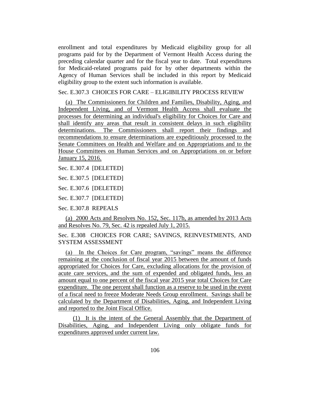enrollment and total expenditures by Medicaid eligibility group for all programs paid for by the Department of Vermont Health Access during the preceding calendar quarter and for the fiscal year to date. Total expenditures for Medicaid-related programs paid for by other departments within the Agency of Human Services shall be included in this report by Medicaid eligibility group to the extent such information is available.

Sec. E.307.3 CHOICES FOR CARE – ELIGIBILITY PROCESS REVIEW

(a) The Commissioners for Children and Families, Disability, Aging, and Independent Living, and of Vermont Health Access shall evaluate the processes for determining an individual's eligibility for Choices for Care and shall identify any areas that result in consistent delays in such eligibility determinations. The Commissioners shall report their findings and recommendations to ensure determinations are expeditiously processed to the Senate Committees on Health and Welfare and on Appropriations and to the House Committees on Human Services and on Appropriations on or before January 15, 2016.

Sec. E.307.4 [DELETED]

Sec. E.307.5 [DELETED]

Sec. E.307.6 [DELETED]

Sec. E.307.7 [DELETED]

Sec. E.307.8 REPEALS

(a) 2000 Acts and Resolves No. 152, Sec. 117b, as amended by 2013 Acts and Resolves No. 79, Sec. 42 is repealed July 1, 2015.

Sec. E.308 CHOICES FOR CARE; SAVINGS, REINVESTMENTS, AND SYSTEM ASSESSMENT

(a) In the Choices for Care program, "savings" means the difference remaining at the conclusion of fiscal year 2015 between the amount of funds appropriated for Choices for Care, excluding allocations for the provision of acute care services, and the sum of expended and obligated funds, less an amount equal to one percent of the fiscal year 2015 year total Choices for Care expenditure. The one percent shall function as a reserve to be used in the event of a fiscal need to freeze Moderate Needs Group enrollment. Savings shall be calculated by the Department of Disabilities, Aging, and Independent Living and reported to the Joint Fiscal Office.

(1) It is the intent of the General Assembly that the Department of Disabilities, Aging, and Independent Living only obligate funds for expenditures approved under current law.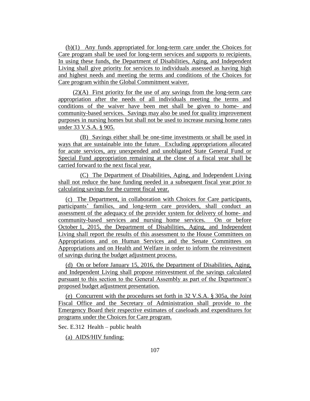(b)(1) Any funds appropriated for long-term care under the Choices for Care program shall be used for long-term services and supports to recipients. In using these funds, the Department of Disabilities, Aging, and Independent Living shall give priority for services to individuals assessed as having high and highest needs and meeting the terms and conditions of the Choices for Care program within the Global Commitment waiver.

(2)(A) First priority for the use of any savings from the long-term care appropriation after the needs of all individuals meeting the terms and conditions of the waiver have been met shall be given to home- and community-based services. Savings may also be used for quality improvement purposes in nursing homes but shall not be used to increase nursing home rates under 33 V.S.A. § 905.

(B) Savings either shall be one-time investments or shall be used in ways that are sustainable into the future. Excluding appropriations allocated for acute services, any unexpended and unobligated State General Fund or Special Fund appropriation remaining at the close of a fiscal year shall be carried forward to the next fiscal year.

(C) The Department of Disabilities, Aging, and Independent Living shall not reduce the base funding needed in a subsequent fiscal year prior to calculating savings for the current fiscal year.

(c) The Department, in collaboration with Choices for Care participants, participants' families, and long-term care providers, shall conduct an assessment of the adequacy of the provider system for delivery of home- and community-based services and nursing home services. On or before October 1, 2015, the Department of Disabilities, Aging, and Independent Living shall report the results of this assessment to the House Committees on Appropriations and on Human Services and the Senate Committees on Appropriations and on Health and Welfare in order to inform the reinvestment of savings during the budget adjustment process.

(d) On or before January 15, 2016, the Department of Disabilities, Aging, and Independent Living shall propose reinvestment of the savings calculated pursuant to this section to the General Assembly as part of the Department's proposed budget adjustment presentation.

(e) Concurrent with the procedures set forth in 32 V.S.A. § 305a, the Joint Fiscal Office and the Secretary of Administration shall provide to the Emergency Board their respective estimates of caseloads and expenditures for programs under the Choices for Care program.

Sec. E.312 Health – public health

(a) AIDS/HIV funding: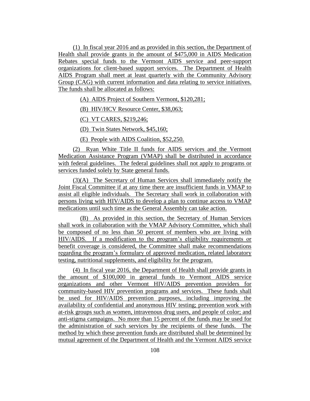(1) In fiscal year 2016 and as provided in this section, the Department of Health shall provide grants in the amount of \$475,000 in AIDS Medication Rebates special funds to the Vermont AIDS service and peer-support organizations for client-based support services. The Department of Health AIDS Program shall meet at least quarterly with the Community Advisory Group (CAG) with current information and data relating to service initiatives. The funds shall be allocated as follows:

(A) AIDS Project of Southern Vermont, \$120,281;

(B) HIV/HCV Resource Center, \$38,063;

(C) VT CARES, \$219,246;

(D) Twin States Network, \$45,160;

(E) People with AIDS Coalition, \$52,250.

(2) Ryan White Title II funds for AIDS services and the Vermont Medication Assistance Program (VMAP) shall be distributed in accordance with federal guidelines. The federal guidelines shall not apply to programs or services funded solely by State general funds.

(3)(A) The Secretary of Human Services shall immediately notify the Joint Fiscal Committee if at any time there are insufficient funds in VMAP to assist all eligible individuals. The Secretary shall work in collaboration with persons living with HIV/AIDS to develop a plan to continue access to VMAP medications until such time as the General Assembly can take action.

(B) As provided in this section, the Secretary of Human Services shall work in collaboration with the VMAP Advisory Committee, which shall be composed of no less than 50 percent of members who are living with HIV/AIDS. If a modification to the program's eligibility requirements or benefit coverage is considered, the Committee shall make recommendations regarding the program's formulary of approved medication, related laboratory testing, nutritional supplements, and eligibility for the program.

(4) In fiscal year 2016, the Department of Health shall provide grants in the amount of \$100,000 in general funds to Vermont AIDS service organizations and other Vermont HIV/AIDS prevention providers for community-based HIV prevention programs and services. These funds shall be used for HIV/AIDS prevention purposes, including improving the availability of confidential and anonymous HIV testing; prevention work with at-risk groups such as women, intravenous drug users, and people of color; and anti-stigma campaigns. No more than 15 percent of the funds may be used for the administration of such services by the recipients of these funds. The method by which these prevention funds are distributed shall be determined by mutual agreement of the Department of Health and the Vermont AIDS service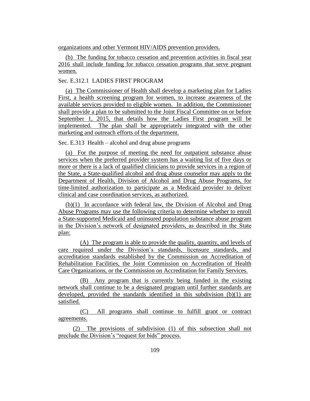organizations and other Vermont HIV/AIDS prevention providers.

(b) The funding for tobacco cessation and prevention activities in fiscal year 2016 shall include funding for tobacco cessation programs that serve pregnant women.

# Sec. E.312.1 LADIES FIRST PROGRAM

(a) The Commissioner of Health shall develop a marketing plan for Ladies First, a health screening program for women, to increase awareness of the available services provided to eligible women. In addition, the Commissioner shall provide a plan to be submitted to the Joint Fiscal Committee on or before September 1, 2015, that details how the Ladies First program will be implemented. The plan shall be appropriately integrated with the other marketing and outreach efforts of the department.

Sec. E.313 Health – alcohol and drug abuse programs

(a) For the purpose of meeting the need for outpatient substance abuse services when the preferred provider system has a waiting list of five days or more or there is a lack of qualified clinicians to provide services in a region of the State, a State-qualified alcohol and drug abuse counselor may apply to the Department of Health, Division of Alcohol and Drug Abuse Programs, for time-limited authorization to participate as a Medicaid provider to deliver clinical and case coordination services, as authorized.

(b)(1) In accordance with federal law, the Division of Alcohol and Drug Abuse Programs may use the following criteria to determine whether to enroll a State-supported Medicaid and uninsured population substance abuse program in the Division's network of designated providers, as described in the State plan:

(A) The program is able to provide the quality, quantity, and levels of care required under the Division's standards, licensure standards, and accreditation standards established by the Commission on Accreditation of Rehabilitation Facilities, the Joint Commission on Accreditation of Health Care Organizations, or the Commission on Accreditation for Family Services.

(B) Any program that is currently being funded in the existing network shall continue to be a designated program until further standards are developed, provided the standards identified in this subdivision (b)(1) are satisfied.

(C) All programs shall continue to fulfill grant or contract agreements.

(2) The provisions of subdivision (1) of this subsection shall not preclude the Division's "request for bids" process.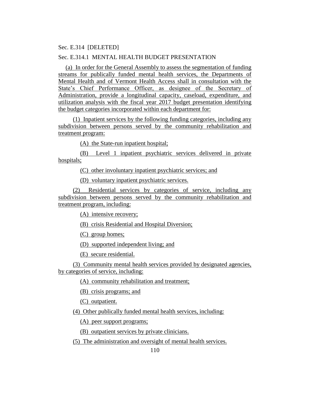### Sec. E.314 [DELETED]

## Sec. E.314.1 MENTAL HEALTH BUDGET PRESENTATION

(a) In order for the General Assembly to assess the segmentation of funding streams for publically funded mental health services, the Departments of Mental Health and of Vermont Health Access shall in consultation with the State's Chief Performance Officer, as designee of the Secretary of Administration, provide a longitudinal capacity, caseload, expenditure, and utilization analysis with the fiscal year 2017 budget presentation identifying the budget categories incorporated within each department for:

(1) Inpatient services by the following funding categories, including any subdivision between persons served by the community rehabilitation and treatment program:

(A) the State-run inpatient hospital;

(B) Level 1 inpatient psychiatric services delivered in private hospitals;

(C) other involuntary inpatient psychiatric services; and

(D) voluntary inpatient psychiatric services.

(2) Residential services by categories of service, including any subdivision between persons served by the community rehabilitation and treatment program, including:

(A) intensive recovery;

(B) crisis Residential and Hospital Diversion;

(C) group homes;

(D) supported independent living; and

(E) secure residential.

(3) Community mental health services provided by designated agencies, by categories of service, including:

(A) community rehabilitation and treatment;

(B) crisis programs; and

(C) outpatient.

(4) Other publically funded mental health services, including:

(A) peer support programs;

(B) outpatient services by private clinicians.

(5) The administration and oversight of mental health services.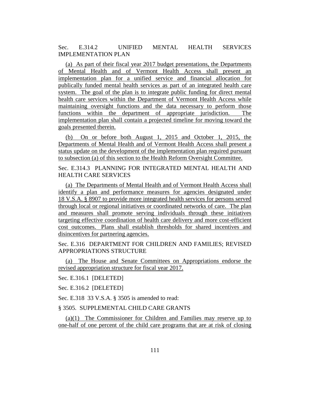Sec. E.314.2 UNIFIED MENTAL HEALTH SERVICES IMPLEMENTATION PLAN

(a) As part of their fiscal year 2017 budget presentations, the Departments of Mental Health and of Vermont Health Access shall present an implementation plan for a unified service and financial allocation for publically funded mental health services as part of an integrated health care system. The goal of the plan is to integrate public funding for direct mental health care services within the Department of Vermont Health Access while maintaining oversight functions and the data necessary to perform those functions within the department of appropriate jurisdiction. The implementation plan shall contain a projected timeline for moving toward the goals presented therein.

(b) On or before both August 1, 2015 and October 1, 2015, the Departments of Mental Health and of Vermont Health Access shall present a status update on the development of the implementation plan required pursuant to subsection (a) of this section to the Health Reform Oversight Committee.

Sec. E.314.3 PLANNING FOR INTEGRATED MENTAL HEALTH AND HEALTH CARE SERVICES

(a) The Departments of Mental Health and of Vermont Health Access shall identify a plan and performance measures for agencies designated under 18 V.S.A. § 8907 to provide more integrated health services for persons served through local or regional initiatives or coordinated networks of care. The plan and measures shall promote serving individuals through these initiatives targeting effective coordination of health care delivery and more cost-efficient cost outcomes. Plans shall establish thresholds for shared incentives and disincentives for partnering agencies.

Sec. E.316 DEPARTMENT FOR CHILDREN AND FAMILIES; REVISED APPROPRIATIONS STRUCTURE

(a) The House and Senate Committees on Appropriations endorse the revised appropriation structure for fiscal year 2017.

#### Sec. E.316.1 [DELETED]

Sec. E.316.2 [DELETED]

Sec. E.318 33 V.S.A. § 3505 is amended to read:

#### § 3505. SUPPLEMENTAL CHILD CARE GRANTS

(a)(1) The Commissioner for Children and Families may reserve up to one-half of one percent of the child care programs that are at risk of closing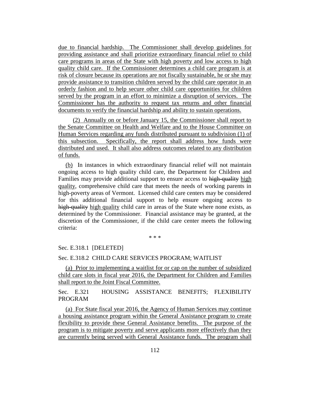due to financial hardship. The Commissioner shall develop guidelines for providing assistance and shall prioritize extraordinary financial relief to child care programs in areas of the State with high poverty and low access to high quality child care. If the Commissioner determines a child care program is at risk of closure because its operations are not fiscally sustainable, he or she may provide assistance to transition children served by the child care operator in an orderly fashion and to help secure other child care opportunities for children served by the program in an effort to minimize a disruption of services. The Commissioner has the authority to request tax returns and other financial documents to verify the financial hardship and ability to sustain operations.

(2) Annually on or before January 15, the Commissioner shall report to the Senate Committee on Health and Welfare and to the House Committee on Human Services regarding any funds distributed pursuant to subdivision (1) of this subsection. Specifically, the report shall address how funds were distributed and used. It shall also address outcomes related to any distribution of funds.

(b) In instances in which extraordinary financial relief will not maintain ongoing access to high quality child care, the Department for Children and Families may provide additional support to ensure access to high-quality high quality, comprehensive child care that meets the needs of working parents in high-poverty areas of Vermont. Licensed child care centers may be considered for this additional financial support to help ensure ongoing access to high-quality high quality child care in areas of the State where none exists, as determined by the Commissioner. Financial assistance may be granted, at the discretion of the Commissioner, if the child care center meets the following criteria:

\* \* \*

Sec. E.318.1 [DELETED]

#### Sec. E.318.2 CHILD CARE SERVICES PROGRAM; WAITLIST

(a) Prior to implementing a waitlist for or cap on the number of subsidized child care slots in fiscal year 2016, the Department for Children and Families shall report to the Joint Fiscal Committee.

Sec. E.321 HOUSING ASSISTANCE BENEFITS; FLEXIBILITY PROGRAM

(a) For State fiscal year 2016, the Agency of Human Services may continue a housing assistance program within the General Assistance program to create flexibility to provide these General Assistance benefits. The purpose of the program is to mitigate poverty and serve applicants more effectively than they are currently being served with General Assistance funds. The program shall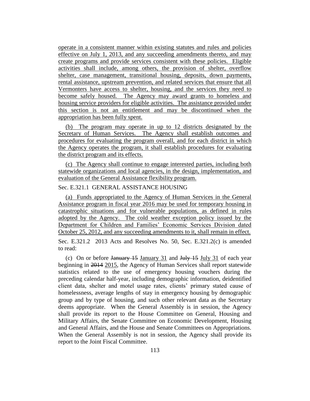operate in a consistent manner within existing statutes and rules and policies effective on July 1, 2013, and any succeeding amendments thereto, and may create programs and provide services consistent with these policies. Eligible activities shall include, among others, the provision of shelter, overflow shelter, case management, transitional housing, deposits, down payments, rental assistance, upstream prevention, and related services that ensure that all Vermonters have access to shelter, housing, and the services they need to become safely housed. The Agency may award grants to homeless and housing service providers for eligible activities. The assistance provided under this section is not an entitlement and may be discontinued when the appropriation has been fully spent.

(b) The program may operate in up to 12 districts designated by the Secretary of Human Services. The Agency shall establish outcomes and procedures for evaluating the program overall, and for each district in which the Agency operates the program, it shall establish procedures for evaluating the district program and its effects.

(c) The Agency shall continue to engage interested parties, including both statewide organizations and local agencies, in the design, implementation, and evaluation of the General Assistance flexibility program.

# Sec. E.321.1 GENERAL ASSISTANCE HOUSING

(a) Funds appropriated to the Agency of Human Services in the General Assistance program in fiscal year 2016 may be used for temporary housing in catastrophic situations and for vulnerable populations, as defined in rules adopted by the Agency. The cold weather exception policy issued by the Department for Children and Families' Economic Services Division dated October 25, 2012, and any succeeding amendments to it, shall remain in effect.

Sec. E.321.2 2013 Acts and Resolves No. 50, Sec. E.321.2(c) is amended to read:

(c) On or before  $J_{\text{anuary}}$  15 January 31 and  $J_{\text{uly}}$  15 July 31 of each year beginning in 2014 2015, the Agency of Human Services shall report statewide statistics related to the use of emergency housing vouchers during the preceding calendar half-year, including demographic information, deidentified client data, shelter and motel usage rates, clients' primary stated cause of homelessness, average lengths of stay in emergency housing by demographic group and by type of housing, and such other relevant data as the Secretary deems appropriate. When the General Assembly is in session, the Agency shall provide its report to the House Committee on General, Housing and Military Affairs, the Senate Committee on Economic Development, Housing and General Affairs, and the House and Senate Committees on Appropriations. When the General Assembly is not in session, the Agency shall provide its report to the Joint Fiscal Committee.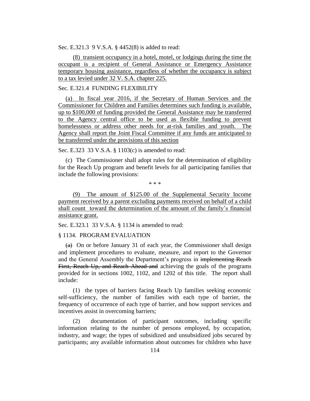Sec. E.321.3 9 V.S.A. § 4452(8) is added to read:

(8) transient occupancy in a hotel, motel, or lodgings during the time the occupant is a recipient of General Assistance or Emergency Assistance temporary housing assistance, regardless of whether the occupancy is subject to a tax levied under 32 V. S.A. chapter 225.

#### Sec. E.321.4 FUNDING FLEXIBILITY

(a) In fiscal year 2016, if the Secretary of Human Services and the Commissioner for Children and Families determines such funding is available, up to \$100,000 of funding provided the General Assistance may be transferred to the Agency central office to be used as flexible funding to prevent homelessness or address other needs for at-risk families and youth. The Agency shall report the Joint Fiscal Committee if any funds are anticipated to be transferred under the provisions of this section

Sec. E.323 33 V.S.A. § 1103(c) is amended to read:

(c) The Commissioner shall adopt rules for the determination of eligibility for the Reach Up program and benefit levels for all participating families that include the following provisions:

\* \* \*

(9) The amount of \$125.00 of the Supplemental Security Income payment received by a parent excluding payments received on behalf of a child shall count toward the determination of the amount of the family's financial assistance grant.

Sec. E.323.1 33 V.S.A. § 1134 is amended to read:

### § 1134. PROGRAM EVALUATION

 $(a)$  On or before January 31 of each year, the Commissioner shall design and implement procedures to evaluate, measure, and report to the Governor and the General Assembly the Department's progress in implementing Reach First, Reach Up, and Reach Ahead and achieving the goals of the programs provided for in sections 1002, 1102, and 1202 of this title. The report shall include:

(1) the types of barriers facing Reach Up families seeking economic self-sufficiency, the number of families with each type of barrier, the frequency of occurrence of each type of barrier, and how support services and incentives assist in overcoming barriers;

(2) documentation of participant outcomes, including specific information relating to the number of persons employed, by occupation, industry, and wage; the types of subsidized and unsubsidized jobs secured by participants; any available information about outcomes for children who have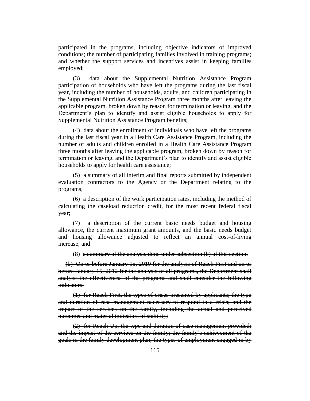participated in the programs, including objective indicators of improved conditions; the number of participating families involved in training programs; and whether the support services and incentives assist in keeping families employed;

(3) data about the Supplemental Nutrition Assistance Program participation of households who have left the programs during the last fiscal year, including the number of households, adults, and children participating in the Supplemental Nutrition Assistance Program three months after leaving the applicable program, broken down by reason for termination or leaving, and the Department's plan to identify and assist eligible households to apply for Supplemental Nutrition Assistance Program benefits;

(4) data about the enrollment of individuals who have left the programs during the last fiscal year in a Health Care Assistance Program, including the number of adults and children enrolled in a Health Care Assistance Program three months after leaving the applicable program, broken down by reason for termination or leaving, and the Department's plan to identify and assist eligible households to apply for health care assistance;

(5) a summary of all interim and final reports submitted by independent evaluation contractors to the Agency or the Department relating to the programs;

(6) a description of the work participation rates, including the method of calculating the caseload reduction credit, for the most recent federal fiscal year;

(7) a description of the current basic needs budget and housing allowance, the current maximum grant amounts, and the basic needs budget and housing allowance adjusted to reflect an annual cost-of-living increase; and

(8) a summary of the analysis done under subsection (b) of this section.

(b) On or before January 15, 2010 for the analysis of Reach First and on or before January 15, 2012 for the analysis of all programs, the Department shall analyze the effectiveness of the programs and shall consider the following indicators:

(1) for Reach First, the types of crises presented by applicants; the type and duration of case management necessary to respond to a crisis; and the impact of the services on the family, including the actual and perceived outcomes and material indicators of stability;

(2) for Reach Up, the type and duration of case management provided; and the impact of the services on the family; the family's achievement of the goals in the family development plan; the types of employment engaged in by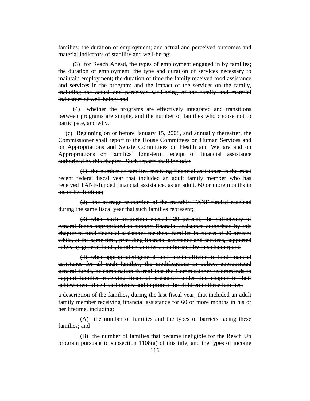families; the duration of employment; and actual and perceived outcomes and material indicators of stability and well-being;

(3) for Reach Ahead, the types of employment engaged in by families; the duration of employment; the type and duration of services necessary to maintain employment; the duration of time the family received food assistance and services in the program; and the impact of the services on the family, including the actual and perceived well-being of the family and material indicators of well-being; and

(4) whether the programs are effectively integrated and transitions between programs are simple, and the number of families who choose not to participate, and why.

(c) Beginning on or before January 15, 2008, and annually thereafter, the Commissioner shall report to the House Committees on Human Services and on Appropriations and Senate Committees on Health and Welfare and on Appropriations on families' long-term receipt of financial assistance authorized by this chapter. Such reports shall include:

(1) the number of families receiving financial assistance in the most recent federal fiscal year that included an adult family member who has received TANF-funded financial assistance, as an adult, 60 or more months in his or her lifetime;

(2) the average proportion of the monthly TANF-funded caseload during the same fiscal year that such families represent;

(3) when such proportion exceeds 20 percent, the sufficiency of general funds appropriated to support financial assistance authorized by this chapter to fund financial assistance for those families in excess of 20 percent while, at the same time, providing financial assistance and services, supported solely by general funds, to other families as authorized by this chapter; and

(4) when appropriated general funds are insufficient to fund financial assistance for all such families, the modifications in policy, appropriated general funds, or combination thereof that the Commissioner recommends to support families receiving financial assistance under this chapter in their achievement of self-sufficiency and to protect the children in these families.

a description of the families, during the last fiscal year, that included an adult family member receiving financial assistance for 60 or more months in his or her lifetime, including:

(A) the number of families and the types of barriers facing these families; and

(B) the number of families that became ineligible for the Reach Up program pursuant to subsection 1108(a) of this title, and the types of income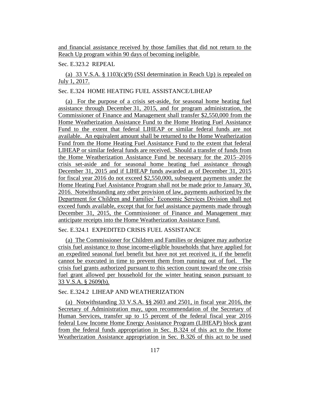and financial assistance received by those families that did not return to the Reach Up program within 90 days of becoming ineligible.

## Sec. E.323.2 REPEAL

(a) 33 V.S.A. § 1103(c)(9) (SSI determination in Reach Up) is repealed on July 1, 2017.

## Sec. E.324 HOME HEATING FUEL ASSISTANCE/LIHEAP

(a) For the purpose of a crisis set-aside, for seasonal home heating fuel assistance through December 31, 2015, and for program administration, the Commissioner of Finance and Management shall transfer \$2,550,000 from the Home Weatherization Assistance Fund to the Home Heating Fuel Assistance Fund to the extent that federal LIHEAP or similar federal funds are not available. An equivalent amount shall be returned to the Home Weatherization Fund from the Home Heating Fuel Assistance Fund to the extent that federal LIHEAP or similar federal funds are received. Should a transfer of funds from the Home Weatherization Assistance Fund be necessary for the 2015–2016 crisis set-aside and for seasonal home heating fuel assistance through December 31, 2015 and if LIHEAP funds awarded as of December 31, 2015 for fiscal year 2016 do not exceed \$2,550,000, subsequent payments under the Home Heating Fuel Assistance Program shall not be made prior to January 30, 2016. Notwithstanding any other provision of law, payments authorized by the Department for Children and Families' Economic Services Division shall not exceed funds available, except that for fuel assistance payments made through December 31, 2015, the Commissioner of Finance and Management may anticipate receipts into the Home Weatherization Assistance Fund.

### Sec. E.324.1 EXPEDITED CRISIS FUEL ASSISTANCE

(a) The Commissioner for Children and Families or designee may authorize crisis fuel assistance to those income-eligible households that have applied for an expedited seasonal fuel benefit but have not yet received it, if the benefit cannot be executed in time to prevent them from running out of fuel. The crisis fuel grants authorized pursuant to this section count toward the one crisis fuel grant allowed per household for the winter heating season pursuant to 33 V.S.A. § 2609(b).

#### Sec. E.324.2 LIHEAP AND WEATHERIZATION

(a) Notwithstanding 33 V.S.A. §§ 2603 and 2501, in fiscal year 2016, the Secretary of Administration may, upon recommendation of the Secretary of Human Services, transfer up to 15 percent of the federal fiscal year 2016 federal Low Income Home Energy Assistance Program (LIHEAP) block grant from the federal funds appropriation in Sec. B.324 of this act to the Home Weatherization Assistance appropriation in Sec. B.326 of this act to be used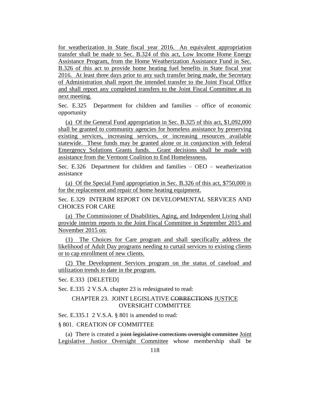for weatherization in State fiscal year 2016. An equivalent appropriation transfer shall be made to Sec. B.324 of this act, Low Income Home Energy Assistance Program, from the Home Weatherization Assistance Fund in Sec. B.326 of this act to provide home heating fuel benefits in State fiscal year 2016. At least three days prior to any such transfer being made, the Secretary of Administration shall report the intended transfer to the Joint Fiscal Office and shall report any completed transfers to the Joint Fiscal Committee at its next meeting.

Sec. E.325 Department for children and families – office of economic opportunity

(a) Of the General Fund appropriation in Sec. B.325 of this act, \$1,092,000 shall be granted to community agencies for homeless assistance by preserving existing services, increasing services, or increasing resources available statewide. These funds may be granted alone or in conjunction with federal Emergency Solutions Grants funds. Grant decisions shall be made with assistance from the Vermont Coalition to End Homelessness.

Sec. E.326 Department for children and families – OEO – weatherization assistance

(a) Of the Special Fund appropriation in Sec. B.326 of this act, \$750,000 is for the replacement and repair of home heating equipment.

Sec. E.329 INTERIM REPORT ON DEVELOPMENTAL SERVICES AND CHOICES FOR CARE

(a) The Commissioner of Disabilities, Aging, and Independent Living shall provide interim reports to the Joint Fiscal Committee in September 2015 and November 2015 on:

(1) The Choices for Care program and shall specifically address the likelihood of Adult Day programs needing to curtail services to existing clients or to cap enrollment of new clients.

(2) The Development Services program on the status of caseload and utilization trends to date in the program.

Sec. E.333 [DELETED]

Sec. E.335 2 V.S.A. chapter 23 is redesignated to read:

## CHAPTER 23. JOINT LEGISLATIVE CORRECTIONS JUSTICE OVERSIGHT COMMITTEE

Sec. E.335.1 2 V.S.A. § 801 is amended to read:

### § 801. CREATION OF COMMITTEE

(a) There is created a joint legislative corrections oversight committee Joint Legislative Justice Oversight Committee whose membership shall be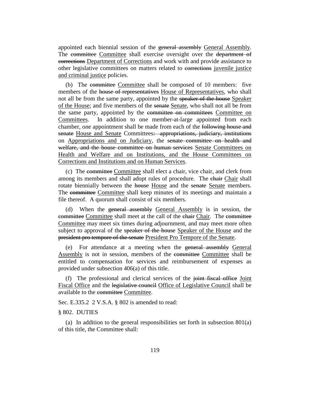appointed each biennial session of the general assembly General Assembly. The committee Committee shall exercise oversight over the department of corrections Department of Corrections and work with and provide assistance to other legislative committees on matters related to corrections juvenile justice and criminal justice policies.

(b) The committee Committee shall be composed of 10 members: five members of the house of representatives House of Representatives, who shall not all be from the same party, appointed by the speaker of the house Speaker of the House; and five members of the senate Senate, who shall not all be from the same party, appointed by the committee on committees Committee on Committees. In addition to one member-at-large appointed from each chamber, one appointment shall be made from each of the following house and senate House and Senate Committees: appropriations, judiciary, institutions on Appropriations and on Judiciary, the senate committee on health and welfare, and the house committee on human services Senate Committees on Health and Welfare and on Institutions, and the House Committees on Corrections and Institutions and on Human Services.

(c) The committee Committee shall elect a chair, vice chair, and clerk from among its members and shall adopt rules of procedure. The chair Chair shall rotate biennially between the house House and the senate Senate members. The committee Committee shall keep minutes of its meetings and maintain a file thereof. A quorum shall consist of six members.

(d) When the general assembly General Assembly is in session, the committee Committee shall meet at the call of the chair Chair. The committee Committee may meet six times during adjournment, and may meet more often subject to approval of the speaker of the house Speaker of the House and the president pro tempore of the senate President Pro Tempore of the Senate.

(e) For attendance at a meeting when the general assembly General Assembly is not in session, members of the committee Committee shall be entitled to compensation for services and reimbursement of expenses as provided under subsection 406(a) of this title.

(f) The professional and clerical services of the joint fiscal office Joint Fiscal Office and the legislative council Office of Legislative Council shall be available to the committee Committee.

Sec. E.335.2 2 V.S.A. § 802 is amended to read:

#### § 802. DUTIES

(a) In addition to the general responsibilities set forth in subsection 801(a) of this title, the Committee shall: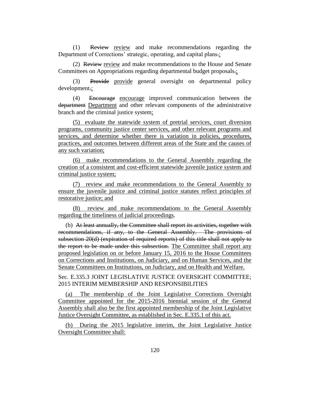(1) Review review and make recommendations regarding the Department of Corrections' strategic, operating, and capital plans.;

(2) Review review and make recommendations to the House and Senate Committees on Appropriations regarding departmental budget proposals.;

(3) Provide provide general oversight on departmental policy development.;

(4) Encourage encourage improved communication between the department Department and other relevant components of the administrative branch and the criminal justice system;

(5) evaluate the statewide system of pretrial services, court diversion programs, community justice center services, and other relevant programs and services, and determine whether there is variation in policies, procedures, practices, and outcomes between different areas of the State and the causes of any such variation;

(6) make recommendations to the General Assembly regarding the creation of a consistent and cost-efficient statewide juvenile justice system and criminal justice system;

(7) review and make recommendations to the General Assembly to ensure the juvenile justice and criminal justice statutes reflect principles of restorative justice; and

(8) review and make recommendations to the General Assembly regarding the timeliness of judicial proceedings.

(b) At least annually, the Committee shall report its activities, together with recommendations, if any, to the General Assembly. The provisions of subsection 20(d) (expiration of required reports) of this title shall not apply to the report to be made under this subsection. The Committee shall report any proposed legislation on or before January 15, 2016 to the House Committees on Corrections and Institutions, on Judiciary, and on Human Services, and the Senate Committees on Institutions, on Judiciary, and on Health and Welfare.

Sec. E.335.3 JOINT LEGISLATIVE JUSTICE OVERSIGHT COMMITTEE; 2015 INTERIM MEMBERSHIP AND RESPONSIBILITIES

(a) The membership of the Joint Legislative Corrections Oversight Committee appointed for the 2015-2016 biennial session of the General Assembly shall also be the first appointed membership of the Joint Legislative Justice Oversight Committee, as established in Sec. E.335.1 of this act.

(b) During the 2015 legislative interim, the Joint Legislative Justice Oversight Committee shall: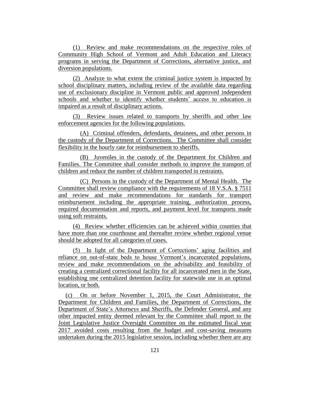(1) Review and make recommendations on the respective roles of Community High School of Vermont and Adult Education and Literacy programs in serving the Department of Corrections, alternative justice, and diversion populations.

(2) Analyze to what extent the criminal justice system is impacted by school disciplinary matters, including review of the available data regarding use of exclusionary discipline in Vermont public and approved independent schools and whether to identify whether students' access to education is impaired as a result of disciplinary actions.

(3) Review issues related to transports by sheriffs and other law enforcement agencies for the following populations.

(A) Criminal offenders, defendants, detainees, and other persons in the custody of the Department of Corrections. The Committee shall consider flexibility in the hourly rate for reimbursement to sheriffs.

(B) Juveniles in the custody of the Department for Children and Families. The Committee shall consider methods to improve the transport of children and reduce the number of children transported in restraints.

(C) Persons in the custody of the Department of Mental Health. The Committee shall review compliance with the requirements of 18 V.S.A. § 7511 and review and make recommendations for standards for transport reimbursement including the appropriate training, authorization process, required documentation and reports, and payment level for transports made using soft restraints.

(4) Review whether efficiencies can be achieved within counties that have more than one courthouse and thereafter review whether regional venue should be adopted for all categories of cases.

(5) In light of the Department of Corrections' aging facilities and reliance on out-of-state beds to house Vermont's incarcerated populations, review and make recommendations on the advisability and feasibility of creating a centralized correctional facility for all incarcerated men in the State, establishing one centralized detention facility for statewide use in an optimal location, or both.

(c) On or before November 1, 2015, the Court Administrator, the Department for Children and Families, the Department of Corrections, the Department of State's Attorneys and Sheriffs, the Defender General, and any other impacted entity deemed relevant by the Committee shall report to the Joint Legislative Justice Oversight Committee on the estimated fiscal year 2017 avoided costs resulting from the budget and cost-saving measures undertaken during the 2015 legislative session, including whether there are any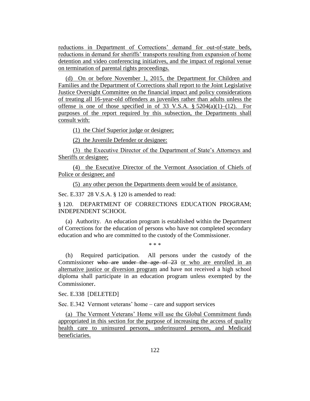reductions in Department of Corrections' demand for out-of-state beds, reductions in demand for sheriffs' transports resulting from expansion of home detention and video conferencing initiatives, and the impact of regional venue on termination of parental rights proceedings.

(d) On or before November 1, 2015, the Department for Children and Families and the Department of Corrections shall report to the Joint Legislative Justice Oversight Committee on the financial impact and policy considerations of treating all 16-year-old offenders as juveniles rather than adults unless the offense is one of those specified in of 33 V.S.A.  $\S$  5204(a)(1)–(12). For purposes of the report required by this subsection, the Departments shall consult with:

(1) the Chief Superior judge or designee;

(2) the Juvenile Defender or designee:

(3) the Executive Director of the Department of State's Attorneys and Sheriffs or designee;

(4) the Executive Director of the Vermont Association of Chiefs of Police or designee; and

(5) any other person the Departments deem would be of assistance.

Sec. E.337 28 V.S.A. § 120 is amended to read:

§ 120. DEPARTMENT OF CORRECTIONS EDUCATION PROGRAM; INDEPENDENT SCHOOL

(a) Authority. An education program is established within the Department of Corrections for the education of persons who have not completed secondary education and who are committed to the custody of the Commissioner.

\* \* \*

(h) Required participation. All persons under the custody of the Commissioner who are under the age of 23 or who are enrolled in an alternative justice or diversion program and have not received a high school diploma shall participate in an education program unless exempted by the Commissioner.

Sec. E.338 [DELETED]

Sec. E.342 Vermont veterans' home – care and support services

(a) The Vermont Veterans' Home will use the Global Commitment funds appropriated in this section for the purpose of increasing the access of quality health care to uninsured persons, underinsured persons, and Medicaid beneficiaries.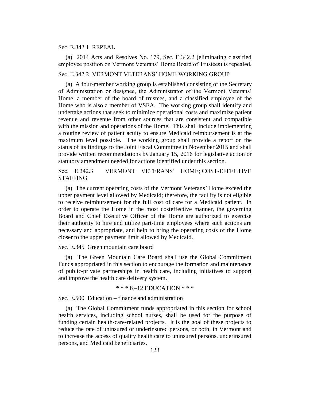## Sec. E.342.1 REPEAL

# (a) 2014 Acts and Resolves No. 179, Sec. E.342.2 (eliminating classified employee position on Vermont Veterans' Home Board of Trustees) is repealed.

# Sec. E.342.2 VERMONT VETERANS' HOME WORKING GROUP

(a) A four-member working group is established consisting of the Secretary of Administration or designee, the Administrator of the Vermont Veterans' Home, a member of the board of trustees, and a classified employee of the Home who is also a member of VSEA. The working group shall identify and undertake actions that seek to minimize operational costs and maximize patient revenue and revenue from other sources that are consistent and compatible with the mission and operations of the Home. This shall include implementing a routine review of patient acuity to ensure Medicaid reimbursement is at the maximum level possible. The working group shall provide a report on the status of its findings to the Joint Fiscal Committee in November 2015 and shall provide written recommendations by January 15, 2016 for legislative action or statutory amendment needed for actions identified under this section.

Sec. E.342.3 VERMONT VETERANS' HOME; COST-EFFECTIVE STAFFING

(a) The current operating costs of the Vermont Veterans' Home exceed the upper payment level allowed by Medicaid; therefore, the facility is not eligible to receive reimbursement for the full cost of care for a Medicaid patient. In order to operate the Home in the most costeffective manner, the governing Board and Chief Executive Officer of the Home are authorized to exercise their authority to hire and utilize part-time employees where such actions are necessary and appropriate, and help to bring the operating costs of the Home closer to the upper payment limit allowed by Medicaid.

Sec. E.345 Green mountain care board

(a) The Green Mountain Care Board shall use the Global Commitment Funds appropriated in this section to encourage the formation and maintenance of public-private partnerships in health care, including initiatives to support and improve the health care delivery system.

 $*** K-12$  EDUCATION  $***$ 

Sec. E.500 Education – finance and administration

(a) The Global Commitment funds appropriated in this section for school health services, including school nurses, shall be used for the purpose of funding certain health-care-related projects. It is the goal of these projects to reduce the rate of uninsured or underinsured persons, or both, in Vermont and to increase the access of quality health care to uninsured persons, underinsured persons, and Medicaid beneficiaries.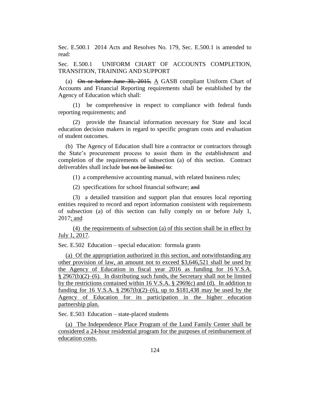Sec. E.500.1 2014 Acts and Resolves No. 179, Sec. E.500.1 is amended to read:

Sec. E.500.1 UNIFORM CHART OF ACCOUNTS COMPLETION, TRANSITION, TRAINING AND SUPPORT

(a) On or before June 30, 2015, A GASB compliant Uniform Chart of Accounts and Financial Reporting requirements shall be established by the Agency of Education which shall:

(1) be comprehensive in respect to compliance with federal funds reporting requirements; and

(2) provide the financial information necessary for State and local education decision makers in regard to specific program costs and evaluation of student outcomes.

(b) The Agency of Education shall hire a contractor or contractors through the State's procurement process to assist them in the establishment and completion of the requirements of subsection (a) of this section. Contract deliverables shall include but not be limited to:

(1) a comprehensive accounting manual, with related business rules;

(2) specifications for school financial software; and

(3) a detailed transition and support plan that ensures local reporting entities required to record and report information consistent with requirements of subsection (a) of this section can fully comply on or before July 1, 2017; and

(4) the requirements of subsection (a) of this section shall be in effect by July 1, 2017.

Sec. E.502 Education – special education: formula grants

(a) Of the appropriation authorized in this section, and notwithstanding any other provision of law, an amount not to exceed \$3,646,521 shall be used by the Agency of Education in fiscal year 2016 as funding for 16 V.S.A.  $§$  2967(b)(2)–(6). In distributing such funds, the Secretary shall not be limited by the restrictions contained within 16 V.S.A. § 2969(c) and (d). In addition to funding for 16 V.S.A. § 2967(b)(2)–(6), up to \$181,438 may be used by the Agency of Education for its participation in the higher education partnership plan.

Sec. E.503 Education – state-placed students

(a) The Independence Place Program of the Lund Family Center shall be considered a 24-hour residential program for the purposes of reimbursement of education costs.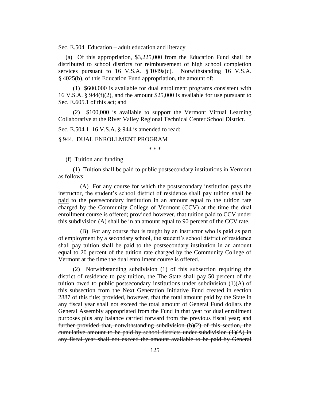Sec. E.504 Education – adult education and literacy

(a) Of this appropriation, \$3,225,000 from the Education Fund shall be distributed to school districts for reimbursement of high school completion services pursuant to 16 V.S.A. § 1049a(c). Notwithstanding 16 V.S.A. § 4025(b), of this Education Fund appropriation, the amount of:

(1) \$600,000 is available for dual enrollment programs consistent with 16 V.S.A. § 944(f)(2), and the amount \$25,000 is available for use pursuant to Sec. E.605.1 of this act; and

(2) \$100,000 is available to support the Vermont Virtual Learning Collaborative at the River Valley Regional Technical Center School District.

Sec. E.504.1 16 V.S.A. § 944 is amended to read:

§ 944. DUAL ENROLLMENT PROGRAM

\* \* \*

(f) Tuition and funding

(1) Tuition shall be paid to public postsecondary institutions in Vermont as follows:

(A) For any course for which the postsecondary institution pays the instructor, the student's school district of residence shall pay tuition shall be paid to the postsecondary institution in an amount equal to the tuition rate charged by the Community College of Vermont (CCV) at the time the dual enrollment course is offered; provided however, that tuition paid to CCV under this subdivision (A) shall be in an amount equal to 90 percent of the CCV rate.

(B) For any course that is taught by an instructor who is paid as part of employment by a secondary school, the student's school district of residence shall pay tuition shall be paid to the postsecondary institution in an amount equal to 20 percent of the tuition rate charged by the Community College of Vermont at the time the dual enrollment course is offered.

(2) Notwithstanding subdivision (1) of this subsection requiring the district of residence to pay tuition, the The State shall pay 50 percent of the tuition owed to public postsecondary institutions under subdivision  $(1)(A)$  of this subsection from the Next Generation Initiative Fund created in section 2887 of this title; provided, however, that the total amount paid by the State in any fiscal year shall not exceed the total amount of General Fund dollars the General Assembly appropriated from the Fund in that year for dual enrollment purposes plus any balance carried forward from the previous fiscal year; and further provided that, notwithstanding subdivision (b)(2) of this section, the cumulative amount to be paid by school districts under subdivision  $(1)(A)$  in any fiscal year shall not exceed the amount available to be paid by General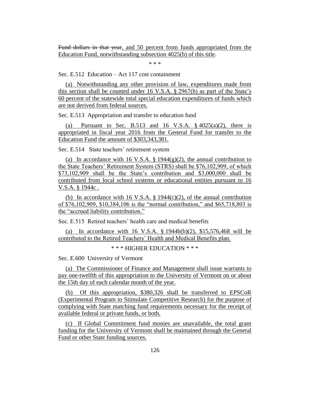Fund dollars in that year, and 50 percent from funds appropriated from the Education Fund, notwithstanding subsection 4025(b) of this title.

\* \* \*

Sec. E.512 Education – Act 117 cost containment

(a) Notwithstanding any other provision of law, expenditures made from this section shall be counted under 16 V.S.A. § 2967(b) as part of the State's 60 percent of the statewide total special education expenditures of funds which are not derived from federal sources.

Sec. E.513 Appropriation and transfer to education fund

(a) Pursuant to Sec. B.513 and 16 V.S.A.  $\S$  4025(a)(2), there is appropriated in fiscal year 2016 from the General Fund for transfer to the Education Fund the amount of \$303,343,381.

Sec. E.514 State teachers' retirement system

(a) In accordance with 16 V.S.A.  $\S$  1944(g)(2), the annual contribution to the State Teachers' Retirement System (STRS) shall be \$76,102,909, of which \$73,102,909 shall be the State's contribution and \$3,000,000 shall be contributed from local school systems or educational entities pursuant to 16 V.S.A. § 1944c .

(b) In accordance with 16 V.S.A.  $\S$  1944(c)(2), of the annual contribution of \$76,102,909, \$10,384,106 is the "normal contribution," and \$65,718,803 is the "accrued liability contribution."

Sec. E.515 Retired teachers' health care and medical benefits

(a) In accordance with 16 V.S.A. § 1944b(b)(2), \$15,576,468 will be contributed to the Retired Teachers' Health and Medical Benefits plan.

\* \* \* HIGHER EDUCATION \* \* \*

Sec. E.600 University of Vermont

(a) The Commissioner of Finance and Management shall issue warrants to pay one-twelfth of this appropriation to the University of Vermont on or about the 15th day of each calendar month of the year.

(b) Of this appropriation, \$380,326 shall be transferred to EPSCoR (Experimental Program to Stimulate Competitive Research) for the purpose of complying with State matching fund requirements necessary for the receipt of available federal or private funds, or both.

(c) If Global Commitment fund monies are unavailable, the total grant funding for the University of Vermont shall be maintained through the General Fund or other State funding sources.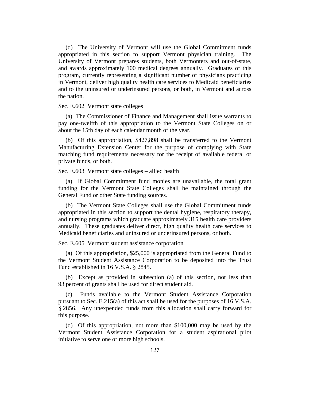(d) The University of Vermont will use the Global Commitment funds appropriated in this section to support Vermont physician training. The University of Vermont prepares students, both Vermonters and out-of-state, and awards approximately 100 medical degrees annually. Graduates of this program, currently representing a significant number of physicians practicing in Vermont, deliver high quality health care services to Medicaid beneficiaries and to the uninsured or underinsured persons, or both, in Vermont and across the nation.

Sec. E.602 Vermont state colleges

(a) The Commissioner of Finance and Management shall issue warrants to pay one-twelfth of this appropriation to the Vermont State Colleges on or about the 15th day of each calendar month of the year.

(b) Of this appropriation, \$427,898 shall be transferred to the Vermont Manufacturing Extension Center for the purpose of complying with State matching fund requirements necessary for the receipt of available federal or private funds, or both.

Sec. E.603 Vermont state colleges – allied health

(a) If Global Commitment fund monies are unavailable, the total grant funding for the Vermont State Colleges shall be maintained through the General Fund or other State funding sources.

(b) The Vermont State Colleges shall use the Global Commitment funds appropriated in this section to support the dental hygiene, respiratory therapy, and nursing programs which graduate approximately 315 health care providers annually. These graduates deliver direct, high quality health care services to Medicaid beneficiaries and uninsured or underinsured persons, or both.

Sec. E.605 Vermont student assistance corporation

(a) Of this appropriation, \$25,000 is appropriated from the General Fund to the Vermont Student Assistance Corporation to be deposited into the Trust Fund established in 16 V.S.A. § 2845.

(b) Except as provided in subsection (a) of this section, not less than 93 percent of grants shall be used for direct student aid.

(c) Funds available to the Vermont Student Assistance Corporation pursuant to Sec. E.215(a) of this act shall be used for the purposes of 16 V.S.A. § 2856. Any unexpended funds from this allocation shall carry forward for this purpose.

(d) Of this appropriation, not more than \$100,000 may be used by the Vermont Student Assistance Corporation for a student aspirational pilot initiative to serve one or more high schools.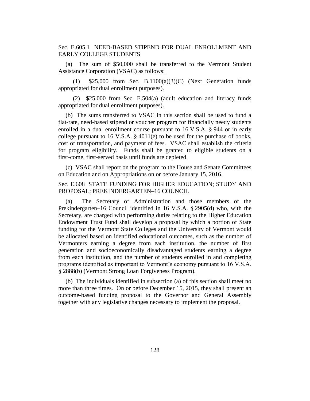Sec. E.605.1 NEED-BASED STIPEND FOR DUAL ENROLLMENT AND EARLY COLLEGE STUDENTS

(a) The sum of \$50,000 shall be transferred to the Vermont Student Assistance Corporation (VSAC) as follows:

(1)  $$25,000$  from Sec. B.1100(a)(3)(C) (Next Generation funds appropriated for dual enrollment purposes).

(2) \$25,000 from Sec. E.504(a) (adult education and literacy funds appropriated for dual enrollment purposes).

(b) The sums transferred to VSAC in this section shall be used to fund a flat-rate, need-based stipend or voucher program for financially needy students enrolled in a dual enrollment course pursuant to 16 V.S.A. § 944 or in early college pursuant to 16 V.S.A. § 4011(e) to be used for the purchase of books, cost of transportation, and payment of fees. VSAC shall establish the criteria for program eligibility. Funds shall be granted to eligible students on a first-come, first-served basis until funds are depleted.

(c) VSAC shall report on the program to the House and Senate Committees on Education and on Appropriations on or before January 15, 2016.

Sec. E.608 STATE FUNDING FOR HIGHER EDUCATION; STUDY AND PROPOSAL; PREKINDERGARTEN–16 COUNCIL

(a) The Secretary of Administration and those members of the Prekindergarten–16 Council identified in 16 V.S.A. § 2905(d) who, with the Secretary, are charged with performing duties relating to the Higher Education Endowment Trust Fund shall develop a proposal by which a portion of State funding for the Vermont State Colleges and the University of Vermont would be allocated based on identified educational outcomes, such as the number of Vermonters earning a degree from each institution, the number of first generation and socioeconomically disadvantaged students earning a degree from each institution, and the number of students enrolled in and completing programs identified as important to Vermont's economy pursuant to 16 V.S.A. § 2888(b) (Vermont Strong Loan Forgiveness Program).

(b) The individuals identified in subsection (a) of this section shall meet no more than three times. On or before December 15, 2015, they shall present an outcome-based funding proposal to the Governor and General Assembly together with any legislative changes necessary to implement the proposal.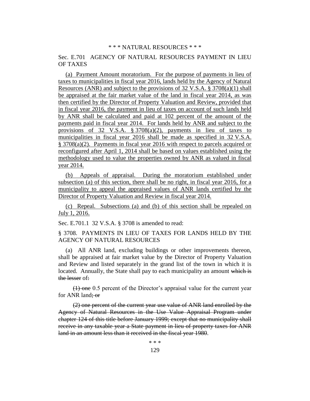#### \* \* \* NATURAL RESOURCES \* \* \*

## Sec. E.701 AGENCY OF NATURAL RESOURCES PAYMENT IN LIEU OF TAXES

(a) Payment Amount moratorium. For the purpose of payments in lieu of taxes to municipalities in fiscal year 2016, lands held by the Agency of Natural Resources (ANR) and subject to the provisions of  $32 \text{ V.S.A.}$  §  $3708(a)(1)$  shall be appraised at the fair market value of the land in fiscal year 2014, as was then certified by the Director of Property Valuation and Review, provided that in fiscal year 2016, the payment in lieu of taxes on account of such lands held by ANR shall be calculated and paid at 102 percent of the amount of the payments paid in fiscal year 2014. For lands held by ANR and subject to the provisions of 32 V.S.A.  $\S 3708(a)(2)$ , payments in lieu of taxes to municipalities in fiscal year 2016 shall be made as specified in 32 V.S.A. § 3708(a)(2). Payments in fiscal year 2016 with respect to parcels acquired or reconfigured after April 1, 2014 shall be based on values established using the methodology used to value the properties owned by ANR as valued in fiscal year 2014.

(b) Appeals of appraisal. During the moratorium established under subsection (a) of this section, there shall be no right, in fiscal year 2016, for a municipality to appeal the appraised values of ANR lands certified by the Director of Property Valuation and Review in fiscal year 2014.

(c) Repeal. Subsections (a) and (b) of this section shall be repealed on July 1, 2016.

Sec. E.701.1 32 V.S.A. § 3708 is amended to read:

§ 3708. PAYMENTS IN LIEU OF TAXES FOR LANDS HELD BY THE AGENCY OF NATURAL RESOURCES

(a) All ANR land, excluding buildings or other improvements thereon, shall be appraised at fair market value by the Director of Property Valuation and Review and listed separately in the grand list of the town in which it is located. Annually, the State shall pay to each municipality an amount which is the lesser of:

(1) one 0.5 percent of the Director's appraisal value for the current year for ANR land; or

(2) one percent of the current year use value of ANR land enrolled by the Agency of Natural Resources in the Use Value Appraisal Program under chapter 124 of this title before January 1999; except that no municipality shall receive in any taxable year a State payment in lieu of property taxes for ANR land in an amount less than it received in the fiscal year 1980.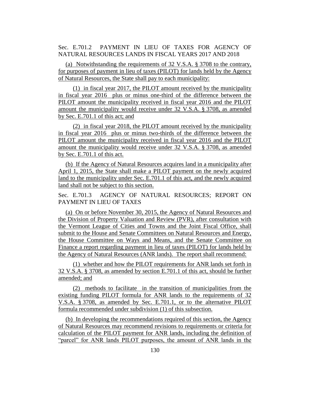Sec. E.701.2 PAYMENT IN LIEU OF TAXES FOR AGENCY OF NATURAL RESOURCES LANDS IN FISCAL YEARS 2017 AND 2018

(a) Notwithstanding the requirements of 32 V.S.A. § 3708 to the contrary, for purposes of payment in lieu of taxes (PILOT) for lands held by the Agency of Natural Resources, the State shall pay to each municipality:

(1) in fiscal year 2017, the PILOT amount received by the municipality in fiscal year 2016 plus or minus one-third of the difference between the PILOT amount the municipality received in fiscal year 2016 and the PILOT amount the municipality would receive under 32 V.S.A. § 3708, as amended by Sec. E.701.1 of this act; and

(2) in fiscal year 2018, the PILOT amount received by the municipality in fiscal year 2016 plus or minus two-thirds of the difference between the PILOT amount the municipality received in fiscal year 2016 and the PILOT amount the municipality would receive under 32 V.S.A. § 3708, as amended by Sec. E.701.1 of this act.

(b) If the Agency of Natural Resources acquires land in a municipality after April 1, 2015, the State shall make a PILOT payment on the newly acquired land to the municipality under Sec. E.701.1 of this act, and the newly acquired land shall not be subject to this section.

Sec. E.701.3 AGENCY OF NATURAL RESOURCES; REPORT ON PAYMENT IN LIEU OF TAXES

(a) On or before November 30, 2015, the Agency of Natural Resources and the Division of Property Valuation and Review (PVR), after consultation with the Vermont League of Cities and Towns and the Joint Fiscal Office, shall submit to the House and Senate Committees on Natural Resources and Energy, the House Committee on Ways and Means, and the Senate Committee on Finance a report regarding payment in lieu of taxes (PILOT) for lands held by the Agency of Natural Resources (ANR lands). The report shall recommend:

(1) whether and how the PILOT requirements for ANR lands set forth in 32 V.S.A. § 3708, as amended by section E.701.1 of this act, should be further amended; and

(2) methods to facilitate in the transition of municipalities from the existing funding PILOT formula for ANR lands to the requirements of 32 V.S.A. § 3708, as amended by Sec. E.701.1, or to the alternative PILOT formula recommended under subdivision (1) of this subsection.

(b) In developing the recommendations required of this section, the Agency of Natural Resources may recommend revisions to requirements or criteria for calculation of the PILOT payment for ANR lands, including the definition of "parcel" for ANR lands PILOT purposes, the amount of ANR lands in the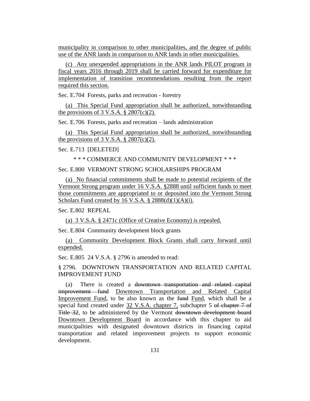municipality in comparison to other municipalities, and the degree of public use of the ANR lands in comparison to ANR lands in other municipalities.

(c) Any unexpended appropriations in the ANR lands PILOT program in fiscal years 2016 through 2019 shall be carried forward for expenditure for implementation of transition recommendations resulting from the report required this section.

Sec. E.704 Forests, parks and recreation - forestry

(a) This Special Fund appropriation shall be authorized, notwithstanding the provisions of 3 V.S.A.  $\S 2807(c)(2)$ .

Sec. E.706 Forests, parks and recreation – lands administration

(a) This Special Fund appropriation shall be authorized, notwithstanding the provisions of  $3 \text{ V.S.A. }$  \$ 2807(c)(2).

Sec. E.713 [DELETED]

\* \* \* COMMERCE AND COMMUNITY DEVELOPMENT \* \* \*

Sec. E.800 VERMONT STRONG SCHOLARSHIPS PROGRAM

(a) No financial commitments shall be made to potential recipients of the Vermont Strong program under 16 V.S.A. §2888 until sufficient funds to meet those commitments are appropriated to or deposited into the Vermont Strong Scholars Fund created by 16 V.S.A.  $\S$  2888(d)(1)(A)(i).

Sec. E.802 REPEAL

(a) 3 V.S.A. § 2471c (Office of Creative Economy) is repealed.

Sec. E.804 Community development block grants

(a) Community Development Block Grants shall carry forward until expended.

Sec. E.805 24 V.S.A. § 2796 is amended to read:

§ 2796. DOWNTOWN TRANSPORTATION AND RELATED CAPITAL IMPROVEMENT FUND

(a) There is created a downtown transportation and related capital improvement fund Downtown Transportation and Related Capital Improvement Fund, to be also known as the fund Fund, which shall be a special fund created under 32 V.S.A. chapter 7, subchapter 5 of chapter 7 of Title 32, to be administered by the Vermont downtown development board Downtown Development Board in accordance with this chapter to aid municipalities with designated downtown districts in financing capital transportation and related improvement projects to support economic development.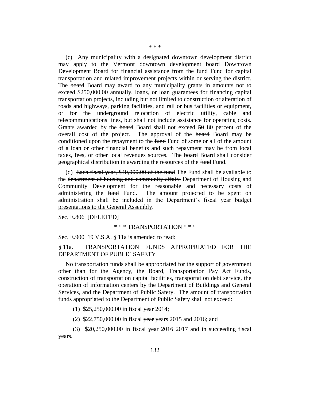(c) Any municipality with a designated downtown development district may apply to the Vermont downtown development board Downtown Development Board for financial assistance from the fund Fund for capital transportation and related improvement projects within or serving the district. The board Board may award to any municipality grants in amounts not to exceed \$250,000.00 annually, loans, or loan guarantees for financing capital transportation projects, including but not limited to construction or alteration of roads and highways, parking facilities, and rail or bus facilities or equipment, or for the underground relocation of electric utility, cable and telecommunications lines, but shall not include assistance for operating costs. Grants awarded by the board Board shall not exceed 50 80 percent of the overall cost of the project. The approval of the board Board may be conditioned upon the repayment to the fund of some or all of the amount of a loan or other financial benefits and such repayment may be from local taxes, fees, or other local revenues sources. The board Board shall consider geographical distribution in awarding the resources of the fund Fund.

(d) Each fiscal year, \$40,000.00 of the fund The Fund shall be available to the department of housing and community affairs Department of Housing and Community Development for the reasonable and necessary costs of administering the fund Fund. The amount projected to be spent on administration shall be included in the Department's fiscal year budget presentations to the General Assembly.

Sec. E.806 [DELETED]

#### \* \* \* TRANSPORTATION \* \* \*

Sec. E.900 19 V.S.A. § 11a is amended to read:

## § 11a. TRANSPORTATION FUNDS APPROPRIATED FOR THE DEPARTMENT OF PUBLIC SAFETY

No transportation funds shall be appropriated for the support of government other than for the Agency, the Board, Transportation Pay Act Funds, construction of transportation capital facilities, transportation debt service, the operation of information centers by the Department of Buildings and General Services, and the Department of Public Safety. The amount of transportation funds appropriated to the Department of Public Safety shall not exceed:

(1) \$25,250,000.00 in fiscal year 2014;

(2) \$22,750,000.00 in fiscal year years 2015 and 2016; and

(3) \$20,250,000.00 in fiscal year 2016 2017 and in succeeding fiscal years.

#### \* \* \*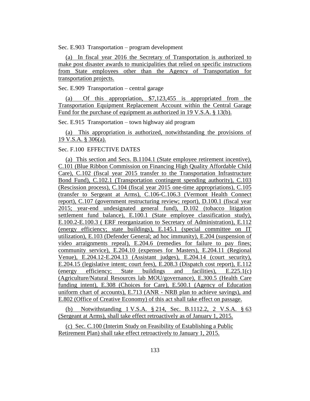Sec. E.903 Transportation – program development

(a) In fiscal year 2016 the Secretary of Transportation is authorized to make post disaster awards to municipalities that relied on specific instructions from State employees other than the Agency of Transportation for transportation projects.

Sec. E.909 Transportation – central garage

(a) Of this appropriation, \$7,123,455 is appropriated from the Transportation Equipment Replacement Account within the Central Garage Fund for the purchase of equipment as authorized in 19 V.S.A. § 13(b).

Sec. E.915 Transportation – town highway aid program

(a) This appropriation is authorized, notwithstanding the provisions of 19 V.S.A. § 306(a).

Sec. F.100 EFFECTIVE DATES

(a) This section and Secs. B.1104.1 (State employee retirement incentive), C.101 (Blue Ribbon Commission on Financing High Quality Affordable Child Care), C.102 (fiscal year 2015 transfer to the Transportation Infrastructure Bond Fund), C.102.1 (Transportation contingent spending authority), C.103 (Rescission process), C.104 (fiscal year 2015 one-time appropriations), C.105 (transfer to Sergeant at Arms), C.106-C.106.3 (Vermont Health Connect report), C.107 (government restructuring review; report), D.100.1 (fiscal year 2015; year-end undesignated general fund), D.102 (tobacco litigation settlement fund balance), E.100.1 (State employee classification study), E.100.2-E.100.3 ( ERF reorganization to Secretary of Administration), E.112 (energy efficiency; state buildings), E.145.1 (special committee on IT utilization), E.103 (Defender General; ad hoc immunity), E.204 (suspension of video arraignments repeal), E.204.6 (remedies for failure to pay fines; community service), E.204.10 (expenses for Masters), E.204.11 (Regional Venue), E.204.12-E.204.13 (Assistant judges), E.204.14 (court security), E.204.15 (legislative intent; court fees), E.208.3 (Dispatch cost report), E.112 (energy efficiency; State buildings and facilities), E.225.1(c) (Agriculture/Natural Resources lab MOU/governance), E.300.5 (Health Care funding intent), E.308 (Choices for Care), E.500.1 (Agency of Education uniform chart of accounts), E.713 (ANR - NRB plan to achieve savings), and E.802 (Office of Creative Economy) of this act shall take effect on passage.

(b) Notwithstanding 1 V.S.A. § 214, Sec. B.1112.2, 2 V.S.A. § 63 (Sergeant at Arms), shall take effect retroactively as of January 1, 2015.

(c) Sec. C.100 (Interim Study on Feasibility of Establishing a Public Retirement Plan) shall take effect retroactively to January 1, 2015.